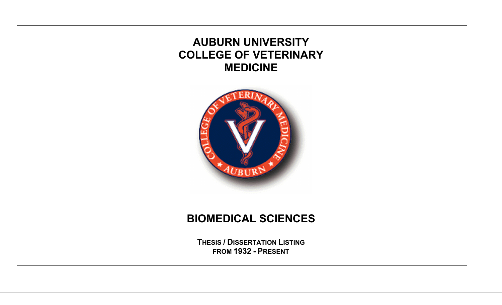# **AUBURN UNIVERSITY COLLEGE OF VETERINARY MEDICINE**



## **BIOMEDICAL SCIENCES**

**THESIS / DISSERTATION LISTINGFROM 1932 - PRESENT**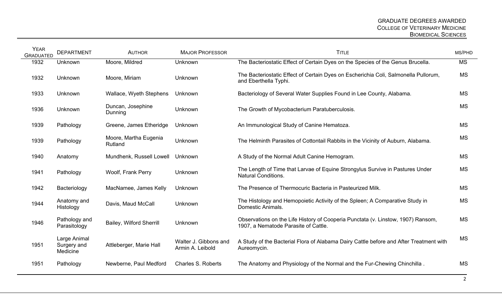| <b>YEAR</b><br><b>GRADUATED</b> | <b>DEPARTMENT</b>                       | <b>AUTHOR</b>                    | <b>MAJOR PROFESSOR</b>                    | <b>TITLE</b>                                                                                                             | MS/PHD    |
|---------------------------------|-----------------------------------------|----------------------------------|-------------------------------------------|--------------------------------------------------------------------------------------------------------------------------|-----------|
| 1932                            | Unknown                                 | Moore, Mildred                   | Unknown                                   | The Bacteriostatic Effect of Certain Dyes on the Species of the Genus Brucella.                                          | <b>MS</b> |
| 1932                            | Unknown                                 | Moore, Miriam                    | Unknown                                   | The Bacteriostatic Effect of Certain Dyes on Escherichia Coli, Salmonella Pullorum,<br>and Eberthella Typhi.             | <b>MS</b> |
| 1933                            | Unknown                                 | Wallace, Wyeth Stephens          | Unknown                                   | Bacteriology of Several Water Supplies Found in Lee County, Alabama.                                                     | <b>MS</b> |
| 1936                            | Unknown                                 | Duncan, Josephine<br>Dunning     | Unknown                                   | The Growth of Mycobacterium Paratuberculosis.                                                                            | <b>MS</b> |
| 1939                            | Pathology                               | Greene, James Etheridge          | Unknown                                   | An Immunological Study of Canine Hematoza.                                                                               | <b>MS</b> |
| 1939                            | Pathology                               | Moore, Martha Eugenia<br>Rutland | Unknown                                   | The Helminth Parasites of Cottontail Rabbits in the Vicinity of Auburn, Alabama.                                         | <b>MS</b> |
| 1940                            | Anatomy                                 | Mundhenk, Russell Lowell         | Unknown                                   | A Study of the Normal Adult Canine Hemogram.                                                                             | <b>MS</b> |
| 1941                            | Pathology                               | Woolf, Frank Perry               | Unknown                                   | The Length of Time that Larvae of Equine Strongylus Survive in Pastures Under<br><b>Natural Conditions.</b>              | <b>MS</b> |
| 1942                            | Bacteriology                            | MacNamee, James Kelly            | Unknown                                   | The Presence of Thermocuric Bacteria in Pasteurized Milk.                                                                | <b>MS</b> |
| 1944                            | Anatomy and<br>Histology                | Davis, Maud McCall               | Unknown                                   | The Histology and Hemopoietic Activity of the Spleen; A Comparative Study in<br>Domestic Animals.                        | <b>MS</b> |
| 1946                            | Pathology and<br>Parasitology           | <b>Bailey, Wilford Sherrill</b>  | Unknown                                   | Observations on the Life History of Cooperia Punctata (v. Linstow, 1907) Ransom,<br>1907, a Nematode Parasite of Cattle. | <b>MS</b> |
| 1951                            | Large Animal<br>Surgery and<br>Medicine | Attleberger, Marie Hall          | Walter J. Gibbons and<br>Armin A. Leibold | A Study of the Bacterial Flora of Alabama Dairy Cattle before and After Treatment with<br>Aureomycin.                    | <b>MS</b> |
| 1951                            | Pathology                               | Newberne, Paul Medford           | <b>Charles S. Roberts</b>                 | The Anatomy and Physiology of the Normal and the Fur-Chewing Chinchilla.                                                 | <b>MS</b> |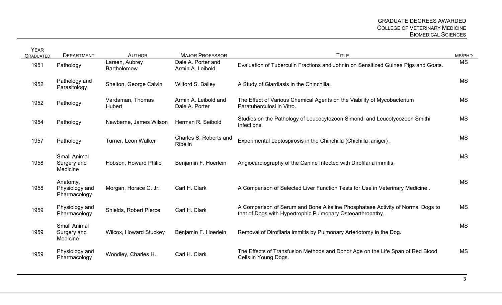| <b>YEAR</b><br><b>GRADUATED</b> | <b>DEPARTMENT</b>                              | <b>AUTHOR</b>                        | <b>MAJOR PROFESSOR</b>                   | <b>TITLE</b>                                                                                                                                 | MS/PHD    |
|---------------------------------|------------------------------------------------|--------------------------------------|------------------------------------------|----------------------------------------------------------------------------------------------------------------------------------------------|-----------|
| 1951                            | Pathology                                      | Larsen, Aubrey<br><b>Bartholomew</b> | Dale A. Porter and<br>Armin A. Leibold   | Evaluation of Tuberculin Fractions and Johnin on Sensitized Guinea Pigs and Goats.                                                           | <b>MS</b> |
| 1952                            | Pathology and<br>Parasitology                  | Shelton, George Calvin               | Wilford S. Bailey                        | A Study of Giardiasis in the Chinchilla.                                                                                                     | <b>MS</b> |
| 1952                            | Pathology                                      | Vardaman, Thomas<br>Hubert           | Armin A. Leibold and<br>Dale A. Porter   | The Effect of Various Chemical Agents on the Viability of Mycobacterium<br>Paratuberculosi in Vitro.                                         | <b>MS</b> |
| 1954                            | Pathology                                      | Newberne, James Wilson               | Herman R. Seibold                        | Studies on the Pathology of Leucocytozoon Simondi and Leucotycozoon Smithi<br>Infections.                                                    | <b>MS</b> |
| 1957                            | Pathology                                      | Turner, Leon Walker                  | Charles S. Roberts and<br><b>Ribelin</b> | Experimental Leptospirosis in the Chinchilla (Chichilla laniger).                                                                            | <b>MS</b> |
| 1958                            | <b>Small Animal</b><br>Surgery and<br>Medicine | Hobson, Howard Philip                | Benjamin F. Hoerlein                     | Angiocardiography of the Canine Infected with Dirofilaria immitis.                                                                           | <b>MS</b> |
| 1958                            | Anatomy,<br>Physiology and<br>Pharmacology     | Morgan, Horace C. Jr.                | Carl H. Clark                            | A Comparison of Selected Liver Function Tests for Use in Veterinary Medicine.                                                                | <b>MS</b> |
| 1959                            | Physiology and<br>Pharmacology                 | Shields, Robert Pierce               | Carl H. Clark                            | A Comparison of Serum and Bone Alkaline Phosphatase Activity of Normal Dogs to<br>that of Dogs with Hypertrophic Pulmonary Osteoarthropathy. | <b>MS</b> |
| 1959                            | <b>Small Animal</b><br>Surgery and<br>Medicine | <b>Wilcox, Howard Stuckey</b>        | Benjamin F. Hoerlein                     | Removal of Dirofilaria immitis by Pulmonary Arteriotomy in the Dog.                                                                          | <b>MS</b> |
| 1959                            | Physiology and<br>Pharmacology                 | Woodley, Charles H.                  | Carl H. Clark                            | The Effects of Transfusion Methods and Donor Age on the Life Span of Red Blood<br>Cells in Young Dogs.                                       | <b>MS</b> |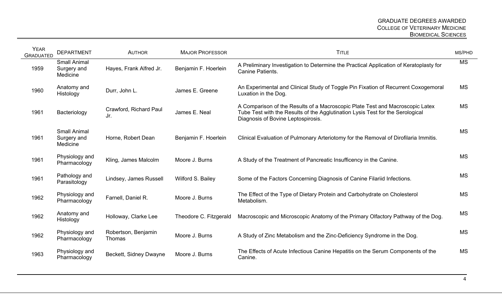| <b>YEAR</b><br><b>GRADUATED</b> | <b>DEPARTMENT</b>                              | <b>AUTHOR</b>                 | <b>MAJOR PROFESSOR</b> | <b>TITLE</b>                                                                                                                                                                                          | MS/PHD    |
|---------------------------------|------------------------------------------------|-------------------------------|------------------------|-------------------------------------------------------------------------------------------------------------------------------------------------------------------------------------------------------|-----------|
| 1959                            | <b>Small Animal</b><br>Surgery and<br>Medicine | Hayes, Frank Alfred Jr.       | Benjamin F. Hoerlein   | A Preliminary Investigation to Determine the Practical Application of Keratoplasty for<br><b>Canine Patients.</b>                                                                                     | <b>MS</b> |
| 1960                            | Anatomy and<br>Histology                       | Durr, John L.                 | James E. Greene        | An Experimental and Clinical Study of Toggle Pin Fixation of Recurrent Coxogemoral<br>Luxation in the Dog.                                                                                            | <b>MS</b> |
| 1961                            | Bacteriology                                   | Crawford, Richard Paul<br>Jr. | James E. Neal          | A Comparison of the Results of a Macroscopic Plate Test and Macroscopic Latex<br>Tube Test with the Results of the Agglutination Lysis Test for the Serological<br>Diagnosis of Bovine Leptospirosis. | <b>MS</b> |
| 1961                            | <b>Small Animal</b><br>Surgery and<br>Medicine | Horne, Robert Dean            | Benjamin F. Hoerlein   | Clinical Evaluation of Pulmonary Arteriotomy for the Removal of Dirofilaria Immitis.                                                                                                                  | <b>MS</b> |
| 1961                            | Physiology and<br>Pharmacology                 | Kling, James Malcolm          | Moore J. Burns         | A Study of the Treatment of Pancreatic Insufficency in the Canine.                                                                                                                                    | <b>MS</b> |
| 1961                            | Pathology and<br>Parasitology                  | Lindsey, James Russell        | Wilford S. Bailey      | Some of the Factors Concerning Diagnosis of Canine Filariid Infections.                                                                                                                               | <b>MS</b> |
| 1962                            | Physiology and<br>Pharmacology                 | Farnell, Daniel R.            | Moore J. Burns         | The Effect of the Type of Dietary Protein and Carbohydrate on Cholesterol<br>Metabolism.                                                                                                              | <b>MS</b> |
| 1962                            | Anatomy and<br>Histology                       | Holloway, Clarke Lee          | Theodore C. Fitzgerald | Macroscopic and Microscopic Anatomy of the Primary Olfactory Pathway of the Dog.                                                                                                                      | <b>MS</b> |
| 1962                            | Physiology and<br>Pharmacology                 | Robertson, Benjamin<br>Thomas | Moore J. Burns         | A Study of Zinc Metabolism and the Zinc-Deficiency Syndrome in the Dog.                                                                                                                               | <b>MS</b> |
| 1963                            | Physiology and<br>Pharmacology                 | Beckett, Sidney Dwayne        | Moore J. Burns         | The Effects of Acute Infectious Canine Hepatitis on the Serum Components of the<br>Canine.                                                                                                            | <b>MS</b> |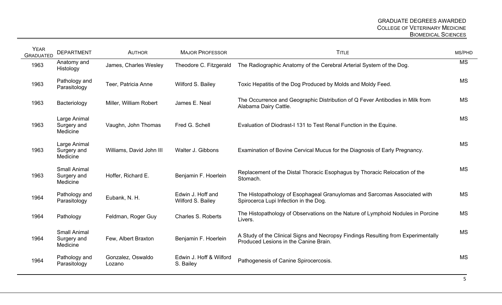| <b>YEAR</b><br><b>GRADUATED</b> | <b>DEPARTMENT</b>                              | <b>AUTHOR</b>               | <b>MAJOR PROFESSOR</b>                 | <b>TITLE</b>                                                                                                               | MS/PHD    |
|---------------------------------|------------------------------------------------|-----------------------------|----------------------------------------|----------------------------------------------------------------------------------------------------------------------------|-----------|
| 1963                            | Anatomy and<br>Histology                       | James, Charles Wesley       | Theodore C. Fitzgerald                 | The Radiographic Anatomy of the Cerebral Arterial System of the Dog.                                                       | <b>MS</b> |
| 1963                            | Pathology and<br>Parasitology                  | Teer, Patricia Anne         | Wilford S. Bailey                      | Toxic Hepatitis of the Dog Produced by Molds and Moldy Feed.                                                               | <b>MS</b> |
| 1963                            | Bacteriology                                   | Miller, William Robert      | James E. Neal                          | The Occurrence and Geographic Distribution of Q Fever Antibodies in Milk from<br>Alabama Dairy Cattle.                     | <b>MS</b> |
| 1963                            | Large Animal<br>Surgery and<br>Medicine        | Vaughn, John Thomas         | Fred G. Schell                         | Evaluation of Diodrast-I 131 to Test Renal Function in the Equine.                                                         | <b>MS</b> |
| 1963                            | Large Animal<br>Surgery and<br>Medicine        | Williams, David John III    | Walter J. Gibbons                      | Examination of Bovine Cervical Mucus for the Diagnosis of Early Pregnancy.                                                 | <b>MS</b> |
| 1963                            | <b>Small Animal</b><br>Surgery and<br>Medicine | Hoffer, Richard E.          | Benjamin F. Hoerlein                   | Replacement of the Distal Thoracic Esophagus by Thoracic Relocation of the<br>Stomach.                                     | <b>MS</b> |
| 1964                            | Pathology and<br>Parasitology                  | Eubank, N. H.               | Edwin J. Hoff and<br>Wilford S. Bailey | The Histopathology of Esophageal Granuylomas and Sarcomas Associated with<br>Spirocerca Lupi Infection in the Dog.         | <b>MS</b> |
| 1964                            | Pathology                                      | Feldman, Roger Guy          | Charles S. Roberts                     | The Histopathology of Observations on the Nature of Lymphoid Nodules in Porcine<br>Livers.                                 | <b>MS</b> |
| 1964                            | <b>Small Animal</b><br>Surgery and<br>Medicine | Few, Albert Braxton         | Benjamin F. Hoerlein                   | A Study of the Clinical Signs and Necropsy Findings Resulting from Experimentally<br>Produced Lesions in the Canine Brain. | <b>MS</b> |
| 1964                            | Pathology and<br>Parasitology                  | Gonzalez, Oswaldo<br>Lozano | Edwin J. Hoff & Wilford<br>S. Bailey   | Pathogenesis of Canine Spirocercosis.                                                                                      | <b>MS</b> |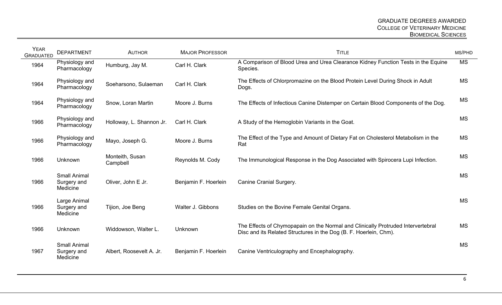| <b>YEAR</b><br><b>GRADUATED</b> | <b>DEPARTMENT</b>                              | <b>AUTHOR</b>               | <b>MAJOR PROFESSOR</b> | <b>TITLE</b>                                                                                                                                          | MS/PHD    |
|---------------------------------|------------------------------------------------|-----------------------------|------------------------|-------------------------------------------------------------------------------------------------------------------------------------------------------|-----------|
| 1964                            | Physiology and<br>Pharmacology                 | Humburg, Jay M.             | Carl H. Clark          | A Comparison of Blood Urea and Urea Clearance Kidney Function Tests in the Equine<br>Species.                                                         | <b>MS</b> |
| 1964                            | Physiology and<br>Pharmacology                 | Soeharsono, Sulaeman        | Carl H. Clark          | The Effects of Chlorpromazine on the Blood Protein Level During Shock in Adult<br>Dogs.                                                               | <b>MS</b> |
| 1964                            | Physiology and<br>Pharmacology                 | Snow, Loran Martin          | Moore J. Burns         | The Effects of Infectious Canine Distemper on Certain Blood Components of the Dog.                                                                    | <b>MS</b> |
| 1966                            | Physiology and<br>Pharmacology                 | Holloway, L. Shannon Jr.    | Carl H. Clark          | A Study of the Hemoglobin Variants in the Goat.                                                                                                       | <b>MS</b> |
| 1966                            | Physiology and<br>Pharmacology                 | Mayo, Joseph G.             | Moore J. Burns         | The Effect of the Type and Amount of Dietary Fat on Cholesterol Metabolism in the<br>Rat                                                              | <b>MS</b> |
| 1966                            | Unknown                                        | Monteith, Susan<br>Campbell | Reynolds M. Cody       | The Immunological Response in the Dog Associated with Spirocera Lupi Infection.                                                                       | <b>MS</b> |
| 1966                            | <b>Small Animal</b><br>Surgery and<br>Medicine | Oliver, John E Jr.          | Benjamin F. Hoerlein   | Canine Cranial Surgery.                                                                                                                               | <b>MS</b> |
| 1966                            | Large Animal<br>Surgery and<br>Medicine        | Tijion, Joe Beng            | Walter J. Gibbons      | Studies on the Bovine Female Genital Organs.                                                                                                          | <b>MS</b> |
| 1966                            | Unknown                                        | Widdowson, Walter L.        | Unknown                | The Effects of Chymopapain on the Normal and Clinically Protruded Intervertebral<br>Disc and its Related Structures in the Dog (B. F. Hoerlein, Chm). | <b>MS</b> |
| 1967                            | <b>Small Animal</b><br>Surgery and<br>Medicine | Albert, Roosevelt A. Jr.    | Benjamin F. Hoerlein   | Canine Ventriculography and Encephalography.                                                                                                          | <b>MS</b> |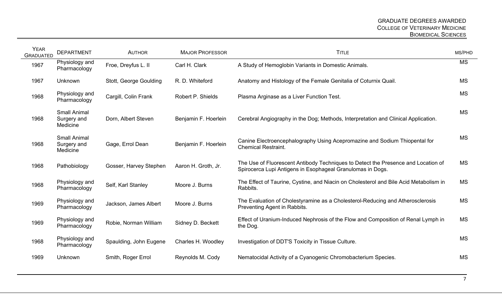| <b>YEAR</b><br><b>GRADUATED</b> | <b>DEPARTMENT</b>                              | <b>AUTHOR</b>          | <b>MAJOR PROFESSOR</b> | <b>TITLE</b>                                                                                                                                    | MS/PHD    |
|---------------------------------|------------------------------------------------|------------------------|------------------------|-------------------------------------------------------------------------------------------------------------------------------------------------|-----------|
| 1967                            | Physiology and<br>Pharmacology                 | Froe, Dreyfus L. II    | Carl H. Clark          | A Study of Hemoglobin Variants in Domestic Animals.                                                                                             | <b>MS</b> |
| 1967                            | <b>Unknown</b>                                 | Stott, George Goulding | R. D. Whiteford        | Anatomy and Histology of the Female Genitalia of Coturnix Quail.                                                                                | <b>MS</b> |
| 1968                            | Physiology and<br>Pharmacology                 | Cargill, Colin Frank   | Robert P. Shields      | Plasma Arginase as a Liver Function Test.                                                                                                       | <b>MS</b> |
| 1968                            | <b>Small Animal</b><br>Surgery and<br>Medicine | Dorn, Albert Steven    | Benjamin F. Hoerlein   | Cerebral Angiography in the Dog; Methods, Interpretation and Clinical Application.                                                              | <b>MS</b> |
| 1968                            | <b>Small Animal</b><br>Surgery and<br>Medicine | Gage, Errol Dean       | Benjamin F. Hoerlein   | Canine Electroencephalography Using Acepromazine and Sodium Thiopental for<br><b>Chemical Restraint.</b>                                        | <b>MS</b> |
| 1968                            | Pathobiology                                   | Gosser, Harvey Stephen | Aaron H. Groth, Jr.    | The Use of Fluorescent Antibody Techniques to Detect the Presence and Location of<br>Spirocerca Lupi Antigens in Esophageal Granulomas in Dogs. | <b>MS</b> |
| 1968                            | Physiology and<br>Pharmacology                 | Self, Karl Stanley     | Moore J. Burns         | The Effect of Taurine, Cystine, and Niacin on Cholesterol and Bile Acid Metabolism in<br>Rabbits.                                               | <b>MS</b> |
| 1969                            | Physiology and<br>Pharmacology                 | Jackson, James Albert  | Moore J. Burns         | The Evaluation of Cholestyramine as a Cholesterol-Reducing and Atherosclerosis<br>Preventing Agent in Rabbits.                                  | <b>MS</b> |
| 1969                            | Physiology and<br>Pharmacology                 | Robie, Norman William  | Sidney D. Beckett      | Effect of Uranium-Induced Nephrosis of the Flow and Composition of Renal Lymph in<br>the Dog.                                                   | <b>MS</b> |
| 1968                            | Physiology and<br>Pharmacology                 | Spaulding, John Eugene | Charles H. Woodley     | Investigation of DDT'S Toxicity in Tissue Culture.                                                                                              | <b>MS</b> |
| 1969                            | Unknown                                        | Smith, Roger Errol     | Reynolds M. Cody       | Nematocidal Activity of a Cyanogenic Chromobacterium Species.                                                                                   | <b>MS</b> |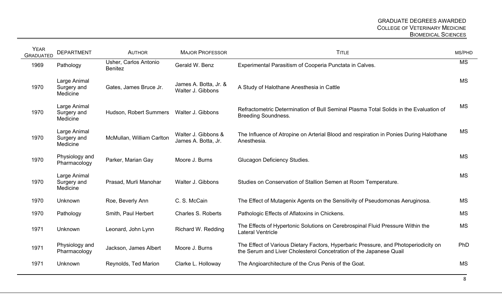| <b>YEAR</b><br><b>GRADUATED</b> | <b>DEPARTMENT</b>                       | <b>AUTHOR</b>                           | <b>MAJOR PROFESSOR</b>                     | <b>TITLE</b>                                                                                                                                              | MS/PHD    |
|---------------------------------|-----------------------------------------|-----------------------------------------|--------------------------------------------|-----------------------------------------------------------------------------------------------------------------------------------------------------------|-----------|
| 1969                            | Pathology                               | Usher, Carlos Antonio<br><b>Benitez</b> | Gerald W. Benz                             | Experimental Parasitism of Cooperia Punctata in Calves.                                                                                                   | <b>MS</b> |
| 1970                            | Large Animal<br>Surgery and<br>Medicine | Gates, James Bruce Jr.                  | James A. Botta, Jr. &<br>Walter J. Gibbons | A Study of Halothane Anesthesia in Cattle                                                                                                                 | <b>MS</b> |
| 1970                            | Large Animal<br>Surgery and<br>Medicine | Hudson, Robert Summers                  | Walter J. Gibbons                          | Refractometric Determination of Bull Seminal Plasma Total Solids in the Evaluation of<br><b>Breeding Soundness.</b>                                       | <b>MS</b> |
| 1970                            | Large Animal<br>Surgery and<br>Medicine | McMullan, William Carlton               | Walter J. Gibbons &<br>James A. Botta, Jr. | The Influence of Atropine on Arterial Blood and respiration in Ponies During Halothane<br>Anesthesia.                                                     | <b>MS</b> |
| 1970                            | Physiology and<br>Pharmacology          | Parker, Marian Gay                      | Moore J. Burns                             | <b>Glucagon Deficiency Studies.</b>                                                                                                                       | <b>MS</b> |
| 1970                            | Large Animal<br>Surgery and<br>Medicine | Prasad, Murli Manohar                   | Walter J. Gibbons                          | Studies on Conservation of Stallion Semen at Room Temperature.                                                                                            | <b>MS</b> |
| 1970                            | Unknown                                 | Roe, Beverly Ann                        | C. S. McCain                               | The Effect of Mutagenix Agents on the Sensitivity of Pseudomonas Aeruginosa.                                                                              | <b>MS</b> |
| 1970                            | Pathology                               | Smith, Paul Herbert                     | Charles S. Roberts                         | Pathologic Effects of Aflatoxins in Chickens.                                                                                                             | <b>MS</b> |
| 1971                            | Unknown                                 | Leonard, John Lynn                      | Richard W. Redding                         | The Effects of Hypertonic Solutions on Cerebrospinal Fluid Pressure Within the<br><b>Lateral Ventricle</b>                                                | <b>MS</b> |
| 1971                            | Physiology and<br>Pharmacology          | Jackson, James Albert                   | Moore J. Burns                             | The Effect of Various Dietary Factors, Hyperbaric Pressure, and Photoperiodicity on<br>the Serum and Liver Cholesterol Concetration of the Japanese Quail | PhD       |
| 1971                            | Unknown                                 | Reynolds, Ted Marion                    | Clarke L. Holloway                         | The Angioarchitecture of the Crus Penis of the Goat.                                                                                                      | <b>MS</b> |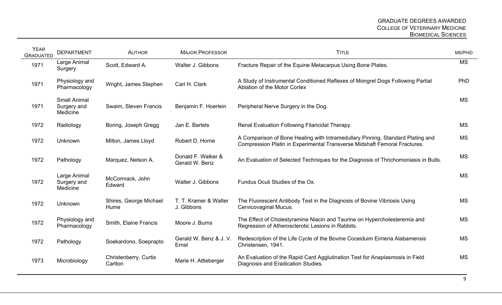| <b>YEAR</b><br><b>GRADUATED</b> | <b>DEPARTMENT</b>                              | <b>AUTHOR</b>                    | <b>MAJOR PROFESSOR</b>               | <b>TITLE</b>                                                                                                                                                | MS/PHD    |
|---------------------------------|------------------------------------------------|----------------------------------|--------------------------------------|-------------------------------------------------------------------------------------------------------------------------------------------------------------|-----------|
| 1971                            | Large Animal<br>Surgery                        | Scott, Edward A.                 | Walter J. Gibbons                    | Fracture Repair of the Equine Metacarpus Using Bone Plates.                                                                                                 | <b>MS</b> |
| 1971                            | Physiology and<br>Pharmacology                 | Wright, James Stephen            | Carl H. Clark                        | A Study of Instrumental Conditioned Reflexes of Mongrel Dogs Following Partial<br>Ablation of the Motor Cortex                                              | PhD       |
| 1971                            | <b>Small Animal</b><br>Surgery and<br>Medicine | Swaim, Steven Francis            | Benjamin F. Hoerlein                 | Peripheral Nerve Surgery in the Dog.                                                                                                                        | <b>MS</b> |
| 1972                            | Radiology                                      | Boring, Joseph Gregg             | Jan E. Bartels                       | Renal Evaluation Following Filaricidal Therapy.                                                                                                             | <b>MS</b> |
| 1972                            | Unknown                                        | Milton, James Lloyd              | Robert D. Horne                      | A Comparison of Bone Healing with Intramedullary Pinning. Standard Plating and<br>Compression Platin in Experimental Transverse Midshaft Femoral Fractures. | <b>MS</b> |
| 1972                            | Pathology                                      | Marquez, Nelson A.               | Donald F. Walker &<br>Gerald W. Benz | An Evaluation of Selected Techniques for the Diagnosis of Thrichomoniasis in Bulls.                                                                         | <b>MS</b> |
| 1972                            | Large Animal<br>Surgery and<br>Medicine        | McCormack, John<br>Edward        | Walter J. Gibbons                    | Fundus Oculi Studies of the Ox.                                                                                                                             | <b>MS</b> |
| 1972                            | Unknown                                        | Shires, George Michael<br>Hume   | T. T. Kramer & Walter<br>J. Gibbons  | The Fluorescent Antibody Test in the Diagnosis of Bovine Vibriosis Using<br>Cervicovaginal Mucus.                                                           | <b>MS</b> |
| 1972                            | Physiology and<br>Pharmacology                 | Smith, Elaine Francis            | Moore J. Burns                       | The Effect of Cholestyramine Niacin and Taurine on Hypercholesteremia and<br>Regression of Atherosclerotic Lesions in Rabbits.                              | <b>MS</b> |
| 1972                            | Pathology                                      | Soekardono, Soeprapto            | Gerald W. Benz & J. V.<br>Ernst      | Redescription of the Life Cycle of the Bovine Coceiduim Eimeria Alabamensis<br>Christensen, 1941.                                                           | <b>MS</b> |
| 1973                            | Microbiology                                   | Christenberry, Curtis<br>Carlton | Marie H. Attleberger                 | An Evaluation of the Rapid Card Agglutination Test for Anaplasmosis in Field<br>Diagnosis and Eradication Studies.                                          | <b>MS</b> |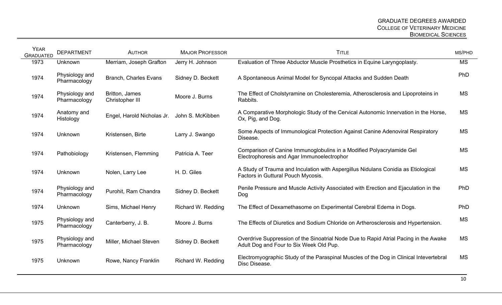| <b>YEAR</b><br><b>GRADUATED</b> | <b>DEPARTMENT</b>              | <b>AUTHOR</b>                     | <b>MAJOR PROFESSOR</b> | <b>TITLE</b>                                                                                                                    | MS/PHD    |
|---------------------------------|--------------------------------|-----------------------------------|------------------------|---------------------------------------------------------------------------------------------------------------------------------|-----------|
| 1973                            | Unknown                        | Merriam, Joseph Grafton           | Jerry H. Johnson       | Evaluation of Three Abductor Muscle Prosthetics in Equine Laryngoplasty.                                                        | <b>MS</b> |
| 1974                            | Physiology and<br>Pharmacology | <b>Branch, Charles Evans</b>      | Sidney D. Beckett      | A Spontaneous Animal Model for Syncopal Attacks and Sudden Death                                                                | PhD       |
| 1974                            | Physiology and<br>Pharmacology | Britton, James<br>Christopher III | Moore J. Burns         | The Effect of Cholstyramine on Cholesteremia, Atherosclerosis and Lipoproteins in<br>Rabbits.                                   | <b>MS</b> |
| 1974                            | Anatomy and<br>Histology       | Engel, Harold Nicholas Jr.        | John S. McKibben       | A Comparative Morphologic Study of the Cervical Autonomic Innervation in the Horse,<br>Ox, Pig, and Dog.                        | <b>MS</b> |
| 1974                            | Unknown                        | Kristensen, Birte                 | Larry J. Swango        | Some Aspects of Immunological Protection Against Canine Adenoviral Respiratory<br>Disease.                                      | <b>MS</b> |
| 1974                            | Pathobiology                   | Kristensen, Flemming              | Patricia A. Teer       | Comparison of Canine Immunoglobulins in a Modified Polyacrylamide Gel<br>Electrophoresis and Agar Immunoelectrophor             | <b>MS</b> |
| 1974                            | Unknown                        | Nolen, Larry Lee                  | H. D. Giles            | A Study of Trauma and Inculation with Aspergillus Nidulans Conidia as Etiological<br>Factors in Guttural Pouch Mycosis.         | <b>MS</b> |
| 1974                            | Physiology and<br>Pharmacology | Purohit, Ram Chandra              | Sidney D. Beckett      | Penile Pressure and Muscle Activity Associated with Erection and Ejaculation in the<br>Dog                                      | PhD       |
| 1974                            | Unknown                        | Sims, Michael Henry               | Richard W. Redding     | The Effect of Dexamethasome on Experimental Cerebral Edema in Dogs.                                                             | PhD       |
| 1975                            | Physiology and<br>Pharmacology | Canterberry, J. B.                | Moore J. Burns         | The Effects of Diuretics and Sodium Chloride on Artherosclerosis and Hypertension.                                              | <b>MS</b> |
| 1975                            | Physiology and<br>Pharmacology | Miller, Michael Steven            | Sidney D. Beckett      | Overdrive Suppression of the Sinoatrial Node Due to Rapid Atrial Pacing in the Awake<br>Adult Dog and Four to Six Week Old Pup. | <b>MS</b> |
| 1975                            | Unknown                        | Rowe, Nancy Franklin              | Richard W. Redding     | Electromyographic Study of the Paraspinal Muscles of the Dog in Clinical Intevertebral<br>Disc Disease.                         | MS        |
|                                 |                                |                                   |                        |                                                                                                                                 |           |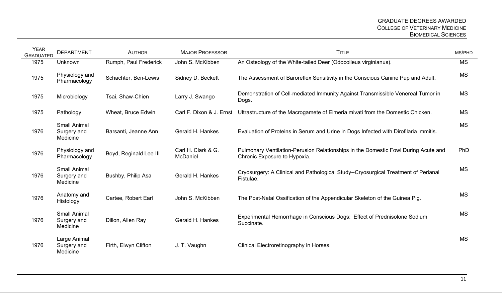| <b>YEAR</b><br><b>GRADUATED</b> | <b>DEPARTMENT</b>                              | <b>AUTHOR</b>          | <b>MAJOR PROFESSOR</b>         | <b>TITLE</b>                                                                                                       | MS/PHD    |
|---------------------------------|------------------------------------------------|------------------------|--------------------------------|--------------------------------------------------------------------------------------------------------------------|-----------|
| 1975                            | Unknown                                        | Rumph, Paul Frederick  | John S. McKibben               | An Osteology of the White-tailed Deer (Odocoileus virginianus).                                                    | <b>MS</b> |
| 1975                            | Physiology and<br>Pharmacology                 | Schachter, Ben-Lewis   | Sidney D. Beckett              | The Assessment of Baroreflex Sensitivity in the Conscious Canine Pup and Adult.                                    | <b>MS</b> |
| 1975                            | Microbiology                                   | Tsai, Shaw-Chien       | Larry J. Swango                | Demonstration of Cell-mediated Immunity Against Transmissible Venereal Tumor in<br>Dogs.                           | <b>MS</b> |
| 1975                            | Pathology                                      | Wheat, Bruce Edwin     | Carl F. Dixon & J. Ernst       | Ultrastructure of the Macrogamete of Eimeria mivati from the Domestic Chicken.                                     | <b>MS</b> |
| 1976                            | <b>Small Animal</b><br>Surgery and<br>Medicine | Barsanti, Jeanne Ann   | Gerald H. Hankes               | Evaluation of Proteins in Serum and Urine in Dogs Infected with Dirofilaria immitis.                               | <b>MS</b> |
| 1976                            | Physiology and<br>Pharmacology                 | Boyd, Reginald Lee III | Carl H. Clark & G.<br>McDaniel | Pulmonary Ventilation-Perusion Relationships in the Domestic Fowl During Acute and<br>Chronic Exposure to Hypoxia. | PhD       |
| 1976                            | <b>Small Animal</b><br>Surgery and<br>Medicine | Bushby, Philip Asa     | Gerald H. Hankes               | Cryosurgery: A Clinical and Pathological Study--Cryosurgical Treatment of Perianal<br>Fistulae.                    | <b>MS</b> |
| 1976                            | Anatomy and<br>Histology                       | Cartee, Robert Earl    | John S. McKibben               | The Post-Natal Ossification of the Appendicular Skeleton of the Guinea Pig.                                        | <b>MS</b> |
| 1976                            | <b>Small Animal</b><br>Surgery and<br>Medicine | Dillon, Allen Ray      | Gerald H. Hankes               | Experimental Hemorrhage in Conscious Dogs: Effect of Prednisolone Sodium<br>Succinate.                             | <b>MS</b> |
| 1976                            | Large Animal<br>Surgery and<br>Medicine        | Firth, Elwyn Clifton   | J. T. Vaughn                   | Clinical Electroretinography in Horses.                                                                            | <b>MS</b> |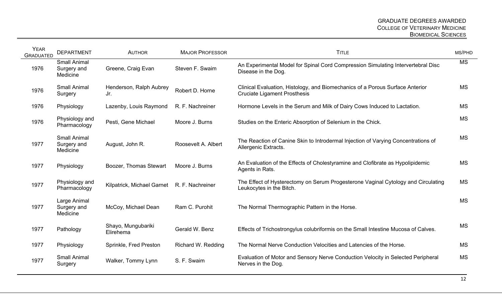| <b>YEAR</b><br><b>GRADUATED</b> | <b>DEPARTMENT</b>                              | <b>AUTHOR</b>                               | <b>MAJOR PROFESSOR</b> | <b>TITLE</b>                                                                                                         | MS/PHD    |
|---------------------------------|------------------------------------------------|---------------------------------------------|------------------------|----------------------------------------------------------------------------------------------------------------------|-----------|
| 1976                            | <b>Small Animal</b><br>Surgery and<br>Medicine | Greene, Craig Evan                          | Steven F. Swaim        | An Experimental Model for Spinal Cord Compression Simulating Intervertebral Disc<br>Disease in the Dog.              | <b>MS</b> |
| 1976                            | <b>Small Animal</b><br>Surgery                 | Henderson, Ralph Aubrey<br>Jr.              | Robert D. Horne        | Clinical Evaluation, Histology, and Biomechanics of a Porous Surface Anterior<br><b>Cruciate Ligament Prosthesis</b> | <b>MS</b> |
| 1976                            | Physiology                                     | Lazenby, Louis Raymond                      | R. F. Nachreiner       | Hormone Levels in the Serum and Milk of Dairy Cows Induced to Lactation.                                             | <b>MS</b> |
| 1976                            | Physiology and<br>Pharmacology                 | Pesti, Gene Michael                         | Moore J. Burns         | Studies on the Enteric Absorption of Selenium in the Chick.                                                          | <b>MS</b> |
| 1977                            | <b>Small Animal</b><br>Surgery and<br>Medicine | August, John R.                             | Roosevelt A. Albert    | The Reaction of Canine Skin to Introdermal Injection of Varying Concentrations of<br>Allergenic Extracts.            | <b>MS</b> |
| 1977                            | Physiology                                     | Boozer, Thomas Stewart                      | Moore J. Burns         | An Evaluation of the Effects of Cholestyramine and Clofibrate as Hypolipidemic<br>Agents in Rats.                    | <b>MS</b> |
| 1977                            | Physiology and<br>Pharmacology                 | Kilpatrick, Michael Garnet R. F. Nachreiner |                        | The Effect of Hysterectomy on Serum Progesterone Vaginal Cytology and Circulating<br>Leukocytes in the Bitch.        | <b>MS</b> |
| 1977                            | Large Animal<br>Surgery and<br>Medicine        | McCoy, Michael Dean                         | Ram C. Purohit         | The Normal Thermographic Pattern in the Horse.                                                                       | <b>MS</b> |
| 1977                            | Pathology                                      | Shayo, Mungubariki<br>Elirehema             | Gerald W. Benz         | Effects of Trichostrongylus colubriformis on the Small Intestine Mucosa of Calves.                                   | <b>MS</b> |
| 1977                            | Physiology                                     | Sprinkle, Fred Preston                      | Richard W. Redding     | The Normal Nerve Conduction Velocities and Latencies of the Horse.                                                   | <b>MS</b> |
| 1977                            | <b>Small Animal</b><br>Surgery                 | Walker, Tommy Lynn                          | S. F. Swaim            | Evaluation of Motor and Sensory Nerve Conduction Velocity in Selected Peripheral<br>Nerves in the Dog.               | <b>MS</b> |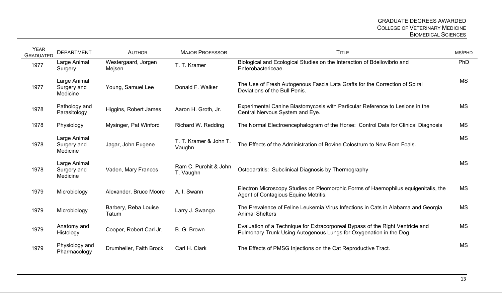| <b>YEAR</b><br><b>GRADUATED</b> | <b>DEPARTMENT</b>                       | <b>AUTHOR</b>                 | <b>MAJOR PROFESSOR</b>             | <b>TITLE</b>                                                                                                                                        | MS/PHD    |
|---------------------------------|-----------------------------------------|-------------------------------|------------------------------------|-----------------------------------------------------------------------------------------------------------------------------------------------------|-----------|
| 1977                            | Large Animal<br>Surgery                 | Westergaard, Jorgen<br>Mejsen | T. T. Kramer                       | Biological and Ecological Studies on the Interaction of Bdellovibrio and<br>Enterobactericeae.                                                      | PhD       |
| 1977                            | Large Animal<br>Surgery and<br>Medicine | Young, Samuel Lee             | Donald F. Walker                   | The Use of Fresh Autogenous Fascia Lata Grafts for the Correction of Spiral<br>Deviations of the Bull Penis.                                        | <b>MS</b> |
| 1978                            | Pathology and<br>Parasitology           | Higgins, Robert James         | Aaron H. Groth, Jr.                | Experimental Canine Blastomycosis with Particular Reference to Lesions in the<br>Central Nervous System and Eye.                                    | <b>MS</b> |
| 1978                            | Physiology                              | Mysinger, Pat Winford         | Richard W. Redding                 | The Normal Electroencephalogram of the Horse: Control Data for Clinical Diagnosis                                                                   | MS        |
| 1978                            | Large Animal<br>Surgery and<br>Medicine | Jagar, John Eugene            | T. T. Kramer & John T.<br>Vaughn   | The Effects of the Administration of Bovine Colostrum to New Born Foals.                                                                            | <b>MS</b> |
| 1978                            | Large Animal<br>Surgery and<br>Medicine | Vaden, Mary Frances           | Ram C. Purohit & John<br>T. Vaughn | Osteoartritis: Subclinical Diagnosis by Thermography                                                                                                | <b>MS</b> |
| 1979                            | Microbiology                            | Alexander, Bruce Moore        | A. I. Swann                        | Electron Microscopy Studies on Pleomorphic Forms of Haemophilus equigenitalis, the<br>Agent of Contagious Equine Metritis.                          | <b>MS</b> |
| 1979                            | Microbiology                            | Barbery, Reba Louise<br>Tatum | Larry J. Swango                    | The Prevalence of Feline Leukemia Virus Infections in Cats in Alabama and Georgia<br><b>Animal Shelters</b>                                         | <b>MS</b> |
| 1979                            | Anatomy and<br>Histology                | Cooper, Robert Carl Jr.       | B. G. Brown                        | Evaluation of a Technique for Extracorporeal Bypass of the Right Ventricle and<br>Pulmonary Trunk Using Autogenous Lungs for Oxygenation in the Dog | <b>MS</b> |
| 1979                            | Physiology and<br>Pharmacology          | Drumheller, Faith Brock       | Carl H. Clark                      | The Effects of PMSG Injections on the Cat Reproductive Tract.                                                                                       | <b>MS</b> |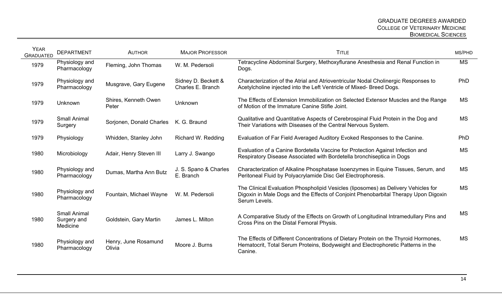| <b>YEAR</b><br><b>GRADUATED</b> | <b>DEPARTMENT</b>                              | <b>AUTHOR</b>                  | <b>MAJOR PROFESSOR</b>                   | <b>TITLE</b>                                                                                                                                                                               | MS/PHD     |
|---------------------------------|------------------------------------------------|--------------------------------|------------------------------------------|--------------------------------------------------------------------------------------------------------------------------------------------------------------------------------------------|------------|
| 1979                            | Physiology and<br>Pharmacology                 | Fleming, John Thomas           | W. M. Pedersoli                          | Tetracycline Abdominal Surgery, Methoxyflurane Anesthesia and Renal Function in<br>Dogs.                                                                                                   | <b>MS</b>  |
| 1979                            | Physiology and<br>Pharmacology                 | Musgrave, Gary Eugene          | Sidney D. Beckett &<br>Charles E. Branch | Characterization of the Atrial and Atrioventricular Nodal Cholinergic Responses to<br>Acetylcholine injected into the Left Ventricle of Mixed-Breed Dogs.                                  | <b>PhD</b> |
| 1979                            | Unknown                                        | Shires, Kenneth Owen<br>Peter  | Unknown                                  | The Effects of Extension Immobilization on Selected Extensor Muscles and the Range<br>of Motion of the Immature Canine Stifle Joint.                                                       | <b>MS</b>  |
| 1979                            | <b>Small Animal</b><br>Surgery                 | Sorjonen, Donald Charles       | K. G. Braund                             | Qualitative and Quantitative Aspects of Cerebrospinal Fluid Protein in the Dog and<br>Their Variations with Diseases of the Central Nervous System.                                        | <b>MS</b>  |
| 1979                            | Physiology                                     | Whidden, Stanley John          | Richard W. Redding                       | Evaluation of Far Field Averaged Auditory Evoked Responses to the Canine.                                                                                                                  | <b>PhD</b> |
| 1980                            | Microbiology                                   | Adair, Henry Steven III        | Larry J. Swango                          | Evaluation of a Canine Bordetella Vaccine for Protection Against Infection and<br>Respiratory Disease Associated with Bordetella bronchiseptica in Dogs                                    | MS         |
| 1980                            | Physiology and<br>Pharmacology                 | Dumas, Martha Ann Butz         | J. S. Spano & Charles<br>E. Branch       | Characterization of Alkaline Phosphatase Isoenzymes in Equine Tissues, Serum, and<br>Peritoneal Fluid by Polyacrylamide Disc Gel Electrophoresis.                                          | <b>MS</b>  |
| 1980                            | Physiology and<br>Pharmacology                 | Fountain, Michael Wayne        | W. M. Pedersoli                          | The Clinical Evaluation Phospholipid Vesicles (liposomes) as Delivery Vehicles for<br>Digoxin in Male Dogs and the Effects of Conjoint Phenobarbital Therapy Upon Digoxin<br>Serum Levels. | <b>MS</b>  |
| 1980                            | <b>Small Animal</b><br>Surgery and<br>Medicine | Goldstein, Gary Martin         | James L. Milton                          | A Comparative Study of the Effects on Growth of Longitudinal Intramedullary Pins and<br>Cross Pins on the Distal Femoral Physis.                                                           | <b>MS</b>  |
| 1980                            | Physiology and<br>Pharmacology                 | Henry, June Rosamund<br>Olivia | Moore J. Burns                           | The Effects of Different Concentrations of Dietary Protein on the Thyroid Hormones,<br>Hematocrit, Total Serum Proteins, Bodyweight and Electrophoretic Patterns in the<br>Canine.         | <b>MS</b>  |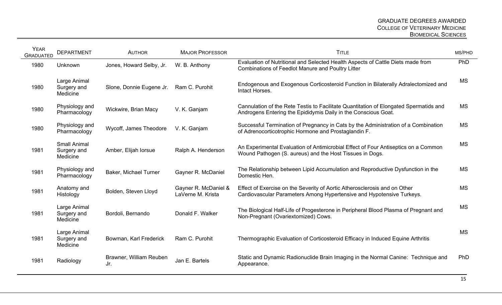| <b>YEAR</b><br><b>GRADUATED</b> | <b>DEPARTMENT</b>                              | <b>AUTHOR</b>                  | <b>MAJOR PROFESSOR</b>                    | <b>TITLE</b>                                                                                                                                            | MS/PHD    |
|---------------------------------|------------------------------------------------|--------------------------------|-------------------------------------------|---------------------------------------------------------------------------------------------------------------------------------------------------------|-----------|
| 1980                            | Unknown                                        | Jones, Howard Selby, Jr.       | W. B. Anthony                             | Evaluation of Nutritional and Selected Health Aspects of Cattle Diets made from<br><b>Combinations of Feedlot Manure and Poultry Litter</b>             | PhD       |
| 1980                            | Large Animal<br>Surgery and<br>Medicine        | Slone, Donnie Eugene Jr.       | Ram C. Purohit                            | Endogenous and Exogenous Corticosteroid Function in Bilaterally Adralectomized and<br>Intact Horses.                                                    | <b>MS</b> |
| 1980                            | Physiology and<br>Pharmacology                 | Wickwire, Brian Macy           | V. K. Ganjam                              | Cannulation of the Rete Testis to Facilitate Quantitation of Elongated Spermatids and<br>Androgens Entering the Epididymis Daily in the Conscious Goat. | <b>MS</b> |
| 1980                            | Physiology and<br>Pharmacology                 | Wycoff, James Theodore         | V. K. Ganjam                              | Successful Termination of Pregnancy in Cats by the Administration of a Combination<br>of Adrenocorticotrophic Hormone and Prostaglandin F.              | <b>MS</b> |
| 1981                            | <b>Small Animal</b><br>Surgery and<br>Medicine | Amber, Elijah lorsue           | Ralph A. Henderson                        | An Experimental Evaluation of Antimicrobial Effect of Four Antiseptics on a Common<br>Wound Pathogen (S. aureus) and the Host Tissues in Dogs.          | <b>MS</b> |
| 1981                            | Physiology and<br>Pharmacology                 | <b>Baker, Michael Turner</b>   | Gayner R. McDaniel                        | The Relationship between Lipid Accumulation and Reproductive Dysfunction in the<br>Domestic Hen.                                                        | <b>MS</b> |
| 1981                            | Anatomy and<br>Histology                       | Bolden, Steven Lloyd           | Gayner R. McDaniel &<br>LaVerne M. Krista | Effect of Exercise on the Severity of Aortic Atherosclerosis and on Other<br>Cardiovascular Parameters Among Hypertensive and Hypotensive Turkeys.      | <b>MS</b> |
| 1981                            | Large Animal<br>Surgery and<br>Medicine        | Bordoli, Bernando              | Donald F. Walker                          | The Biological Half-Life of Progesterone in Peripheral Blood Plasma of Pregnant and<br>Non-Pregnant (Ovariextomized) Cows.                              | <b>MS</b> |
| 1981                            | Large Animal<br>Surgery and<br>Medicine        | Bowman, Karl Frederick         | Ram C. Purohit                            | Thermographic Evaluation of Corticosteroid Efficacy in Induced Equine Arthritis                                                                         | <b>MS</b> |
| 1981                            | Radiology                                      | Brawner, William Reuben<br>Jr. | Jan E. Bartels                            | Static and Dynamic Radionuclide Brain Imaging in the Normal Canine: Technique and<br>Appearance.                                                        | PhD       |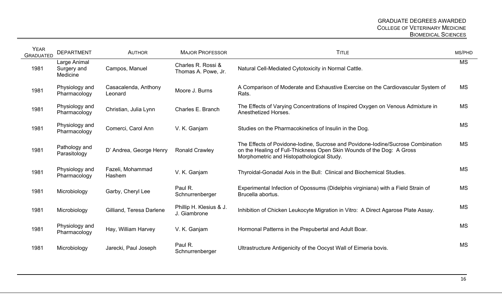| <b>YEAR</b><br><b>GRADUATED</b> | <b>DEPARTMENT</b>                       | <b>AUTHOR</b>                   | <b>MAJOR PROFESSOR</b>                    | <b>TITLE</b>                                                                                                                                                                                          | MS/PHD    |
|---------------------------------|-----------------------------------------|---------------------------------|-------------------------------------------|-------------------------------------------------------------------------------------------------------------------------------------------------------------------------------------------------------|-----------|
| 1981                            | Large Animal<br>Surgery and<br>Medicine | Campos, Manuel                  | Charles R. Rossi &<br>Thomas A. Powe, Jr. | Natural Cell-Mediated Cytotoxicity in Normal Cattle.                                                                                                                                                  | <b>MS</b> |
| 1981                            | Physiology and<br>Pharmacology          | Casacalenda, Anthony<br>Leonard | Moore J. Burns                            | A Comparison of Moderate and Exhaustive Exercise on the Cardiovascular System of<br>Rats.                                                                                                             | <b>MS</b> |
| 1981                            | Physiology and<br>Pharmacology          | Christian, Julia Lynn           | Charles E. Branch                         | The Effects of Varying Concentrations of Inspired Oxygen on Venous Admixture in<br>Anesthetized Horses.                                                                                               | MS        |
| 1981                            | Physiology and<br>Pharmacology          | Comerci, Carol Ann              | V. K. Ganjam                              | Studies on the Pharmacokinetics of Insulin in the Dog.                                                                                                                                                | <b>MS</b> |
| 1981                            | Pathology and<br>Parasitology           | D' Andrea, George Henry         | <b>Ronald Crawley</b>                     | The Effects of Povidone-Iodine, Sucrose and Povidone-Iodine/Sucrose Combination<br>on the Healing of Full-Thickness Open Skin Wounds of the Dog: A Gross<br>Morphometric and Histopathological Study. | <b>MS</b> |
| 1981                            | Physiology and<br>Pharmacology          | Fazeli, Mohammad<br>Hashem      | V. K. Ganjam                              | Thyroidal-Gonadal Axis in the Bull: Clinical and Biochemical Studies.                                                                                                                                 | <b>MS</b> |
| 1981                            | Microbiology                            | Garby, Cheryl Lee               | Paul R.<br>Schnurrenberger                | Experimental Infection of Opossums (Didelphis virginiana) with a Field Strain of<br>Brucella abortus.                                                                                                 | <b>MS</b> |
| 1981                            | Microbiology                            | Gilliand, Teresa Darlene        | Phillip H. Klesius & J.<br>J. Giambrone   | Inhibition of Chicken Leukocyte Migration in Vitro: A Direct Agarose Plate Assay.                                                                                                                     | <b>MS</b> |
| 1981                            | Physiology and<br>Pharmacology          | Hay, William Harvey             | V. K. Ganjam                              | Hormonal Patterns in the Prepubertal and Adult Boar.                                                                                                                                                  | <b>MS</b> |
| 1981                            | Microbiology                            | Jarecki, Paul Joseph            | Paul R.<br>Schnurrenberger                | Ultrastructure Antigenicity of the Oocyst Wall of Eimeria bovis.                                                                                                                                      | <b>MS</b> |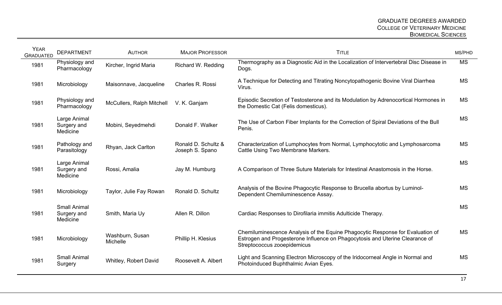| <b>YEAR</b><br><b>GRADUATED</b> | <b>DEPARTMENT</b>                              | <b>AUTHOR</b>               | <b>MAJOR PROFESSOR</b>                 | <b>TITLE</b>                                                                                                                                                                                  | MS/PHD    |
|---------------------------------|------------------------------------------------|-----------------------------|----------------------------------------|-----------------------------------------------------------------------------------------------------------------------------------------------------------------------------------------------|-----------|
| 1981                            | Physiology and<br>Pharmacology                 | Kircher, Ingrid Maria       | Richard W. Redding                     | Thermography as a Diagnostic Aid in the Localization of Intervertebral Disc Disease in<br>Dogs.                                                                                               | <b>MS</b> |
| 1981                            | Microbiology                                   | Maisonnave, Jacqueline      | Charles R. Rossi                       | A Technique for Detecting and Titrating Noncytopathogenic Bovine Viral Diarrhea<br>Virus.                                                                                                     | <b>MS</b> |
| 1981                            | Physiology and<br>Pharmacology                 | McCullers, Ralph Mitchell   | V. K. Ganjam                           | Episodic Secretion of Testosterone and its Modulation by Adrenocortical Hormones in<br>the Domestic Cat (Felis domesticus).                                                                   | <b>MS</b> |
| 1981                            | Large Animal<br>Surgery and<br>Medicine        | Mobini, Seyedmehdi          | Donald F. Walker                       | The Use of Carbon Fiber Implants for the Correction of Spiral Deviations of the Bull<br>Penis.                                                                                                | <b>MS</b> |
| 1981                            | Pathology and<br>Parasitology                  | Rhyan, Jack Carlton         | Ronald D. Schultz &<br>Joseph S. Spano | Characterization of Lumphocytes from Normal, Lymphocytotic and Lymphosarcoma<br>Cattle Using Two Membrane Markers.                                                                            | <b>MS</b> |
| 1981                            | Large Animal<br>Surgery and<br>Medicine        | Rossi, Amalia               | Jay M. Humburg                         | A Comparison of Three Suture Materials for Intestinal Anastomosis in the Horse.                                                                                                               | <b>MS</b> |
| 1981                            | Microbiology                                   | Taylor, Julie Fay Rowan     | Ronald D. Schultz                      | Analysis of the Bovine Phagocytic Response to Brucella abortus by Luminol-<br>Dependent Chemiluminescence Assay.                                                                              | <b>MS</b> |
| 1981                            | <b>Small Animal</b><br>Surgery and<br>Medicine | Smith, Maria Uy             | Allen R. Dillon                        | Cardiac Responses to Dirofilaria immitis Adulticide Therapy.                                                                                                                                  | <b>MS</b> |
| 1981                            | Microbiology                                   | Washburn, Susan<br>Michelle | Phillip H. Klesius                     | Chemiluminescence Analysis of the Equine Phagocytic Response for Evaluation of<br>Estrogen and Progesterone Influence on Phagocytosis and Uterine Clearance of<br>Streptococcus zooepidemicus | <b>MS</b> |
| 1981                            | <b>Small Animal</b><br>Surgery                 | Whitley, Robert David       | Roosevelt A. Albert                    | Light and Scanning Electron Microscopy of the Iridocorneal Angle in Normal and<br>Photoinduced Buphthalmic Avian Eyes.                                                                        | <b>MS</b> |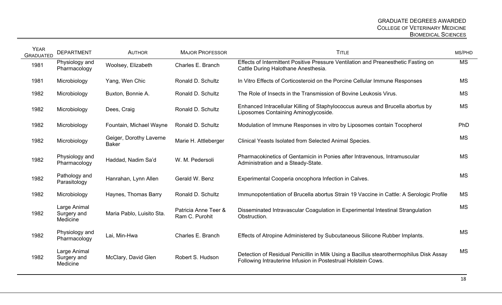| <b>YEAR</b><br><b>GRADUATED</b> | <b>DEPARTMENT</b>                       | <b>AUTHOR</b>                           | <b>MAJOR PROFESSOR</b>                 | <b>TITLE</b>                                                                                                                                             | MS/PHD    |
|---------------------------------|-----------------------------------------|-----------------------------------------|----------------------------------------|----------------------------------------------------------------------------------------------------------------------------------------------------------|-----------|
| 1981                            | Physiology and<br>Pharmacology          | Woolsey, Elizabeth                      | Charles E. Branch                      | Effects of Intermittent Positive Pressure Ventilation and Preanesthetic Fasting on<br>Cattle During Halothane Anesthesia.                                | <b>MS</b> |
| 1981                            | Microbiology                            | Yang, Wen Chic                          | Ronald D. Schultz                      | In Vitro Effects of Corticosteroid on the Porcine Cellular Immune Responses                                                                              | <b>MS</b> |
| 1982                            | Microbiology                            | Buxton, Bonnie A.                       | Ronald D. Schultz                      | The Role of Insects in the Transmission of Bovine Leukosis Virus.                                                                                        | <b>MS</b> |
| 1982                            | Microbiology                            | Dees, Craig                             | Ronald D. Schultz                      | Enhanced Intracellular Killing of Staphylococcus aureus and Brucella abortus by<br>Liposomes Containing Aminoglycoside.                                  | <b>MS</b> |
| 1982                            | Microbiology                            | Fountain, Michael Wayne                 | Ronald D. Schultz                      | Modulation of Immune Responses in vitro by Liposomes contain Tocopherol                                                                                  | PhD       |
| 1982                            | Microbiology                            | Geiger, Dorothy Laverne<br><b>Baker</b> | Marie H. Attleberger                   | Clinical Yeasts Isolated from Selected Animal Species.                                                                                                   | <b>MS</b> |
| 1982                            | Physiology and<br>Pharmacology          | Haddad, Nadim Sa'd                      | W. M. Pedersoli                        | Pharmacokinetics of Gentamicin in Ponies after Intravenous, Intramuscular<br>Administration and a Steady-State.                                          | <b>MS</b> |
| 1982                            | Pathology and<br>Parasitology           | Hanrahan, Lynn Allen                    | Gerald W. Benz                         | Experimental Cooperia oncophora Infection in Calves.                                                                                                     | <b>MS</b> |
| 1982                            | Microbiology                            | Haynes, Thomas Barry                    | Ronald D. Schultz                      | Immunopotentiation of Brucella abortus Strain 19 Vaccine in Cattle: A Serologic Profile                                                                  | MS        |
| 1982                            | Large Animal<br>Surgery and<br>Medicine | Maria Pablo, Luisito Sta.               | Patricia Anne Teer &<br>Ram C. Purohit | Disseminated Intravascular Coagulation in Experimental Intestinal Strangulation<br>Obstruction.                                                          | <b>MS</b> |
| 1982                            | Physiology and<br>Pharmacology          | Lai, Min-Hwa                            | Charles E. Branch                      | Effects of Atropine Administered by Subcutaneous Silicone Rubber Implants.                                                                               | <b>MS</b> |
| 1982                            | Large Animal<br>Surgery and<br>Medicine | McClary, David Glen                     | Robert S. Hudson                       | Detection of Residual Penicillin in Milk Using a Bacillus stearothermophilus Disk Assay<br>Following Intrauterine Infusion in Postestrual Holstein Cows. | <b>MS</b> |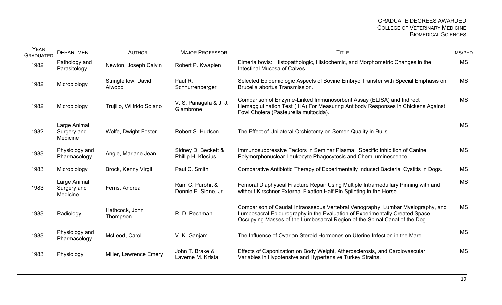| <b>YEAR</b><br><b>GRADUATED</b> | <b>DEPARTMENT</b>                       | <b>AUTHOR</b>                 | <b>MAJOR PROFESSOR</b>                    | <b>TITLE</b>                                                                                                                                                                                                                                 | MS/PHD    |
|---------------------------------|-----------------------------------------|-------------------------------|-------------------------------------------|----------------------------------------------------------------------------------------------------------------------------------------------------------------------------------------------------------------------------------------------|-----------|
| 1982                            | Pathology and<br>Parasitology           | Newton, Joseph Calvin         | Robert P. Kwapien                         | Eimeria bovis: Histopathologic, Histochemic, and Morphometric Changes in the<br>Intestinal Mucosa of Calves.                                                                                                                                 | <b>MS</b> |
| 1982                            | Microbiology                            | Stringfellow, David<br>Alwood | Paul R.<br>Schnurrenberger                | Selected Epidemiologic Aspects of Bovine Embryo Transfer with Special Emphasis on<br>Brucella abortus Transmission.                                                                                                                          | <b>MS</b> |
| 1982                            | Microbiology                            | Trujillo, Wilfrido Solano     | V. S. Panagala & J. J.<br>Giambrone       | Comparison of Enzyme-Linked Immunosorbent Assay (ELISA) and Indirect<br>Hemagglutination Test (IHA) For Measuring Antibody Responses in Chickens Against<br>Fowl Cholera (Pasteurella multocida).                                            | <b>MS</b> |
| 1982                            | Large Animal<br>Surgery and<br>Medicine | Wolfe, Dwight Foster          | Robert S. Hudson                          | The Effect of Unilateral Orchietomy on Semen Quality in Bulls.                                                                                                                                                                               | <b>MS</b> |
| 1983                            | Physiology and<br>Pharmacology          | Angle, Marlane Jean           | Sidney D. Beckett &<br>Phillip H. Klesius | Immunosuppressive Factors in Seminar Plasma: Specific Inhibition of Canine<br>Polymorphonuclear Leukocyte Phagocytosis and Chemiluminescence.                                                                                                | <b>MS</b> |
| 1983                            | Microbiology                            | Brock, Kenny Virgil           | Paul C. Smith                             | Comparative Antibiotic Therapy of Experimentally Induced Bacterial Cystitis in Dogs.                                                                                                                                                         | <b>MS</b> |
| 1983                            | Large Animal<br>Surgery and<br>Medicine | Ferris, Andrea                | Ram C. Purohit &<br>Donnie E. Slone, Jr.  | Femoral Diaphyseal Fracture Repair Using Multiple Intramedullary Pinning with and<br>without Kirschner External Fixation Half Pin Splinting in the Horse.                                                                                    | <b>MS</b> |
| 1983                            | Radiology                               | Hathcock, John<br>Thompson    | R. D. Pechman                             | Comparison of Caudal Intraosseous Vertebral Venography, Lumbar Myelography, and<br>Lumbosacral Epidurography in the Evaluation of Experimentally Created Space<br>Occupying Masses of the Lumbosacral Region of the Spinal Canal of the Dog. | <b>MS</b> |
| 1983                            | Physiology and<br>Pharmacology          | McLeod, Carol                 | V. K. Ganjam                              | The Influence of Ovarian Steroid Hormones on Uterine Infection in the Mare.                                                                                                                                                                  | <b>MS</b> |
| 1983                            | Physiology                              | Miller, Lawrence Emery        | John T. Brake &<br>Laverne M. Krista      | Effects of Caponization on Body Weight, Atherosclerosis, and Cardiovascular<br>Variables in Hypotensive and Hypertensive Turkey Strains.                                                                                                     | <b>MS</b> |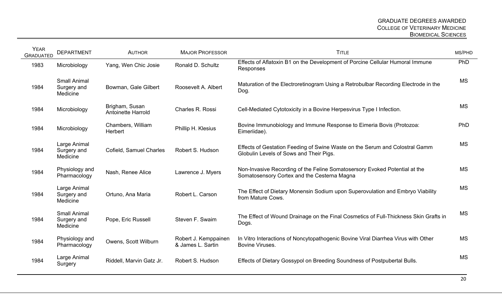| <b>YEAR</b><br><b>GRADUATED</b> | <b>DEPARTMENT</b>                              | <b>AUTHOR</b>                               | <b>MAJOR PROFESSOR</b>                    | <b>TITLE</b>                                                                                                              | MS/PHD     |
|---------------------------------|------------------------------------------------|---------------------------------------------|-------------------------------------------|---------------------------------------------------------------------------------------------------------------------------|------------|
| 1983                            | Microbiology                                   | Yang, Wen Chic Josie                        | Ronald D. Schultz                         | Effects of Aflatoxin B1 on the Development of Porcine Cellular Humoral Immune<br>Responses                                | <b>PhD</b> |
| 1984                            | <b>Small Animal</b><br>Surgery and<br>Medicine | Bowman, Gale Gilbert                        | Roosevelt A. Albert                       | Maturation of the Electroretinogram Using a Retrobulbar Recording Electrode in the<br>Dog.                                | <b>MS</b>  |
| 1984                            | Microbiology                                   | Brigham, Susan<br><b>Antoinette Harrold</b> | Charles R. Rossi                          | Cell-Mediated Cytotoxicity in a Bovine Herpesvirus Type I Infection.                                                      | <b>MS</b>  |
| 1984                            | Microbiology                                   | Chambers, William<br>Herbert                | Phillip H. Klesius                        | Bovine Immunobiology and Immune Response to Eimeria Bovis (Protozoa:<br>Eimeriidae).                                      | PhD        |
| 1984                            | Large Animal<br>Surgery and<br>Medicine        | Cofield, Samuel Charles                     | Robert S. Hudson                          | Effects of Gestation Feeding of Swine Waste on the Serum and Colostral Gamm<br>Globulin Levels of Sows and Their Pigs.    | <b>MS</b>  |
| 1984                            | Physiology and<br>Pharmacology                 | Nash, Renee Alice                           | Lawrence J. Myers                         | Non-Invasive Recording of the Feline Somatosersory Evoked Potential at the<br>Somatosensory Cortex and the Cesterna Magna | <b>MS</b>  |
| 1984                            | Large Animal<br>Surgery and<br>Medicine        | Ortuno, Ana Maria                           | Robert L. Carson                          | The Effect of Dietary Monensin Sodium upon Superovulation and Embryo Viability<br>from Mature Cows.                       | <b>MS</b>  |
| 1984                            | <b>Small Animal</b><br>Surgery and<br>Medicine | Pope, Eric Russell                          | Steven F. Swaim                           | The Effect of Wound Drainage on the Final Cosmetics of Full-Thickness Skin Grafts in<br>Dogs.                             | <b>MS</b>  |
| 1984                            | Physiology and<br>Pharmacology                 | Owens, Scott Wilburn                        | Robert J. Kemppainen<br>& James L. Sartin | In Vitro Interactions of Noncytopathogenic Bovine Viral Diarrhea Virus with Other<br><b>Bovine Viruses.</b>               | <b>MS</b>  |
| 1984                            | Large Animal<br>Surgery                        | Riddell, Marvin Gatz Jr.                    | Robert S. Hudson                          | Effects of Dietary Gossypol on Breeding Soundness of Postpubertal Bulls.                                                  | <b>MS</b>  |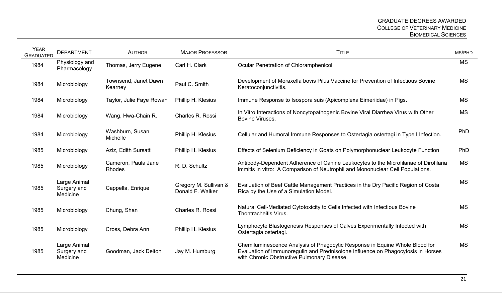| <b>YEAR</b><br><b>GRADUATED</b> | <b>DEPARTMENT</b>                       | <b>AUTHOR</b>                   | <b>MAJOR PROFESSOR</b>                    | <b>TITLE</b>                                                                                                                                                                                                   | MS/PHD     |
|---------------------------------|-----------------------------------------|---------------------------------|-------------------------------------------|----------------------------------------------------------------------------------------------------------------------------------------------------------------------------------------------------------------|------------|
| 1984                            | Physiology and<br>Pharmacology          | Thomas, Jerry Eugene            | Carl H. Clark                             | Ocular Penetration of Chloramphenicol                                                                                                                                                                          | <b>MS</b>  |
| 1984                            | Microbiology                            | Townsend, Janet Dawn<br>Kearney | Paul C. Smith                             | Development of Moraxella bovis Pilus Vaccine for Prevention of Infectious Bovine<br>Keratoconjunctivitis.                                                                                                      | <b>MS</b>  |
| 1984                            | Microbiology                            | Taylor, Julie Faye Rowan        | Phillip H. Klesius                        | Immune Response to Isospora suis (Apicomplexa Eimeriidae) in Pigs.                                                                                                                                             | <b>MS</b>  |
| 1984                            | Microbiology                            | Wang, Hwa-Chain R.              | Charles R. Rossi                          | In Vitro Interactions of Noncytopathogenic Bovine Viral Diarrhea Virus with Other<br>Bovine Viruses.                                                                                                           | <b>MS</b>  |
| 1984                            | Microbiology                            | Washburn, Susan<br>Michelle     | Phillip H. Klesius                        | Cellular and Humoral Immune Responses to Ostertagia ostertagi in Type I Infection.                                                                                                                             | <b>PhD</b> |
| 1985                            | Microbiology                            | Aziz, Edith Sursatti            | Phillip H. Klesius                        | Effects of Selenium Deficiency in Goats on Polymorphonuclear Leukocyte Function                                                                                                                                | <b>PhD</b> |
| 1985                            | Microbiology                            | Cameron, Paula Jane<br>Rhodes   | R. D. Schultz                             | Antibody-Dependent Adherence of Canine Leukocytes to the Microfilariae of Dirofilaria<br>immitis in vitro: A Comparison of Neutrophil and Mononuclear Cell Populations.                                        | <b>MS</b>  |
| 1985                            | Large Animal<br>Surgery and<br>Medicine | Cappella, Enrique               | Gregory M. Sullivan &<br>Donald F. Walker | Evaluation of Beef Cattle Management Practices in the Dry Pacific Region of Costa<br>Rica by the Use of a Simulation Model.                                                                                    | <b>MS</b>  |
| 1985                            | Microbiology                            | Chung, Shan                     | Charles R. Rossi                          | Natural Cell-Mediated Cytotoxicity to Cells Infected with Infectious Bovine<br>Thontracheitis Virus.                                                                                                           | <b>MS</b>  |
| 1985                            | Microbiology                            | Cross, Debra Ann                | Phillip H. Klesius                        | Lymphocyte Blastogenesis Responses of Calves Experimentally Infected with<br>Ostertagia ostertagi.                                                                                                             | <b>MS</b>  |
| 1985                            | Large Animal<br>Surgery and<br>Medicine | Goodman, Jack Delton            | Jay M. Humburg                            | Chemiluminescence Analysis of Phagocytic Response in Equine Whole Blood for<br>Evaluation of Immunoregulin and Prednisolone Influence on Phagocytosis in Horses<br>with Chronic Obstructive Pulmonary Disease. | <b>MS</b>  |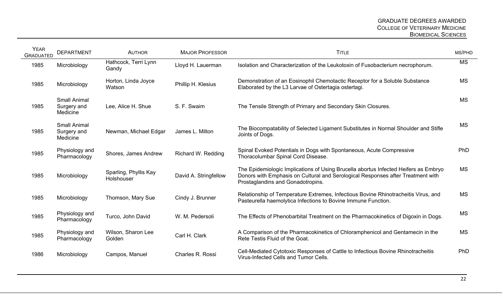| <b>YEAR</b><br><b>GRADUATED</b> | <b>DEPARTMENT</b>                              | <b>AUTHOR</b>                       | <b>MAJOR PROFESSOR</b> | <b>TITLE</b>                                                                                                                                                                                                | MS/PHD    |
|---------------------------------|------------------------------------------------|-------------------------------------|------------------------|-------------------------------------------------------------------------------------------------------------------------------------------------------------------------------------------------------------|-----------|
| 1985                            | Microbiology                                   | Hathcock, Terri Lynn<br>Gandy       | Lloyd H. Lauerman      | Isolation and Characterization of the Leukotoxin of Fusobacterium necrophorum.                                                                                                                              | <b>MS</b> |
| 1985                            | Microbiology                                   | Horton, Linda Joyce<br>Watson       | Phillip H. Klesius     | Demonstration of an Eosinophil Chemotactic Receptor for a Soluble Substance<br>Elaborated by the L3 Larvae of Ostertagia ostertagi.                                                                         | <b>MS</b> |
| 1985                            | <b>Small Animal</b><br>Surgery and<br>Medicine | Lee, Alice H. Shue                  | S. F. Swaim            | The Tensile Strength of Primary and Secondary Skin Closures.                                                                                                                                                | <b>MS</b> |
| 1985                            | <b>Small Animal</b><br>Surgery and<br>Medicine | Newman, Michael Edgar               | James L. Milton        | The Biocompatability of Selected Ligament Substitutes in Normal Shoulder and Stifle<br>Joints of Dogs.                                                                                                      | <b>MS</b> |
| 1985                            | Physiology and<br>Pharmacology                 | Shores, James Andrew                | Richard W. Redding     | Spinal Evoked Potentials in Dogs with Spontaneous, Acute Compressive<br>Thoracolumbar Spinal Cord Disease.                                                                                                  | PhD       |
| 1985                            | Microbiology                                   | Sparling, Phyllis Kay<br>Holshouser | David A. Stringfellow  | The Epidemiologic Implications of Using Brucella abortus Infected Heifers as Embryo<br>Donors with Emphasis on Cultural and Serological Responses after Treatment with<br>Prostaglandins and Gonadotropins. | <b>MS</b> |
| 1985                            | Microbiology                                   | Thomson, Mary Sue                   | Cindy J. Brunner       | Relationship of Temperature Extremes, Infectious Bovine Rhinotracheitis Virus, and<br>Pasteurella haemolytica Infections to Bovine Immune Function.                                                         | <b>MS</b> |
| 1985                            | Physiology and<br>Pharmacology                 | Turco, John David                   | W. M. Pedersoli        | The Effects of Phenobarbital Treatment on the Pharmacokinetics of Digoxin in Dogs.                                                                                                                          | <b>MS</b> |
| 1985                            | Physiology and<br>Pharmacology                 | Wilson, Sharon Lee<br>Golden        | Carl H. Clark          | A Comparison of the Pharmacokinetics of Chloramphenicol and Gentamecin in the<br>Rete Testis Fluid of the Goat.                                                                                             | <b>MS</b> |
| 1986                            | Microbiology                                   | Campos, Manuel                      | Charles R. Rossi       | Cell-Mediated Cytotoxic Responses of Cattle to Infectious Bovine Rhinotracheitis<br>Virus-Infected Cells and Tumor Cells.                                                                                   | PhD       |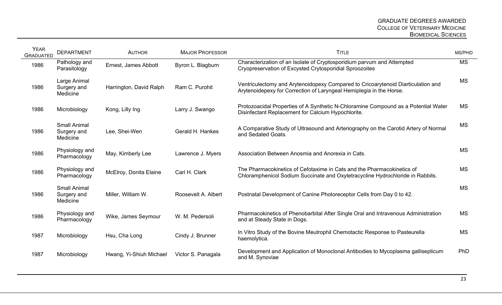| <b>YEAR</b><br><b>GRADUATED</b> | <b>DEPARTMENT</b>                              | <b>AUTHOR</b>           | <b>MAJOR PROFESSOR</b> | <b>TITLE</b>                                                                                                                                             | MS/PHD    |
|---------------------------------|------------------------------------------------|-------------------------|------------------------|----------------------------------------------------------------------------------------------------------------------------------------------------------|-----------|
| 1986                            | Pathology and<br>Parasitology                  | Ernest, James Abbott    | Byron L. Blagburn      | Characterization of an Isolate of Cryptosporidium parvum and Attempted<br>Cryopreservation of Excysted Crytosporidial Sproozoites                        | <b>MS</b> |
| 1986                            | Large Animal<br>Surgery and<br>Medicine        | Harrington, David Ralph | Ram C. Purohit         | Ventriculectomy and Arytenoidopexy Compared to Cricoarytenoid Diarticulation and<br>Arytenoidepexy for Correction of Laryngeal Hemiplegia in the Horse.  | <b>MS</b> |
| 1986                            | Microbiology                                   | Kong, Lilly Ing         | Larry J. Swango        | Protozoacidal Properties of A Synthetic N-Chloramine Compound as a Potential Water<br>Disinfectant Replacement for Calcium Hypochlorite.                 | <b>MS</b> |
| 1986                            | <b>Small Animal</b><br>Surgery and<br>Medicine | Lee, Shei-Wen           | Gerald H. Hankes       | A Comparative Study of Ultrasound and Arteriography on the Carotid Artery of Normal<br>and Sedated Goats.                                                | <b>MS</b> |
| 1986                            | Physiology and<br>Pharmacology                 | May, Kimberly Lee       | Lawrence J. Myers      | Association Between Anosmia and Anorexia in Cats.                                                                                                        | <b>MS</b> |
| 1986                            | Physiology and<br>Pharmacology                 | McElroy, Donita Elaine  | Carl H. Clark          | The Pharmacokinetics of Cefotaxime in Cats and the Pharmacokinetics of<br>Chloramphenicol Sodium Succinate and Oxytetracycline Hydrochloride in Rabbits. | <b>MS</b> |
| 1986                            | <b>Small Animal</b><br>Surgery and<br>Medicine | Miller, William W.      | Roosevelt A. Albert    | Postnatal Development of Canine Photoreceptor Cells from Day 0 to 42.                                                                                    | <b>MS</b> |
| 1986                            | Physiology and<br>Pharmacology                 | Wike, James Seymour     | W. M. Pedersoli        | Pharmacokinetics of Phenobarbital After Single Oral and Intravenous Administration<br>and at Steady State in Dogs.                                       | <b>MS</b> |
| 1987                            | Microbiology                                   | Hsu, Cha Long           | Cindy J. Brunner       | In Vitro Study of the Bovine Meutrophil Chemotactic Response to Pasteurella<br>haemolytica.                                                              | <b>MS</b> |
| 1987                            | Microbiology                                   | Hwang, Yi-Shiuh Michael | Victor S. Panagala     | Development and Application of Monoclonal Antibodies to Mycoplasma gallisepticum<br>and M. Synoviae                                                      | PhD       |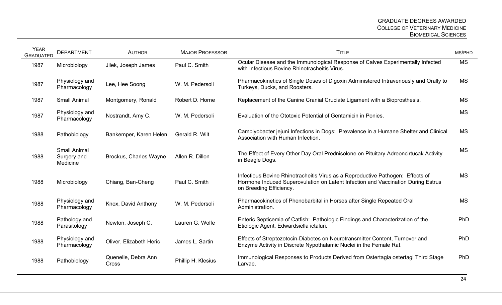| <b>YEAR</b><br><b>GRADUATED</b> | <b>DEPARTMENT</b>                              | <b>AUTHOR</b>                 | <b>MAJOR PROFESSOR</b> | <b>TITLE</b>                                                                                                                                                                                  | MS/PHD    |
|---------------------------------|------------------------------------------------|-------------------------------|------------------------|-----------------------------------------------------------------------------------------------------------------------------------------------------------------------------------------------|-----------|
| 1987                            | Microbiology                                   | Jilek, Joseph James           | Paul C. Smith          | Ocular Disease and the Immunological Response of Calves Experimentally Infected<br>with Infectious Bovine Rhinotracheitis Virus.                                                              | <b>MS</b> |
| 1987                            | Physiology and<br>Pharmacology                 | Lee, Hee Soong                | W. M. Pedersoli        | Pharmacokinetics of Single Doses of Digoxin Administered Intravenously and Orally to<br>Turkeys, Ducks, and Roosters.                                                                         | <b>MS</b> |
| 1987                            | <b>Small Animal</b>                            | Montgomery, Ronald            | Robert D. Horne        | Replacement of the Canine Cranial Cruciate Ligament with a Bioprosthesis.                                                                                                                     | <b>MS</b> |
| 1987                            | Physiology and<br>Pharmacology                 | Nostrandt, Amy C.             | W. M. Pedersoli        | Evaluation of the Ototoxic Potential of Gentamicin in Ponies.                                                                                                                                 | <b>MS</b> |
| 1988                            | Pathobiology                                   | Bankemper, Karen Helen        | Gerald R. Wilt         | Camplyobacter jejuni Infections in Dogs: Prevalence in a Humane Shelter and Clinical<br>Association with Human Infection.                                                                     | <b>MS</b> |
| 1988                            | <b>Small Animal</b><br>Surgery and<br>Medicine | <b>Brockus, Charles Wayne</b> | Allen R. Dillon        | The Effect of Every Other Day Oral Prednisolone on Pituitary-Adreoncirtucak Activity<br>in Beagle Dogs.                                                                                       | <b>MS</b> |
| 1988                            | Microbiology                                   | Chiang, Ban-Cheng             | Paul C. Smith          | Infectious Bovine Rhinotracheitis Virus as a Reproductive Pathogen: Effects of<br>Hormone Induced Superovulation on Latent Infection and Vaccination During Estrus<br>on Breeding Efficiency. | <b>MS</b> |
| 1988                            | Physiology and<br>Pharmacology                 | Knox, David Anthony           | W. M. Pedersoli        | Pharmacokinetics of Phenobarbital in Horses after Single Repeated Oral<br>Administration.                                                                                                     | <b>MS</b> |
| 1988                            | Pathology and<br>Parasitology                  | Newton, Joseph C.             | Lauren G. Wolfe        | Enteric Septicemia of Catfish: Pathologic Findings and Characterization of the<br>Etiologic Agent, Edwardsiella ictaluri.                                                                     | PhD       |
| 1988                            | Physiology and<br>Pharmacology                 | Oliver, Elizabeth Heric       | James L. Sartin        | Effects of Streptozotocin-Diabetes on Neurotransmitter Content, Turnover and<br>Enzyme Activity in Discrete Nypothalamic Nuclei in the Female Rat.                                            | PhD       |
| 1988                            | Pathobiology                                   | Quenelle, Debra Ann<br>Cross  | Phillip H. Klesius     | Immunological Responses to Products Derived from Ostertagia ostertagi Third Stage<br>Larvae.                                                                                                  | PhD       |
|                                 |                                                |                               |                        |                                                                                                                                                                                               |           |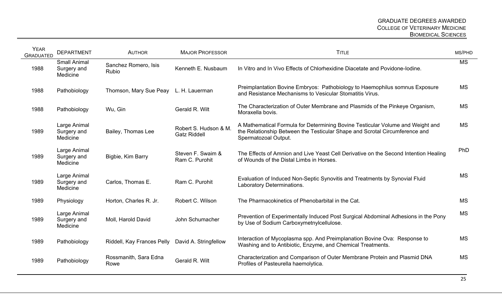| <b>YEAR</b><br><b>GRADUATED</b> | <b>DEPARTMENT</b>                              | <b>AUTHOR</b>                 | <b>MAJOR PROFESSOR</b>                       | <b>TITLE</b>                                                                                                                                                                          | MS/PHD     |
|---------------------------------|------------------------------------------------|-------------------------------|----------------------------------------------|---------------------------------------------------------------------------------------------------------------------------------------------------------------------------------------|------------|
| 1988                            | <b>Small Animal</b><br>Surgery and<br>Medicine | Sanchez Romero, Isis<br>Rubio | Kenneth E. Nusbaum                           | In Vitro and In Vivo Effects of Chlorhexidine Diacetate and Povidone-Iodine.                                                                                                          | <b>MS</b>  |
| 1988                            | Pathobiology                                   | Thomson, Mary Sue Peay        | L. H. Lauerman                               | Preimplantation Bovine Embryos: Pathobiology to Haemophilus somnus Exposure<br>and Resistance Mechanisms to Vesicular Stomatitis Virus.                                               | <b>MS</b>  |
| 1988                            | Pathobiology                                   | Wu, Gin                       | Gerald R. Wilt                               | The Characterization of Outer Membrane and Plasmids of the Pinkeye Organism,<br>Moraxella bovis.                                                                                      | <b>MS</b>  |
| 1989                            | Large Animal<br>Surgery and<br>Medicine        | Bailey, Thomas Lee            | Robert S. Hudson & M.<br><b>Gatz Riddell</b> | A Mathematical Formula for Determining Bovine Testicular Volume and Weight and<br>the Relationship Between the Testicular Shape and Scrotal Circumference and<br>Spermatozoal Output. | <b>MS</b>  |
| 1989                            | Large Animal<br>Surgery and<br>Medicine        | Bigbie, Kim Barry             | Steven F. Swaim &<br>Ram C. Purohit          | The Effects of Amnion and Live Yeast Cell Derivative on the Second Intention Healing<br>of Wounds of the Distal Limbs in Horses.                                                      | <b>PhD</b> |
| 1989                            | Large Animal<br>Surgery and<br>Medicine        | Carlos, Thomas E.             | Ram C. Purohit                               | Evaluation of Induced Non-Septic Synovitis and Treatments by Synovial Fluid<br>Laboratory Determinations.                                                                             | <b>MS</b>  |
| 1989                            | Physiology                                     | Horton, Charles R. Jr.        | Robert C. Wilson                             | The Pharmacokinetics of Phenobarbital in the Cat.                                                                                                                                     | <b>MS</b>  |
| 1989                            | Large Animal<br>Surgery and<br>Medicine        | Moll, Harold David            | John Schumacher                              | Prevention of Experimentally Induced Post Surgical Abdominal Adhesions in the Pony<br>by Use of Sodium Carboxymethylcellulose.                                                        | <b>MS</b>  |
| 1989                            | Pathobiology                                   | Riddell, Kay Frances Pelly    | David A. Stringfellow                        | Interaction of Mycoplasma spp. And Preimplanation Bovine Ova: Response to<br>Washing and to Antibiotic, Enzyme, and Chemical Treatments.                                              | <b>MS</b>  |
| 1989                            | Pathobiology                                   | Rossmanith, Sara Edna<br>Rowe | Gerald R. Wilt                               | Characterization and Comparison of Outer Membrane Protein and Plasmid DNA<br>Profiles of Pasteurella haemolytica.                                                                     | <b>MS</b>  |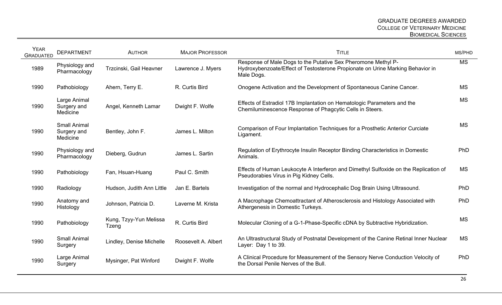| <b>YEAR</b><br><b>GRADUATED</b> | <b>DEPARTMENT</b>                              | <b>AUTHOR</b>                   | <b>MAJOR PROFESSOR</b> | <b>TITLE</b>                                                                                                                                                  | MS/PHD    |
|---------------------------------|------------------------------------------------|---------------------------------|------------------------|---------------------------------------------------------------------------------------------------------------------------------------------------------------|-----------|
| 1989                            | Physiology and<br>Pharmacology                 | Trzcinski, Gail Heavner         | Lawrence J. Myers      | Response of Male Dogs to the Putative Sex Pheromone Methyl P-<br>Hydroxybenzoate/Effect of Testosterone Propionate on Urine Marking Behavior in<br>Male Dogs. | <b>MS</b> |
| 1990                            | Pathobiology                                   | Ahern, Terry E.                 | R. Curtis Bird         | Onogene Activation and the Development of Spontaneous Canine Cancer.                                                                                          | <b>MS</b> |
| 1990                            | Large Animal<br>Surgery and<br>Medicine        | Angel, Kenneth Lamar            | Dwight F. Wolfe        | Effects of Estradiol 17B Implantation on Hematologic Parameters and the<br>Chemiluminescence Response of Phagcytic Cells in Steers.                           | <b>MS</b> |
| 1990                            | <b>Small Animal</b><br>Surgery and<br>Medicine | Bentley, John F.                | James L. Milton        | Comparison of Four Implantation Techniques for a Prosthetic Anterior Curciate<br>Ligament.                                                                    | <b>MS</b> |
| 1990                            | Physiology and<br>Pharmacology                 | Dieberg, Gudrun                 | James L. Sartin        | Regulation of Erythrocyte Insulin Receptor Binding Characteristics in Domestic<br>Animals.                                                                    | PhD       |
| 1990                            | Pathobiology                                   | Fan, Hsuan-Huang                | Paul C. Smith          | Effects of Human Leukocyte A Interferon and Dimethyl Sulfoxide on the Replication of<br>Pseudorabies Virus in Pig Kidney Cells.                               | <b>MS</b> |
| 1990                            | Radiology                                      | Hudson, Judith Ann Little       | Jan E. Bartels         | Investigation of the normal and Hydrocephalic Dog Brain Using Ultrasound.                                                                                     | PhD       |
| 1990                            | Anatomy and<br>Histology                       | Johnson, Patricia D.            | Laverne M. Krista      | A Macrophage Chemoattractant of Atherosclerosis and Histology Associated with<br>Athergenesis in Domestic Turkeys.                                            | PhD       |
| 1990                            | Pathobiology                                   | Kung, Tzyy-Yun Melissa<br>Tzeng | R. Curtis Bird         | Molecular Cloning of a G-1-Phase-Specific cDNA by Subtractive Hybridization.                                                                                  | <b>MS</b> |
| 1990                            | <b>Small Animal</b><br>Surgery                 | Lindley, Denise Michelle        | Roosevelt A. Albert    | An Ultrastructural Study of Postnatal Development of the Canine Retinal Inner Nuclear<br>Layer: Day 1 to 39.                                                  | <b>MS</b> |
| 1990                            | Large Animal<br>Surgery                        | Mysinger, Pat Winford           | Dwight F. Wolfe        | A Clinical Procedure for Measurement of the Sensory Nerve Conduction Velocity of<br>the Dorsal Penile Nerves of the Bull.                                     | PhD       |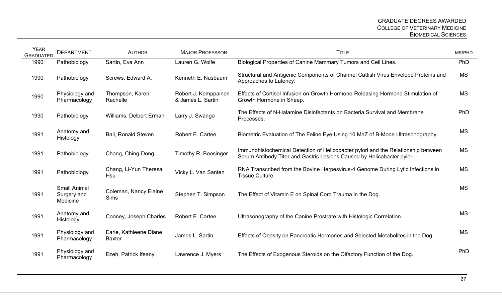| <b>YEAR</b><br><b>GRADUATED</b> | <b>DEPARTMENT</b>                              | <b>AUTHOR</b>                           | <b>MAJOR PROFESSOR</b>                    | <b>TITLE</b>                                                                                                                                                 | MS/PHD    |
|---------------------------------|------------------------------------------------|-----------------------------------------|-------------------------------------------|--------------------------------------------------------------------------------------------------------------------------------------------------------------|-----------|
| 1990                            | Pathobiology                                   | Sartin, Eva Ann                         | Lauren G. Wolfe                           | Biological Properties of Canine Mammary Tumors and Cell Lines.                                                                                               | PhD       |
| 1990                            | Pathobiology                                   | Screws, Edward A.                       | Kenneth E. Nusbaum                        | Structural and Antigenic Components of Channel Catfish Virus Envelope Proteins and<br>Approaches to Latency.                                                 | <b>MS</b> |
| 1990                            | Physiology and<br>Pharmacology                 | Thompson, Karen<br>Rachelle             | Robert J. Kemppainen<br>& James L. Sartin | Effects of Cortisol Infusion on Growth Hormone-Releasing Hormone Stimulation of<br>Growth Hormone in Sheep.                                                  | <b>MS</b> |
| 1990                            | Pathobiology                                   | Williams, Delbert Erman                 | Larry J. Swango                           | The Effects of N-Halamine Disinfectants on Bacteria Survival and Membrane<br>Processes.                                                                      | PhD       |
| 1991                            | Anatomy and<br>Histology                       | <b>Ball, Ronald Steven</b>              | Robert E. Cartee                          | Biometric Evaluation of The Feline Eye Using 10 MhZ of B-Mode Ultrasonography.                                                                               | <b>MS</b> |
| 1991                            | Pathobiology                                   | Chang, Ching-Dong                       | Timothy R. Boosinger                      | Immunohistochemical Detection of Helicobacter pylori and the Relationship between<br>Serum Antibody Titer and Gastric Lesions Caused by Helicobacter pylori. | <b>MS</b> |
| 1991                            | Pathobiology                                   | Chang, Li-Yun Theresa<br>Hsu            | Vicky L. Van Santen                       | RNA Transcribed from the Bovine Herpesvirus-4 Genome During Lytic Infections in<br>Tissue Culture.                                                           | <b>MS</b> |
| 1991                            | <b>Small Animal</b><br>Surgery and<br>Medicine | Coleman, Nancy Elaine<br><b>Sims</b>    | Stephen T. Simpson                        | The Effect of Vitamin E on Spinal Cord Trauma in the Dog.                                                                                                    | <b>MS</b> |
| 1991                            | Anatomy and<br>Histology                       | Cooney, Joseph Charles                  | Robert E. Cartee                          | Ultrasonography of the Canine Prostrate with Histologic Correlation.                                                                                         | <b>MS</b> |
| 1991                            | Physiology and<br>Pharmacology                 | Earle, Kathleene Diane<br><b>Baxter</b> | James L. Sartin                           | Effects of Obesity on Pancreatic Hormones and Selected Metabolites in the Dog.                                                                               | <b>MS</b> |
| 1991                            | Physiology and<br>Pharmacology                 | Ezeh, Patrick Ifeanyi                   | Lawrence J. Myers                         | The Effects of Exogenous Steroids on the Olfactory Function of the Dog.                                                                                      | PhD       |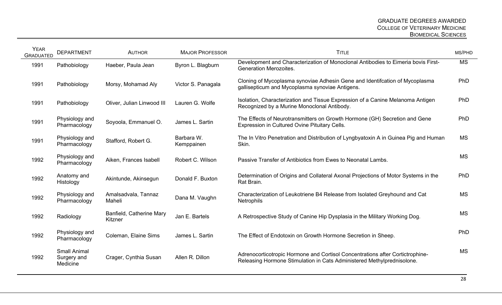| <b>YEAR</b><br><b>GRADUATED</b> | <b>DEPARTMENT</b>                              | <b>AUTHOR</b>                       | <b>MAJOR PROFESSOR</b>   | <b>TITLE</b>                                                                                                                                            | MS/PHD    |
|---------------------------------|------------------------------------------------|-------------------------------------|--------------------------|---------------------------------------------------------------------------------------------------------------------------------------------------------|-----------|
| 1991                            | Pathobiology                                   | Haeber, Paula Jean                  | Byron L. Blagburn        | Development and Characterization of Monoclonal Antibodies to Eimeria bovis First-<br><b>Generation Merozoites.</b>                                      | <b>MS</b> |
| 1991                            | Pathobiology                                   | Morsy, Mohamad Aly                  | Victor S. Panagala       | Cloning of Mycoplasma synoviae Adhesin Gene and Identifcation of Mycoplasma<br>gallisepticum and Mycoplasma synoviae Antigens.                          | PhD       |
| 1991                            | Pathobiology                                   | Oliver, Julian Linwood III          | Lauren G. Wolfe          | Isolation, Characterization and Tissue Expression of a Canine Melanoma Antigen<br>Recognized by a Murine Monoclonal Antibody.                           | PhD       |
| 1991                            | Physiology and<br>Pharmacology                 | Soyoola, Emmanuel O.                | James L. Sartin          | The Effects of Neurotransmitters on Growth Hormone (GH) Secretion and Gene<br>Expression in Cultured Ovine Pituitary Cells.                             | PhD       |
| 1991                            | Physiology and<br>Pharmacology                 | Stafford, Robert G.                 | Barbara W.<br>Kemppainen | The In Vitro Penetration and Distribution of Lyngbyatoxin A in Guinea Pig and Human<br>Skin.                                                            | <b>MS</b> |
| 1992                            | Physiology and<br>Pharmacology                 | Aiken, Frances Isabell              | Robert C. Wilson         | Passive Transfer of Antibiotics from Ewes to Neonatal Lambs.                                                                                            | <b>MS</b> |
| 1992                            | Anatomy and<br>Histology                       | Akintunde, Akinsegun                | Donald F. Buxton         | Determination of Origins and Collateral Axonal Projections of Motor Systems in the<br>Rat Brain.                                                        | PhD       |
| 1992                            | Physiology and<br>Pharmacology                 | Amalsadvala, Tannaz<br>Maheli       | Dana M. Vaughn           | Characterization of Leukotriene B4 Release from Isolated Greyhound and Cat<br><b>Netrophils</b>                                                         | <b>MS</b> |
| 1992                            | Radiology                                      | Banfield, Catherine Mary<br>Kitzner | Jan E. Bartels           | A Retrospective Study of Canine Hip Dysplasia in the Military Working Dog.                                                                              | <b>MS</b> |
| 1992                            | Physiology and<br>Pharmacology                 | Coleman, Elaine Sims                | James L. Sartin          | The Effect of Endotoxin on Growth Hormone Secretion in Sheep.                                                                                           | PhD       |
| 1992                            | <b>Small Animal</b><br>Surgery and<br>Medicine | Crager, Cynthia Susan               | Allen R. Dillon          | Adrenocorticotropic Hormone and Cortisol Concentrations after Cortictrophine-<br>Releasing Hormone Stimulation in Cats Administered Methylprednisolone. | <b>MS</b> |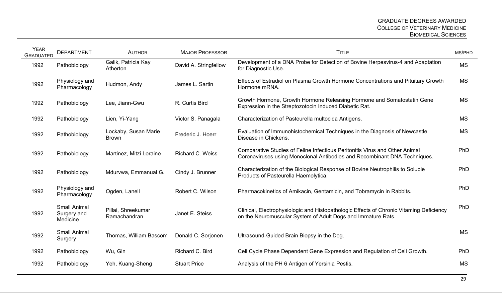| <b>YEAR</b><br><b>GRADUATED</b> | <b>DEPARTMENT</b>                              | <b>AUTHOR</b>                        | <b>MAJOR PROFESSOR</b>  | <b>TITLE</b>                                                                                                                                             | MS/PHD    |
|---------------------------------|------------------------------------------------|--------------------------------------|-------------------------|----------------------------------------------------------------------------------------------------------------------------------------------------------|-----------|
| 1992                            | Pathobiology                                   | Galik, Patricia Kay<br>Atherton      | David A. Stringfellow   | Development of a DNA Probe for Detection of Bovine Herpesvirus-4 and Adaptation<br>for Diagnostic Use.                                                   | <b>MS</b> |
| 1992                            | Physiology and<br>Pharmacology                 | Hudmon, Andy                         | James L. Sartin         | Effects of Estradiol on Plasma Growth Hormone Concentrations and Pituitary Growth<br>Hormone mRNA.                                                       | <b>MS</b> |
| 1992                            | Pathobiology                                   | Lee, Jiann-Gwu                       | R. Curtis Bird          | Growth Hormone, Growth Hormone Releasing Hormone and Somatostatin Gene<br>Expression in the Streptozotocin Induced Diabetic Rat.                         | <b>MS</b> |
| 1992                            | Pathobiology                                   | Lien, Yi-Yang                        | Victor S. Panagala      | Characterization of Pasteurella multocida Antigens.                                                                                                      | <b>MS</b> |
| 1992                            | Pathobiology                                   | Lockaby, Susan Marie<br><b>Brown</b> | Frederic J. Hoerr       | Evaluation of Immunohistochemical Techniques in the Diagnosis of Newcastle<br>Disease in Chickens.                                                       | <b>MS</b> |
| 1992                            | Pathobiology                                   | Martinez, Mitzi Loraine              | <b>Richard C. Weiss</b> | Comparative Studies of Feline Infectious Peritonitis Virus and Other Animal<br>Coronaviruses using Monoclonal Antibodies and Recombinant DNA Techniques. | PhD       |
| 1992                            | Pathobiology                                   | Mdurvwa, Emmanual G.                 | Cindy J. Brunner        | Characterization of the Biological Response of Bovine Neutrophilis to Soluble<br>Products of Pasteurella Haemolytica.                                    | PhD       |
| 1992                            | Physiology and<br>Pharmacology                 | Ogden, Lanell                        | Robert C. Wilson        | Pharmacokinetics of Amikacin, Gentamicin, and Tobramycin in Rabbits.                                                                                     | PhD       |
| 1992                            | <b>Small Animal</b><br>Surgery and<br>Medicine | Pillai, Shreekumar<br>Ramachandran   | Janet E. Steiss         | Clinical, Electrophysiologic and Histopathologic Effects of Chronic Vitaming Deficiency<br>on the Neuromuscular System of Adult Dogs and Immature Rats.  | PhD       |
| 1992                            | <b>Small Animal</b><br>Surgery                 | Thomas, William Bascom               | Donald C. Sorjonen      | Ultrasound-Guided Brain Biopsy in the Dog.                                                                                                               | <b>MS</b> |
| 1992                            | Pathobiology                                   | Wu, Gin                              | Richard C. Bird         | Cell Cycle Phase Dependent Gene Expression and Regulation of Cell Growth.                                                                                | PhD       |
| 1992                            | Pathobiology                                   | Yeh, Kuang-Sheng                     | <b>Stuart Price</b>     | Analysis of the PH 6 Antigen of Yersinia Pestis.                                                                                                         | <b>MS</b> |
|                                 |                                                |                                      |                         |                                                                                                                                                          |           |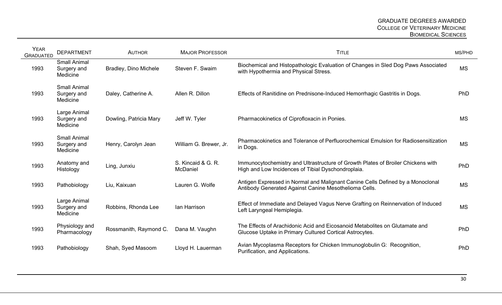| <b>YEAR</b><br><b>GRADUATED</b> | <b>DEPARTMENT</b>                              | <b>AUTHOR</b>                | <b>MAJOR PROFESSOR</b>         | <b>TITLE</b>                                                                                                                            | MS/PHD    |
|---------------------------------|------------------------------------------------|------------------------------|--------------------------------|-----------------------------------------------------------------------------------------------------------------------------------------|-----------|
| 1993                            | <b>Small Animal</b><br>Surgery and<br>Medicine | <b>Bradley, Dino Michele</b> | Steven F. Swaim                | Biochemical and Histopathologic Evaluation of Changes in Sled Dog Paws Associated<br>with Hypothermia and Physical Stress.              | <b>MS</b> |
| 1993                            | <b>Small Animal</b><br>Surgery and<br>Medicine | Daley, Catherine A.          | Allen R. Dillon                | Effects of Ranitidine on Prednisone-Induced Hemorrhagic Gastritis in Dogs.                                                              | PhD       |
| 1993                            | Large Animal<br>Surgery and<br>Medicine        | Dowling, Patricia Mary       | Jeff W. Tyler                  | Pharmacokinetics of Ciprofloxacin in Ponies.                                                                                            | <b>MS</b> |
| 1993                            | <b>Small Animal</b><br>Surgery and<br>Medicine | Henry, Carolyn Jean          | William G. Brewer, Jr.         | Pharmacokinetics and Tolerance of Perfluorochemical Emulsion for Radiosensitization<br>in Dogs.                                         | <b>MS</b> |
| 1993                            | Anatomy and<br>Histology                       | Ling, Junxiu                 | S. Kincaid & G. R.<br>McDaniel | Immunocytochemistry and Ultrastructure of Growth Plates of Broiler Chickens with<br>High and Low Incidences of Tibial Dyschondroplaia.  | PhD       |
| 1993                            | Pathobiology                                   | Liu, Kaixuan                 | Lauren G. Wolfe                | Antigen Expressed in Normal and Malignant Canine Cells Defined by a Monoclonal<br>Antibody Generated Against Canine Mesothelioma Cells. | <b>MS</b> |
| 1993                            | Large Animal<br>Surgery and<br>Medicine        | Robbins, Rhonda Lee          | Ian Harrison                   | Effect of Immediate and Delayed Vagus Nerve Grafting on Reinnervation of Induced<br>Left Laryngeal Hemiplegia.                          | <b>MS</b> |
| 1993                            | Physiology and<br>Pharmacology                 | Rossmanith, Raymond C.       | Dana M. Vaughn                 | The Effects of Arachidonic Acid and Eicosanoid Metabolites on Glutamate and<br>Glucose Uptake in Primary Cultured Cortical Astrocytes.  | PhD       |
| 1993                            | Pathobiology                                   | Shah, Syed Masoom            | Lloyd H. Lauerman              | Avian Mycoplasma Receptors for Chicken Immunoglobulin G: Recognition,<br>Purification, and Applications.                                | PhD       |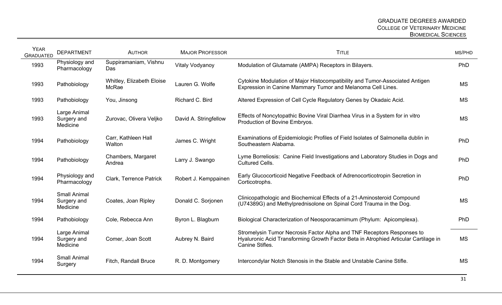| <b>YEAR</b><br><b>GRADUATED</b> | <b>DEPARTMENT</b>                              | <b>AUTHOR</b>                      | <b>MAJOR PROFESSOR</b> | <b>TITLE</b>                                                                                                                                                                     | MS/PHD     |
|---------------------------------|------------------------------------------------|------------------------------------|------------------------|----------------------------------------------------------------------------------------------------------------------------------------------------------------------------------|------------|
| 1993                            | Physiology and<br>Pharmacology                 | Suppiramaniam, Vishnu<br>Das       | Vitaly Vodyanoy        | Modulation of Glutamate (AMPA) Receptors in Bilayers.                                                                                                                            | PhD        |
| 1993                            | Pathobiology                                   | Whitley, Elizabeth Eloise<br>McRae | Lauren G. Wolfe        | Cytokine Modulation of Major Histocompatibility and Tumor-Associated Antigen<br>Expression in Canine Mammary Tumor and Melanoma Cell Lines.                                      | <b>MS</b>  |
| 1993                            | Pathobiology                                   | You, Jinsong                       | Richard C. Bird        | Altered Expression of Cell Cycle Regulatory Genes by Okadaic Acid.                                                                                                               | <b>MS</b>  |
| 1993                            | Large Animal<br>Surgery and<br>Medicine        | Zurovac, Olivera Veljko            | David A. Stringfellow  | Effects of Noncytopathic Bovine Viral Diarrhea Virus in a System for in vitro<br>Production of Bovine Embryos.                                                                   | <b>MS</b>  |
| 1994                            | Pathobiology                                   | Carr, Kathleen Hall<br>Walton      | James C. Wright        | Examinations of Epidemiologic Profiles of Field Isolates of Salmonella dublin in<br>Southeastern Alabama.                                                                        | PhD        |
| 1994                            | Pathobiology                                   | Chambers, Margaret<br>Andrea       | Larry J. Swango        | Lyme Borreliosis: Canine Field Investigations and Laboratory Studies in Dogs and<br><b>Cultured Cells.</b>                                                                       | PhD        |
| 1994                            | Physiology and<br>Pharmacology                 | <b>Clark, Terrence Patrick</b>     | Robert J. Kemppainen   | Early Glucocorticoid Negative Feedback of Adrenocorticotropin Secretion in<br>Corticotrophs.                                                                                     | PhD        |
| 1994                            | <b>Small Animal</b><br>Surgery and<br>Medicine | Coates, Joan Ripley                | Donald C. Sorjonen     | Clinicopathologic and Biochemical Effects of a 21-Aminosteroid Compound<br>(U74389G) and Methylprednisolone on Spinal Cord Trauma in the Dog.                                    | <b>MS</b>  |
| 1994                            | Pathobiology                                   | Cole, Rebecca Ann                  | Byron L. Blagburn      | Biological Characterization of Neosporacamimum (Phylum: Apicomplexa).                                                                                                            | <b>PhD</b> |
| 1994                            | Large Animal<br>Surgery and<br>Medicine        | Comer, Joan Scott                  | Aubrey N. Baird        | Stromelysin Tumor Necrosis Factor Alpha and TNF Receptors Responses to<br>Hyaluronic Acid Transforming Growth Factor Beta in Atrophied Articular Cartilage in<br>Canine Stifles. | <b>MS</b>  |
| 1994                            | <b>Small Animal</b><br>Surgery                 | Fitch, Randall Bruce               | R. D. Montgomery       | Intercondylar Notch Stenosis in the Stable and Unstable Canine Stifle.                                                                                                           | <b>MS</b>  |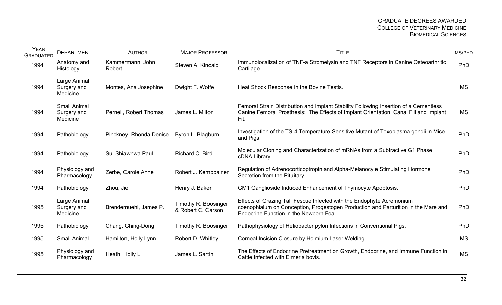| <b>YEAR</b><br><b>GRADUATED</b> | <b>DEPARTMENT</b>                              | <b>AUTHOR</b>              | <b>MAJOR PROFESSOR</b>                     | <b>TITLE</b>                                                                                                                                                                                           | MS/PHD     |
|---------------------------------|------------------------------------------------|----------------------------|--------------------------------------------|--------------------------------------------------------------------------------------------------------------------------------------------------------------------------------------------------------|------------|
| 1994                            | Anatomy and<br>Histology                       | Kammermann, John<br>Robert | Steven A. Kincaid                          | Immunolocalization of TNF-a Stromelysin and TNF Receptors in Canine Osteoarthritic<br>Cartilage.                                                                                                       | PhD        |
| 1994                            | Large Animal<br>Surgery and<br>Medicine        | Montes, Ana Josephine      | Dwight F. Wolfe                            | Heat Shock Response in the Bovine Testis.                                                                                                                                                              | <b>MS</b>  |
| 1994                            | <b>Small Animal</b><br>Surgery and<br>Medicine | Pernell, Robert Thomas     | James L. Milton                            | Femoral Strain Distribution and Implant Stability Following Insertion of a Cementless<br>Canine Femoral Prosthesis: The Effects of Implant Orientation, Canal Fill and Implant<br>Fit.                 | MS         |
| 1994                            | Pathobiology                                   | Pinckney, Rhonda Denise    | Byron L. Blagburn                          | Investigation of the TS-4 Temperature-Sensitive Mutant of Toxoplasma gondii in Mice<br>and Pigs.                                                                                                       | PhD        |
| 1994                            | Pathobiology                                   | Su, Shiawhwa Paul          | Richard C. Bird                            | Molecular Cloning and Characterization of mRNAs from a Subtractive G1 Phase<br>cDNA Library.                                                                                                           | PhD        |
| 1994                            | Physiology and<br>Pharmacology                 | Zerbe, Carole Anne         | Robert J. Kemppainen                       | Regulation of Adrenocorticoptropin and Alpha-Melanocyle Stimulating Hormone<br>Secretion from the Pituitary.                                                                                           | PhD        |
| 1994                            | Pathobiology                                   | Zhou, Jie                  | Henry J. Baker                             | GM1 Ganglioside Induced Enhancement of Thymocyte Apoptosis.                                                                                                                                            | PhD        |
| 1995                            | Large Animal<br>Surgery and<br>Medicine        | Brendemuehl, James P.      | Timothy R. Boosinger<br>& Robert C. Carson | Effects of Grazing Tall Fescue Infected with the Endophyte Acremonium<br>coenophialum on Conception, Progestogen Production and Parturition in the Mare and<br>Endocrine Function in the Newborn Foal. | <b>PhD</b> |
| 1995                            | Pathobiology                                   | Chang, Ching-Dong          | Timothy R. Boosinger                       | Pathophysiology of Heliobacter pylori Infections in Conventional Pigs.                                                                                                                                 | PhD        |
| 1995                            | <b>Small Animal</b>                            | Hamilton, Holly Lynn       | Robert D. Whitley                          | Corneal Incision Closure by Holmium Laser Welding.                                                                                                                                                     | <b>MS</b>  |
| 1995                            | Physiology and<br>Pharmacology                 | Heath, Holly L.            | James L. Sartin                            | The Effects of Endocrine Pretreatment on Growth, Endocrine, and Immune Function in<br>Cattle Infected with Eimeria bovis.                                                                              | <b>MS</b>  |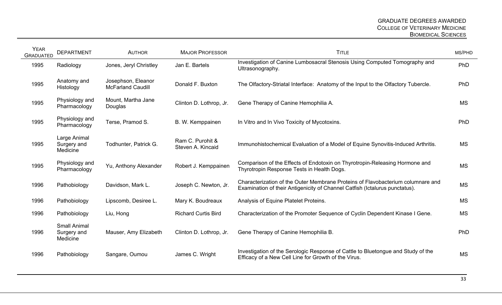| <b>YEAR</b><br><b>GRADUATED</b> | <b>DEPARTMENT</b>                              | <b>AUTHOR</b>                                  | <b>MAJOR PROFESSOR</b>                | <b>TITLE</b>                                                                                                                                                   | MS/PHD    |
|---------------------------------|------------------------------------------------|------------------------------------------------|---------------------------------------|----------------------------------------------------------------------------------------------------------------------------------------------------------------|-----------|
| 1995                            | Radiology                                      | Jones, Jeryl Christley                         | Jan E. Bartels                        | Investigation of Canine Lumbosacral Stenosis Using Computed Tomography and<br>Ultrasonography.                                                                 | PhD       |
| 1995                            | Anatomy and<br>Histology                       | Josephson, Eleanor<br><b>McFarland Caudill</b> | Donald F. Buxton                      | The Olfactory-Striatal Interface: Anatomy of the Input to the Olfactory Tubercle.                                                                              | PhD       |
| 1995                            | Physiology and<br>Pharmacology                 | Mount, Martha Jane<br>Douglas                  | Clinton D. Lothrop, Jr.               | Gene Therapy of Canine Hemophilia A.                                                                                                                           | <b>MS</b> |
| 1995                            | Physiology and<br>Pharmacology                 | Terse, Pramod S.                               | B. W. Kemppainen                      | In Vitro and In Vivo Toxicity of Mycotoxins.                                                                                                                   | PhD       |
| 1995                            | Large Animal<br>Surgery and<br>Medicine        | Todhunter, Patrick G.                          | Ram C. Purohit &<br>Steven A. Kincaid | Immunohistochemical Evaluation of a Model of Equine Synovitis-Induced Arthritis.                                                                               | <b>MS</b> |
| 1995                            | Physiology and<br>Pharmacology                 | Yu, Anthony Alexander                          | Robert J. Kemppainen                  | Comparison of the Effects of Endotoxin on Thyrotropin-Releasing Hormone and<br>Thyrotropin Response Tests in Health Dogs.                                      | <b>MS</b> |
| 1996                            | Pathobiology                                   | Davidson, Mark L.                              | Joseph C. Newton, Jr.                 | Characterization of the Outer Membrane Proteins of Flavobacterium columnare and<br>Examination of their Antigenicity of Channel Catfish (Ictalurus punctatus). | <b>MS</b> |
| 1996                            | Pathobiology                                   | Lipscomb, Desiree L.                           | Mary K. Boudreaux                     | Analysis of Equine Platelet Proteins.                                                                                                                          | <b>MS</b> |
| 1996                            | Pathobiology                                   | Liu, Hong                                      | <b>Richard Curtis Bird</b>            | Characterization of the Promoter Sequence of Cyclin Dependent Kinase I Gene.                                                                                   | <b>MS</b> |
| 1996                            | <b>Small Animal</b><br>Surgery and<br>Medicine | Mauser, Amy Elizabeth                          | Clinton D. Lothrop, Jr.               | Gene Therapy of Canine Hemophilia B.                                                                                                                           | PhD       |
| 1996                            | Pathobiology                                   | Sangare, Oumou                                 | James C. Wright                       | Investigation of the Serologic Response of Cattle to Bluetongue and Study of the<br>Efficacy of a New Cell Line for Growth of the Virus.                       | <b>MS</b> |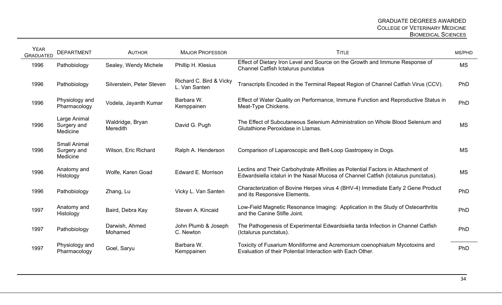| <b>YEAR</b><br><b>GRADUATED</b> | <b>DEPARTMENT</b>                              | <b>AUTHOR</b>                       | <b>MAJOR PROFESSOR</b>                   | <b>TITLE</b>                                                                                                                                                           | MS/PHD    |
|---------------------------------|------------------------------------------------|-------------------------------------|------------------------------------------|------------------------------------------------------------------------------------------------------------------------------------------------------------------------|-----------|
| 1996                            | Pathobiology                                   | Sealey, Wendy Michele               | Phillip H. Klesius                       | Effect of Dietary Iron Level and Source on the Growth and Immune Response of<br>Channel Catfish Ictalurus punctatus                                                    | <b>MS</b> |
| 1996                            | Pathobiology                                   | Silverstein, Peter Steven           | Richard C. Bird & Vicky<br>L. Van Santen | Transcripts Encoded in the Terminal Repeat Region of Channel Catfish Virus (CCV).                                                                                      | PhD       |
| 1996                            | Physiology and<br>Pharmacology                 | Vodela, Jayanth Kumar               | Barbara W.<br>Kemppainen                 | Effect of Water Quality on Performance, Immune Function and Reproductive Status in<br>Meat-Type Chickens.                                                              | PhD       |
| 1996                            | Large Animal<br>Surgery and<br>Medicine        | Waldridge, Bryan<br><b>Meredith</b> | David G. Pugh                            | The Effect of Subcutaneous Selenium Administration on Whole Blood Selenium and<br>Glutathione Peroxidase in Llamas.                                                    | <b>MS</b> |
| 1996                            | <b>Small Animal</b><br>Surgery and<br>Medicine | Wilson, Eric Richard                | Ralph A. Henderson                       | Comparison of Laparoscopic and Belt-Loop Gastropexy in Dogs.                                                                                                           | <b>MS</b> |
| 1996                            | Anatomy and<br>Histology                       | Wolfe, Karen Goad                   | Edward E. Morrison                       | Lectins and Their Carbohydrate Affinities as Potential Factors in Attachment of<br>Edwardsiella ictaluri in the Nasal Mucosa of Channel Catfish (Ictalurus punctatus). | <b>MS</b> |
| 1996                            | Pathobiology                                   | Zhang, Lu                           | Vicky L. Van Santen                      | Characterization of Bovine Herpes virus 4 (BHV-4) Immediate Early 2 Gene Product<br>and its Responsive Elements.                                                       | PhD       |
| 1997                            | Anatomy and<br>Histology                       | Baird, Debra Kay                    | Steven A. Kincaid                        | Low-Field Magnetic Resonance Imaging: Application in the Study of Osteoarthritis<br>and the Canine Stifle Joint.                                                       | PhD       |
| 1997                            | Pathobiology                                   | Darwish, Ahmed<br>Mohamed           | John Plumb & Joseph<br>C. Newton         | The Pathogenesis of Experimental Edwardsiella tarda Infection in Channel Catfish<br>(Ictalurus punctatus).                                                             | PhD       |
| 1997                            | Physiology and<br>Pharmacology                 | Goel, Saryu                         | Barbara W.<br>Kemppainen                 | Toxicity of Fusarium Moniliforme and Acremonium coenophialum Mycotoxins and<br>Evaluation of their Potential Interaction with Each Other.                              | PhD       |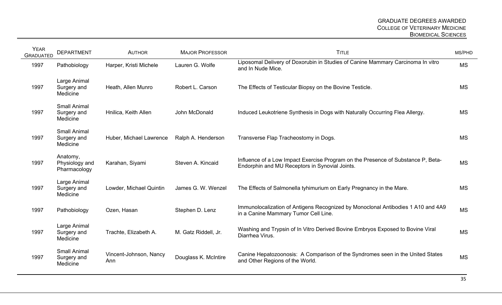| <b>YEAR</b><br><b>GRADUATED</b> | <b>DEPARTMENT</b>                              | <b>AUTHOR</b>                 | <b>MAJOR PROFESSOR</b> | <b>TITLE</b>                                                                                                                       | MS/PHD    |
|---------------------------------|------------------------------------------------|-------------------------------|------------------------|------------------------------------------------------------------------------------------------------------------------------------|-----------|
| 1997                            | Pathobiology                                   | Harper, Kristi Michele        | Lauren G. Wolfe        | Liposomal Delivery of Doxorubin in Studies of Canine Mammary Carcinoma In vitro<br>and In Nude Mice.                               | <b>MS</b> |
| 1997                            | Large Animal<br>Surgery and<br>Medicine        | Heath, Allen Munro            | Robert L. Carson       | The Effects of Testicular Biopsy on the Bovine Testicle.                                                                           | <b>MS</b> |
| 1997                            | <b>Small Animal</b><br>Surgery and<br>Medicine | Hnilica, Keith Allen          | John McDonald          | Induced Leukotriene Synthesis in Dogs with Naturally Occurring Flea Allergy.                                                       | <b>MS</b> |
| 1997                            | <b>Small Animal</b><br>Surgery and<br>Medicine | Huber, Michael Lawrence       | Ralph A. Henderson     | Transverse Flap Tracheostomy in Dogs.                                                                                              | <b>MS</b> |
| 1997                            | Anatomy,<br>Physiology and<br>Pharmacology     | Karahan, Siyami               | Steven A. Kincaid      | Influence of a Low Impact Exercise Program on the Presence of Substance P, Beta-<br>Endorphin and MU Receptors in Synovial Joints. | <b>MS</b> |
| 1997                            | Large Animal<br>Surgery and<br>Medicine        | Lowder, Michael Quintin       | James G. W. Wenzel     | The Effects of Salmonella tyhimurium on Early Pregnancy in the Mare.                                                               | <b>MS</b> |
| 1997                            | Pathobiology                                   | Ozen, Hasan                   | Stephen D. Lenz        | Immunolocalization of Antigens Recognized by Monoclonal Antibodies 1 A10 and 4A9<br>in a Canine Mammary Tumor Cell Line.           | <b>MS</b> |
| 1997                            | Large Animal<br>Surgery and<br>Medicine        | Trachte, Elizabeth A.         | M. Gatz Riddell, Jr.   | Washing and Trypsin of In Vitro Derived Bovine Embryos Exposed to Bovine Viral<br>Diarrhea Virus.                                  | <b>MS</b> |
| 1997                            | <b>Small Animal</b><br>Surgery and<br>Medicine | Vincent-Johnson, Nancy<br>Ann | Douglass K. McIntire   | Canine Hepatozoonosis: A Comparison of the Syndromes seen in the United States<br>and Other Regions of the World.                  | <b>MS</b> |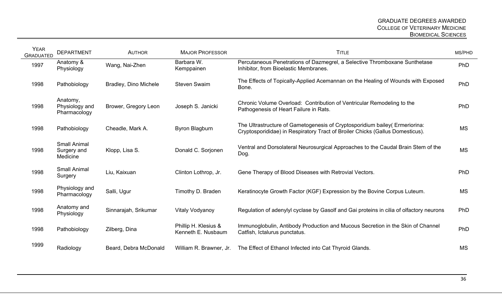| <b>YEAR</b><br><b>GRADUATED</b> | <b>DEPARTMENT</b>                              | <b>AUTHOR</b>         | <b>MAJOR PROFESSOR</b>                     | <b>TITLE</b>                                                                                                                                                 | MS/PHD    |
|---------------------------------|------------------------------------------------|-----------------------|--------------------------------------------|--------------------------------------------------------------------------------------------------------------------------------------------------------------|-----------|
| 1997                            | Anatomy &<br>Physiology                        | Wang, Nai-Zhen        | Barbara W.<br>Kemppainen                   | Percutaneous Penetrations of Dazmegrel, a Selective Thromboxane Sunthetase<br>Inhibitor, from Bioelastic Membranes.                                          | PhD       |
| 1998                            | Pathobiology                                   | Bradley, Dino Michele | <b>Steven Swaim</b>                        | The Effects of Topically-Applied Acemannan on the Healing of Wounds with Exposed<br>Bone.                                                                    | PhD       |
| 1998                            | Anatomy,<br>Physiology and<br>Pharmacology     | Brower, Gregory Leon  | Joseph S. Janicki                          | Chronic Volume Overload: Contribution of Ventricular Remodeling to the<br>Pathogenesis of Heart Failure in Rats.                                             | PhD       |
| 1998                            | Pathobiology                                   | Cheadle, Mark A.      | <b>Byron Blagburn</b>                      | The Ultrastructure of Gametogenesis of Cryptosporidium bailey (Ermeriorina:<br>Cryptosporididae) in Respiratory Tract of Broiler Chicks (Gallus Domesticus). | <b>MS</b> |
| 1998                            | <b>Small Animal</b><br>Surgery and<br>Medicine | Klopp, Lisa S.        | Donald C. Sorjonen                         | Ventral and Dorsolateral Neurosurgical Approaches to the Caudal Brain Stem of the<br>Dog.                                                                    | <b>MS</b> |
| 1998                            | <b>Small Animal</b><br>Surgery                 | Liu, Kaixuan          | Clinton Lothrop, Jr.                       | Gene Therapy of Blood Diseases with Retrovial Vectors.                                                                                                       | PhD       |
| 1998                            | Physiology and<br>Pharmacology                 | Salli, Ugur           | Timothy D. Braden                          | Keratinocyte Growth Factor (KGF) Expression by the Bovine Corpus Luteum.                                                                                     | <b>MS</b> |
| 1998                            | Anatomy and<br>Physiology                      | Sinnarajah, Srikumar  | <b>Vitaly Vodyanoy</b>                     | Regulation of adenylyl cyclase by Gasolf and Gai proteins in cilia of olfactory neurons                                                                      | PhD       |
| 1998                            | Pathobiology                                   | Zilberg, Dina         | Phillip H. Klesius &<br>Kenneth E. Nusbaum | Immunoglobulin, Antibody Production and Mucous Secretion in the Skin of Channel<br>Catfish, Ictalurus punctatus.                                             | PhD       |
| 1999                            | Radiology                                      | Beard, Debra McDonald | William R. Brawner, Jr.                    | The Effect of Ethanol Infected into Cat Thyroid Glands.                                                                                                      | <b>MS</b> |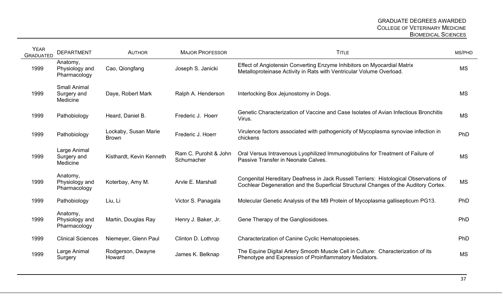| <b>YEAR</b><br><b>GRADUATED</b> | <b>DEPARTMENT</b>                              | <b>AUTHOR</b>                        | <b>MAJOR PROFESSOR</b>              | <b>TITLE</b>                                                                                                                                                                  | MS/PHD    |
|---------------------------------|------------------------------------------------|--------------------------------------|-------------------------------------|-------------------------------------------------------------------------------------------------------------------------------------------------------------------------------|-----------|
| 1999                            | Anatomy,<br>Physiology and<br>Pharmacology     | Cao, Qiongfang                       | Joseph S. Janicki                   | Effect of Angiotensin Converting Enzyme Inhibitors on Myocardial Matrix<br>Metalloproteinase Activity in Rats with Ventricular Volume Overload.                               | <b>MS</b> |
| 1999                            | <b>Small Animal</b><br>Surgery and<br>Medicine | Daye, Robert Mark                    | Ralph A. Henderson                  | Interlocking Box Jejunostomy in Dogs.                                                                                                                                         | <b>MS</b> |
| 1999                            | Pathobiology                                   | Heard, Daniel B.                     | Frederic J. Hoerr                   | Genetic Characterization of Vaccine and Case Isolates of Avian Infectious Bronchitis<br>Virus.                                                                                | <b>MS</b> |
| 1999                            | Pathobiology                                   | Lockaby, Susan Marie<br><b>Brown</b> | Frederic J. Hoerr                   | Virulence factors associated with pathogenicity of Mycoplasma synoviae infection in<br>chickens                                                                               | PhD       |
| 1999                            | Large Animal<br>Surgery and<br>Medicine        | Kisthardt, Kevin Kenneth             | Ram C. Purohit & John<br>Schumacher | Oral Versus Intravenous Lyophilized Immunoglobulins for Treatment of Failure of<br>Passive Transfer in Neonate Calves.                                                        | <b>MS</b> |
| 1999                            | Anatomy,<br>Physiology and<br>Pharmacology     | Koterbay, Amy M.                     | Arvle E. Marshall                   | Congenital Hereditary Deafness in Jack Russell Terriers: Histological Observations of<br>Cochlear Degeneration and the Superficial Structural Changes of the Auditory Cortex. | <b>MS</b> |
| 1999                            | Pathobiology                                   | Liu, Li                              | Victor S. Panagala                  | Molecular Genetic Analysis of the M9 Protein of Mycoplasma gallisepticum PG13.                                                                                                | PhD       |
| 1999                            | Anatomy,<br>Physiology and<br>Pharmacology     | Martin, Douglas Ray                  | Henry J. Baker, Jr.                 | Gene Therapy of the Gangliosidoses.                                                                                                                                           | PhD       |
| 1999                            | <b>Clinical Sciences</b>                       | Niemeyer, Glenn Paul                 | Clinton D. Lothrop                  | Characterization of Canine Cyclic Hematopoieses.                                                                                                                              | PhD       |
| 1999                            | Large Animal<br>Surgery                        | Rodgerson, Dwayne<br>Howard          | James K. Belknap                    | The Equine Digital Artery Smooth Muscle Cell in Culture: Characterization of its<br>Phenotype and Expression of Proinflammatory Mediators.                                    | <b>MS</b> |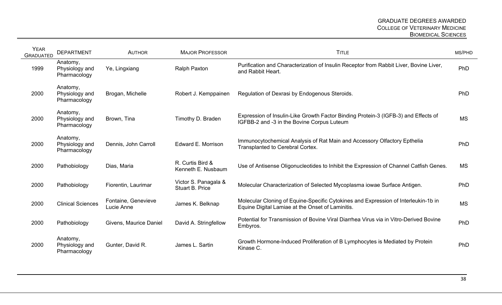| <b>YEAR</b><br><b>GRADUATED</b> | <b>DEPARTMENT</b>                          | <b>AUTHOR</b>                     | <b>MAJOR PROFESSOR</b>                         | <b>TITLE</b>                                                                                                                           | MS/PHD    |
|---------------------------------|--------------------------------------------|-----------------------------------|------------------------------------------------|----------------------------------------------------------------------------------------------------------------------------------------|-----------|
| 1999                            | Anatomy,<br>Physiology and<br>Pharmacology | Ye, Lingxiang                     | <b>Ralph Paxton</b>                            | Purification and Characterization of Insulin Receptor from Rabbit Liver, Bovine Liver,<br>and Rabbit Heart.                            | PhD       |
| 2000                            | Anatomy,<br>Physiology and<br>Pharmacology | Brogan, Michelle                  | Robert J. Kemppainen                           | Regulation of Dexrasi by Endogenous Steroids.                                                                                          | PhD       |
| 2000                            | Anatomy,<br>Physiology and<br>Pharmacology | Brown, Tina                       | Timothy D. Braden                              | Expression of Insulin-Like Growth Factor Binding Protein-3 (IGFB-3) and Effects of<br>IGFBB-2 and -3 in the Bovine Corpus Luteum       | <b>MS</b> |
| 2000                            | Anatomy,<br>Physiology and<br>Pharmacology | Dennis, John Carroll              | Edward E. Morrison                             | Immunocytochemical Analysis of Rat Main and Accessory Olfactory Epthelia<br>Transplanted to Cerebral Cortex.                           | PhD       |
| 2000                            | Pathobiology                               | Dias, Maria                       | R. Curtis Bird &<br>Kenneth E. Nusbaum         | Use of Antisense Oligonucleotides to Inhibit the Expression of Channel Catfish Genes.                                                  | <b>MS</b> |
| 2000                            | Pathobiology                               | Fiorentin, Laurimar               | Victor S. Panagala &<br><b>Stuart B. Price</b> | Molecular Characterization of Selected Mycoplasma iowae Surface Antigen.                                                               | PhD       |
| 2000                            | <b>Clinical Sciences</b>                   | Fontaine, Genevieve<br>Lucie Anne | James K. Belknap                               | Molecular Cloning of Equine-Specific Cytokines and Expression of Interleukin-1b in<br>Equine Digital Lamiae at the Onset of Laminitis. | <b>MS</b> |
| 2000                            | Pathobiology                               | Givens, Maurice Daniel            | David A. Stringfellow                          | Potential for Transmission of Bovine Viral Diarrhea Virus via in Vitro-Derived Bovine<br>Embyros.                                      | PhD       |
| 2000                            | Anatomy,<br>Physiology and<br>Pharmacology | Gunter, David R.                  | James L. Sartin                                | Growth Hormone-Induced Proliferation of B Lymphocytes is Mediated by Protein<br>Kinase C.                                              | PhD       |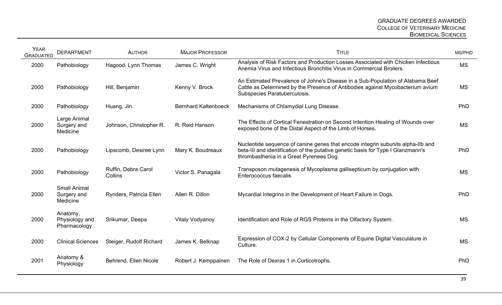| <b>YEAR</b><br><b>GRADUATED</b> | <b>DEPARTMENT</b>                              | <b>AUTHOR</b>                  | <b>MAJOR PROFESSOR</b>      | <b>TITLE</b>                                                                                                                                                                                                   | MS/PHD    |
|---------------------------------|------------------------------------------------|--------------------------------|-----------------------------|----------------------------------------------------------------------------------------------------------------------------------------------------------------------------------------------------------------|-----------|
| 2000                            | Pathobiology                                   | Hagood, Lynn Thomas            | James C. Wright             | Analysis of Risk Factors and Production Losses Associated with Chicken Infectious<br>Anemia Virus and Infectious Bronchitis Virus in Commercial Broilers.                                                      | <b>MS</b> |
| 2000                            | Pathobiology                                   | Hill, Benjamin                 | Kenny V. Brock              | An Estimated Prevalence of Johne's Disease in a Sub-Population of Alabama Beef<br>Cattle as Determined by the Presence of Antibodies against Mycobacterium avium<br>Subspecies Paratuberculosis.               | <b>MS</b> |
| 2000                            | Pathobiology                                   | Huang, Jin                     | <b>Bernhard Kaltenboeck</b> | Mechanisms of Chlamydial Lung Disease.                                                                                                                                                                         | PhD       |
| 2000                            | Large Animal<br>Surgery and<br>Medicine        | Johnson, Christopher R.        | R. Reid Hanson              | The Effects of Cortical Fenestration on Second Intention Healing of Wounds over<br>exposed bone of the Distal Aspect of the Limb of Horses.                                                                    | <b>MS</b> |
| 2000                            | Pathobiology                                   | Lipscomb, Desiree Lynn         | Mary K. Boudreaux           | Nucleotide sequence of canine genes that encode integrin subunits alpha-IIb and<br>beta-III and identification of the putative genetic basis for Type I Glanzmann's<br>thrombasthenia in a Great Pyrenees Dog. | PhD       |
| 2000                            | Pathobiology                                   | Ruffin, Debra Carol<br>Collins | Victor S. Panagala          | Transposon mutagenesis of Mycoplasma gallisepticum by conjugation with<br>Enterococcus faecalis                                                                                                                | <b>MS</b> |
| 2000                            | <b>Small Animal</b><br>Surgery and<br>Medicine | Rynders, Patricia Ellen        | Allen R. Dillon             | Mycardial Integrins in the Development of Heart Failure in Dogs.                                                                                                                                               | PhD       |
| 2000                            | Anatomy,<br>Physiology and<br>Pharmacology     | Srikumar, Deepa                | Vitaly Vodyanoy             | Identification and Role of RGS Proteins in the Olfactory System.                                                                                                                                               | <b>MS</b> |
| 2000                            | <b>Clinical Sciences</b>                       | Steiger, Rudolf Richard        | James K. Belknap            | Expression of COX-2 by Cellular Components of Equine Digital Vasculature in<br>Culture.                                                                                                                        | <b>MS</b> |
| 2001                            | Anatomy &<br>Physiology                        | Behrend, Ellen Nicole          | Robert J. Kemppainen        | The Role of Dexras 1 in Corticotrophs.                                                                                                                                                                         | PhD       |
|                                 |                                                |                                |                             |                                                                                                                                                                                                                |           |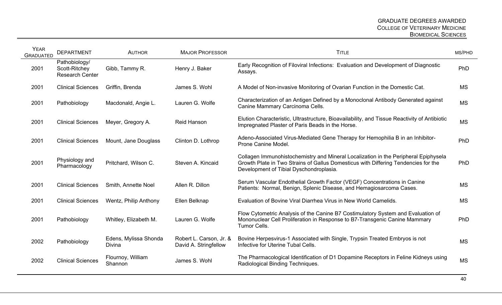| <b>YEAR</b><br><b>GRADUATED</b> | <b>DEPARTMENT</b>                                        | <b>AUTHOR</b>                          | <b>MAJOR PROFESSOR</b>                           | <b>TITLE</b>                                                                                                                                                                                                         | MS/PHD    |
|---------------------------------|----------------------------------------------------------|----------------------------------------|--------------------------------------------------|----------------------------------------------------------------------------------------------------------------------------------------------------------------------------------------------------------------------|-----------|
| 2001                            | Pathobiology/<br>Scott-Ritchey<br><b>Research Center</b> | Gibb, Tammy R.                         | Henry J. Baker                                   | Early Recognition of Filoviral Infections: Evaluation and Development of Diagnostic<br>Assays.                                                                                                                       | PhD       |
| 2001                            | <b>Clinical Sciences</b>                                 | Griffin, Brenda                        | James S. Wohl                                    | A Model of Non-invasive Monitoring of Ovarian Function in the Domestic Cat.                                                                                                                                          | <b>MS</b> |
| 2001                            | Pathobiology                                             | Macdonald, Angie L.                    | Lauren G. Wolfe                                  | Characterization of an Antigen Defined by a Monoclonal Antibody Generated against<br>Canine Mammary Carcinoma Cells.                                                                                                 | <b>MS</b> |
| 2001                            | <b>Clinical Sciences</b>                                 | Meyer, Gregory A.                      | <b>Reid Hanson</b>                               | Elution Characteristic, Ultrastructure, Bioavailability, and Tissue Reactivity of Antibiotic<br>Impregnated Plaster of Paris Beads in the Horse.                                                                     | <b>MS</b> |
| 2001                            | <b>Clinical Sciences</b>                                 | Mount, Jane Douglass                   | Clinton D. Lothrop                               | Adeno-Associated Virus-Mediated Gene Therapy for Hemophilia B in an Inhibitor-<br>Prone Canine Model.                                                                                                                | PhD       |
| 2001                            | Physiology and<br>Pharmacology                           | Pritchard, Wilson C.                   | Steven A. Kincaid                                | Collagen Immunohistochemistry and Mineral Localization in the Peripheral Epiphysela<br>Growth Plate in Two Strains of Gallus Domesticus with Differing Tendencies for the<br>Development of Tibial Dyschondroplasia. | PhD       |
| 2001                            | <b>Clinical Sciences</b>                                 | Smith, Annette Noel                    | Allen R. Dillon                                  | Serum Vascular Endothelial Growth Factor (VEGF) Concentrations in Canine<br>Patients: Normal, Benign, Splenic Disease, and Hemagiosarcoma Cases.                                                                     | <b>MS</b> |
| 2001                            | <b>Clinical Sciences</b>                                 | Wentz, Philip Anthony                  | Ellen Belknap                                    | Evaluation of Bovine Viral Diarrhea Virus in New World Camelids.                                                                                                                                                     | <b>MS</b> |
| 2001                            | Pathobiology                                             | Whitley, Elizabeth M.                  | Lauren G. Wolfe                                  | Flow Cytometric Analysis of the Canine B7 Costimulatory System and Evaluation of<br>Mononuclear Cell Proliferation in Response to B7-Transgenic Canine Mammary<br>Tumor Cells.                                       | PhD       |
| 2002                            | Pathobiology                                             | Edens, Mylissa Shonda<br><b>Divina</b> | Robert L. Carson, Jr. &<br>David A. Stringfellow | Bovine Herpesvirus-1 Associated with Single, Trypsin Treated Embryos is not<br>Infective for Uterine Tubal Cells.                                                                                                    | <b>MS</b> |
| 2002                            | <b>Clinical Sciences</b>                                 | Flournoy, William<br>Shannon           | James S. Wohl                                    | The Pharmacological Identification of D1 Dopamine Receptors in Feline Kidneys using<br>Radiological Binding Techniques.                                                                                              | <b>MS</b> |
|                                 |                                                          |                                        |                                                  |                                                                                                                                                                                                                      |           |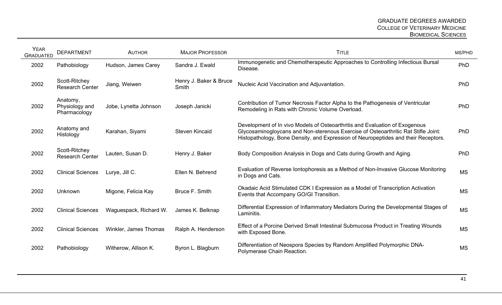| <b>YEAR</b><br><b>GRADUATED</b> | <b>DEPARTMENT</b>                          | <b>AUTHOR</b>          | <b>MAJOR PROFESSOR</b>          | <b>TITLE</b>                                                                                                                                                                                                                                            | MS/PHD     |
|---------------------------------|--------------------------------------------|------------------------|---------------------------------|---------------------------------------------------------------------------------------------------------------------------------------------------------------------------------------------------------------------------------------------------------|------------|
| 2002                            | Pathobiology                               | Hudson, James Carey    | Sandra J. Ewald                 | Immunogenetic and Chemotherapeutic Approaches to Controlling Infectious Bursal<br>Disease.                                                                                                                                                              | PhD        |
| 2002                            | Scott-Ritchey<br><b>Research Center</b>    | Jiang, Weiwen          | Henry J. Baker & Bruce<br>Smith | Nucleic Acid Vaccination and Adjuvantation.                                                                                                                                                                                                             | PhD        |
| 2002                            | Anatomy,<br>Physiology and<br>Pharmacology | Jobe, Lynetta Johnson  | Joseph Janicki                  | Contribution of Tumor Necrosis Factor Alpha to the Pathogenesis of Ventricular<br>Remodeling in Rats with Chronic Volume Overload.                                                                                                                      | PhD        |
| 2002                            | Anatomy and<br>Histology                   | Karahan, Siyami        | <b>Steven Kincaid</b>           | Development of In vivo Models of Osteoarthritis and Evaluation of Exogenous<br>Glycosaminogloycans and Non-sterenous Exercise of Osteoarthritic Rat Stifle Joint:<br>Histopathology, Bone Density, and Expression of Neuropeptides and their Receptors. | <b>PhD</b> |
| 2002                            | Scott-Ritchey<br><b>Research Center</b>    | Lauten, Susan D.       | Henry J. Baker                  | Body Composition Analysis in Dogs and Cats during Growth and Aging.                                                                                                                                                                                     | PhD        |
| 2002                            | <b>Clinical Sciences</b>                   | Lurye, Jill C.         | Ellen N. Behrend                | Evaluation of Reverse Iontophoresis as a Method of Non-Invasive Glucose Monitoring<br>in Dogs and Cats.                                                                                                                                                 | <b>MS</b>  |
| 2002                            | Unknown                                    | Migone, Felicia Kay    | Bruce F. Smith                  | Okadaic Acid Stimulated CDK I Expression as a Model of Transcription Activation<br>Events that Accompany GO/GI Transition.                                                                                                                              | <b>MS</b>  |
| 2002                            | <b>Clinical Sciences</b>                   | Waguespack, Richard W. | James K. Belknap                | Differential Expression of Inflammatory Mediators During the Developmental Stages of<br>Laminitis.                                                                                                                                                      | <b>MS</b>  |
| 2002                            | <b>Clinical Sciences</b>                   | Winkler, James Thomas  | Ralph A. Henderson              | Effect of a Porcine Derived Small Intestinal Submucosa Product in Treating Wounds<br>with Exposed Bone.                                                                                                                                                 | <b>MS</b>  |
| 2002                            | Pathobiology                               | Witherow, Allison K.   | Byron L. Blagburn               | Differentiation of Neospora Species by Random Amplified Polymorphic DNA-<br>Polymerase Chain Reaction.                                                                                                                                                  | <b>MS</b>  |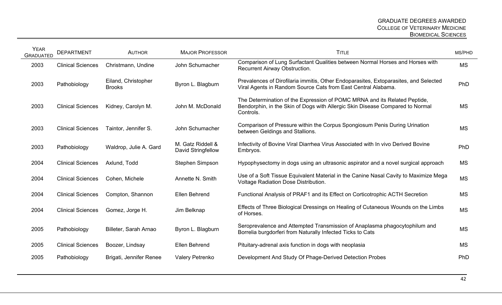| <b>Clinical Sciences</b><br>Pathobiology | Christmann, Undine<br>Eiland, Christopher | John Schumacher                                                                                                                                                                                                                       | Comparison of Lung Surfactant Qualities between Normal Horses and Horses with<br>Recurrent Airway Obstruction.                                                          | <b>MS</b> |
|------------------------------------------|-------------------------------------------|---------------------------------------------------------------------------------------------------------------------------------------------------------------------------------------------------------------------------------------|-------------------------------------------------------------------------------------------------------------------------------------------------------------------------|-----------|
|                                          |                                           |                                                                                                                                                                                                                                       |                                                                                                                                                                         |           |
|                                          |                                           | Byron L. Blagburn                                                                                                                                                                                                                     | Prevalences of Dirofilaria immitis, Other Endoparasites, Extoparasites, and Selected<br>Viral Agents in Random Source Cats from East Central Alabama.                   | PhD       |
| <b>Clinical Sciences</b>                 |                                           |                                                                                                                                                                                                                                       | The Determination of the Expression of POMC MRNA and its Related Peptide,<br>Bendorphin, in the Skin of Dogs with Allergic Skin Disease Compared to Normal<br>Controls. | <b>MS</b> |
| <b>Clinical Sciences</b>                 |                                           | John Schumacher                                                                                                                                                                                                                       | Comparison of Pressure within the Corpus Spongiosum Penis During Urination<br>between Geldings and Stallions.                                                           | <b>MS</b> |
| Pathobiology                             |                                           | David Stringfellow                                                                                                                                                                                                                    | Infectivity of Bovine Viral Diarrhea Virus Associated with In vivo Derived Bovine<br>Embryos.                                                                           | PhD       |
| <b>Clinical Sciences</b>                 |                                           |                                                                                                                                                                                                                                       | Hypophysectomy in dogs using an ultrasonic aspirator and a novel surgical approach                                                                                      | <b>MS</b> |
| <b>Clinical Sciences</b>                 |                                           | Annette N. Smith                                                                                                                                                                                                                      | Use of a Soft Tissue Equivalent Material in the Canine Nasal Cavity to Maximize Mega<br><b>Voltage Radiation Dose Distribution.</b>                                     | <b>MS</b> |
| <b>Clinical Sciences</b>                 |                                           |                                                                                                                                                                                                                                       | Functional Analysis of PRAF1 and its Effect on Corticotrophic ACTH Secretion                                                                                            | <b>MS</b> |
| <b>Clinical Sciences</b>                 |                                           |                                                                                                                                                                                                                                       | Effects of Three Biological Dressings on Healing of Cutaneous Wounds on the Limbs<br>of Horses.                                                                         | <b>MS</b> |
| Pathobiology                             |                                           | Byron L. Blagburn                                                                                                                                                                                                                     | Seroprevalence and Attempted Transmission of Anaplasma phagocytophilum and<br>Borrelia burgdorferi from Naturally Infected Ticks to Cats                                | <b>MS</b> |
| <b>Clinical Sciences</b>                 |                                           |                                                                                                                                                                                                                                       | Pituitary-adrenal axis function in dogs with neoplasia                                                                                                                  | <b>MS</b> |
| Pathobiology                             |                                           | Valery Petrenko                                                                                                                                                                                                                       | Development And Study Of Phage-Derived Detection Probes                                                                                                                 | PhD       |
|                                          |                                           | <b>Brooks</b><br>Kidney, Carolyn M.<br>Taintor, Jennifer S.<br>Waldrop, Julie A. Gard<br>Axlund, Todd<br>Cohen, Michele<br>Compton, Shannon<br>Gomez, Jorge H.<br>Billeter, Sarah Arnao<br>Boozer, Lindsay<br>Brigati, Jennifer Renee | John M. McDonald<br>M. Gatz Riddell &<br><b>Stephen Simpson</b><br>Ellen Behrend<br>Jim Belknap<br>Ellen Behrend                                                        |           |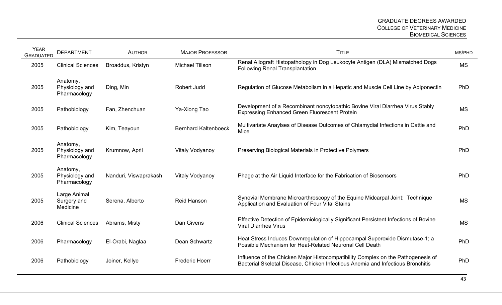| <b>YEAR</b><br><b>GRADUATED</b> | <b>DEPARTMENT</b>                          | <b>AUTHOR</b>         | <b>MAJOR PROFESSOR</b>      | <b>TITLE</b>                                                                                                                                                        | MS/PHD     |
|---------------------------------|--------------------------------------------|-----------------------|-----------------------------|---------------------------------------------------------------------------------------------------------------------------------------------------------------------|------------|
| 2005                            | <b>Clinical Sciences</b>                   | Broaddus, Kristyn     | <b>Michael Tillson</b>      | Renal Allograft Histopathology in Dog Leukocyte Antigen (DLA) Mismatched Dogs<br><b>Following Renal Transplantation</b>                                             | <b>MS</b>  |
| 2005                            | Anatomy,<br>Physiology and<br>Pharmacology | Ding, Min             | Robert Judd                 | Regulation of Glucose Metabolism in a Hepatic and Muscle Cell Line by Adiponectin                                                                                   | PhD        |
| 2005                            | Pathobiology                               | Fan, Zhenchuan        | Ya-Xiong Tao                | Development of a Recombinant noncytopathic Bovine Viral Diarrhea Virus Stably<br><b>Expressing Enhanced Green Fluorescent Protein</b>                               | <b>MS</b>  |
| 2005                            | Pathobiology                               | Kim, Teayoun          | <b>Bernhard Kaltenboeck</b> | Multivariate Anaylses of Disease Outcomes of Chlamydial Infections in Cattle and<br>Mice                                                                            | PhD        |
| 2005                            | Anatomy,<br>Physiology and<br>Pharmacology | Krumnow, April        | <b>Vitaly Vodyanoy</b>      | Preserving Biological Materials in Protective Polymers                                                                                                              | <b>PhD</b> |
| 2005                            | Anatomy,<br>Physiology and<br>Pharmacology | Nanduri, Viswaprakash | <b>Vitaly Vodyanoy</b>      | Phage at the Air Liquid Interface for the Fabrication of Biosensors                                                                                                 | PhD        |
| 2005                            | Large Animal<br>Surgery and<br>Medicine    | Serena, Alberto       | <b>Reid Hanson</b>          | Synovial Membrane Microarthroscopy of the Equine Midcarpal Joint: Technique<br>Application and Evaluation of Four Vital Stains                                      | <b>MS</b>  |
| 2006                            | <b>Clinical Sciences</b>                   | Abrams, Misty         | Dan Givens                  | Effective Detection of Epidemiologically Significant Persistent Infections of Bovine<br><b>Viral Diarrhea Virus</b>                                                 | <b>MS</b>  |
| 2006                            | Pharmacology                               | El-Orabi, Naglaa      | Dean Schwartz               | Heat Stress Induces Downregulation of Hippocampal Superoxide Dismutase-1; a<br>Possible Mechanism for Heat-Related Neuronal Cell Death                              | PhD        |
| 2006                            | Pathobiology                               | Joiner, Kellye        | <b>Frederic Hoerr</b>       | Influence of the Chicken Major Histocompatibility Complex on the Pathogenesis of<br>Bacterial Skeletal Disease, Chicken Infectious Anemia and Infectious Bronchitis | PhD        |
|                                 |                                            |                       |                             |                                                                                                                                                                     |            |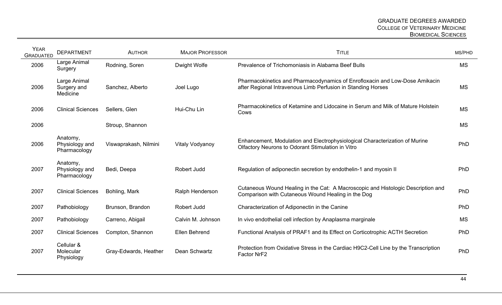| <b>YEAR</b><br><b>GRADUATED</b> | <b>DEPARTMENT</b>                          | <b>AUTHOR</b>         | <b>MAJOR PROFESSOR</b> | <b>TITLE</b>                                                                                                                                | MS/PHD    |
|---------------------------------|--------------------------------------------|-----------------------|------------------------|---------------------------------------------------------------------------------------------------------------------------------------------|-----------|
| 2006                            | Large Animal<br>Surgery                    | Rodning, Soren        | Dwight Wolfe           | Prevalence of Trichomoniasis in Alabama Beef Bulls                                                                                          | <b>MS</b> |
| 2006                            | Large Animal<br>Surgery and<br>Medicine    | Sanchez, Alberto      | Joel Lugo              | Pharmacokinetics and Pharmacodynamics of Enrofloxacin and Low-Dose Amikacin<br>after Regional Intravenous Limb Perfusion in Standing Horses | <b>MS</b> |
| 2006                            | <b>Clinical Sciences</b>                   | Sellers, Glen         | Hui-Chu Lin            | Pharmacokinetics of Ketamine and Lidocaine in Serum and Milk of Mature Holstein<br>Cows                                                     | <b>MS</b> |
| 2006                            |                                            | Stroup, Shannon       |                        |                                                                                                                                             | <b>MS</b> |
| 2006                            | Anatomy,<br>Physiology and<br>Pharmacology | Viswaprakash, Nilmini | Vitaly Vodyanoy        | Enhancement, Modulation and Electrophysiological Characterization of Murine<br>Olfactory Neurons to Odorant Stimulation in Vitro            | PhD       |
| 2007                            | Anatomy,<br>Physiology and<br>Pharmacology | Bedi, Deepa           | Robert Judd            | Regulation of adiponectin secretion by endothelin-1 and myosin II                                                                           | PhD       |
| 2007                            | <b>Clinical Sciences</b>                   | Bohling, Mark         | Ralph Henderson        | Cutaneous Wound Healing in the Cat: A Macroscopic and Histologic Description and<br>Comparison with Cutaneous Wound Healing in the Dog      | PhD       |
| 2007                            | Pathobiology                               | Brunson, Brandon      | Robert Judd            | Characterization of Adiponectin in the Canine                                                                                               | PhD       |
| 2007                            | Pathobiology                               | Carreno, Abigail      | Calvin M. Johnson      | In vivo endothelial cell infection by Anaplasma marginale                                                                                   | <b>MS</b> |
| 2007                            | <b>Clinical Sciences</b>                   | Compton, Shannon      | <b>Ellen Behrend</b>   | Functional Analysis of PRAF1 and its Effect on Corticotrophic ACTH Secretion                                                                | PhD       |
| 2007                            | Cellular &<br>Molecular<br>Physiology      | Gray-Edwards, Heather | Dean Schwartz          | Protection from Oxidative Stress in the Cardiac H9C2-Cell Line by the Transcription<br>Factor NrF2                                          | PhD       |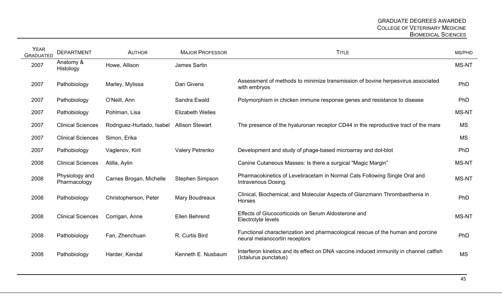| <b>YEAR</b><br><b>GRADUATED</b> | <b>DEPARTMENT</b>              | <b>AUTHOR</b>             | <b>MAJOR PROFESSOR</b>  | <b>TITLE</b>                                                                                                     | MS/PHD       |
|---------------------------------|--------------------------------|---------------------------|-------------------------|------------------------------------------------------------------------------------------------------------------|--------------|
| 2007                            | Anatomy &<br>Histology         | Howe, Allison             | James Sartin            |                                                                                                                  | <b>MS-NT</b> |
| 2007                            | Pathobiology                   | Marley, Mylissa           | Dan Givens              | Assessment of methods to minimize transmission of bovine herpesvirus associated<br>with embryos                  | PhD          |
| 2007                            | Pathobiology                   | O'Neill, Ann              | Sandra Ewald            | Polymorphism in chicken immune response genes and resistance to disease                                          | PhD          |
| 2007                            | Pathobiology                   | Pohlman, Lisa             | <b>Elizabeth Welles</b> |                                                                                                                  | <b>MS-NT</b> |
| 2007                            | <b>Clinical Sciences</b>       | Rodriguez-Hurtado, Isabel | <b>Allison Stewart</b>  | The presence of the hyaluronan receptor CD44 in the reproductive tract of the mare                               | <b>MS</b>    |
| 2007                            | <b>Clinical Sciences</b>       | Simon, Erika              |                         |                                                                                                                  | <b>MS</b>    |
| 2007                            | Pathobiology                   | Vaglenov, Kiril           | Valery Petrenko         | Development and study of phage-based microarray and dot-blot                                                     | PhD          |
| 2008                            | <b>Clinical Sciences</b>       | Atilla, Aylin             |                         | Canine Cutaneous Masses: Is there a surgical "Magic Margin"                                                      | <b>MS-NT</b> |
| 2008                            | Physiology and<br>Pharmacology | Carnes Brogan, Michelle   | Stephen Simpson         | Pharmacokinetics of Levetiracetam in Normal Cats Following Single Oral and<br>Intravenous Dosing.                | <b>MS-NT</b> |
| 2008                            | Pathobiology                   | Christopherson, Peter     | Mary Boudreaux          | Clinical, Biochemical, and Molecular Aspects of Glanzmann Thrombasthenia in<br>Horses                            | PhD          |
| 2008                            | <b>Clinical Sciences</b>       | Corrigan, Anne            | Ellen Behrend           | Effects of Glucocorticoids on Serum Aldosterone and<br>Electrolyte levels                                        | MS-NT        |
| 2008                            | Pathobiology                   | Fan, Zhenchuan            | R. Curtis Bird          | Functional characterization and pharmacological rescue of the human and porcine<br>neural melanocortin receptors | PhD          |
| 2008                            | Pathobiology                   | Harder, Kendal            | Kenneth E. Nusbaum      | Interferon kinetics and its effect on DNA vaccine induced immunity in channel catfish<br>(Ictalurus punctatus)   | <b>MS</b>    |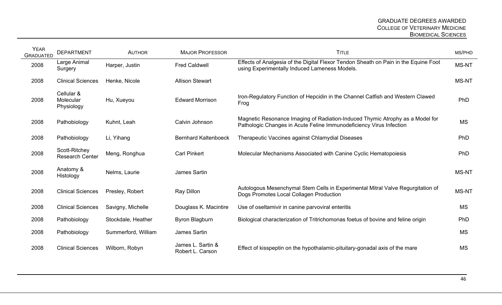| <b>YEAR</b><br><b>GRADUATED</b> | <b>DEPARTMENT</b>                       | <b>AUTHOR</b>       | <b>MAJOR PROFESSOR</b>                | <b>TITLE</b>                                                                                                                                         | MS/PHD       |
|---------------------------------|-----------------------------------------|---------------------|---------------------------------------|------------------------------------------------------------------------------------------------------------------------------------------------------|--------------|
| 2008                            | Large Animal<br>Surgery                 | Harper, Justin      | <b>Fred Caldwell</b>                  | Effects of Analgesia of the Digital Flexor Tendon Sheath on Pain in the Equine Foot<br>using Experimentally Induced Lameness Models.                 | MS-NT        |
| 2008                            | <b>Clinical Sciences</b>                | Henke, Nicole       | <b>Allison Stewart</b>                |                                                                                                                                                      | MS-NT        |
| 2008                            | Cellular &<br>Molecular<br>Physiology   | Hu, Xueyou          | <b>Edward Morrison</b>                | Iron-Regulatory Function of Hepcidin in the Channel Catfish and Western Clawed<br>Frog                                                               | PhD          |
| 2008                            | Pathobiology                            | Kuhnt, Leah         | Calvin Johnson                        | Magnetic Resonance Imaging of Radiation-Induced Thymic Atrophy as a Model for<br>Pathologic Changes in Acute Feline Immunodeficiency Virus Infection | <b>MS</b>    |
| 2008                            | Pathobiology                            | Li, Yihang          | <b>Bernhard Kaltenboeck</b>           | Therapeutic Vaccines against Chlamydial Diseases                                                                                                     | PhD          |
| 2008                            | Scott-Ritchey<br><b>Research Center</b> | Meng, Ronghua       | <b>Carl Pinkert</b>                   | Molecular Mechanisms Associated with Canine Cyclic Hematopoiesis                                                                                     | PhD          |
| 2008                            | Anatomy &<br>Histology                  | Nelms, Laurie       | James Sartin                          |                                                                                                                                                      | <b>MS-NT</b> |
| 2008                            | <b>Clinical Sciences</b>                | Presley, Robert     | Ray Dillon                            | Autologous Mesenchymal Stem Cells in Experimental Mitral Valve Regurgitation of<br>Dogs Promotes Local Collagen Production                           | MS-NT        |
| 2008                            | <b>Clinical Sciences</b>                | Savigny, Michelle   | Douglass K. Macintire                 | Use of oseltamivir in canine parvoviral enteritis                                                                                                    | <b>MS</b>    |
| 2008                            | Pathobiology                            | Stockdale, Heather  | Byron Blagburn                        | Biological characterization of Tritrichomonas foetus of bovine and feline origin                                                                     | PhD          |
| 2008                            | Pathobiology                            | Summerford, William | James Sartin                          |                                                                                                                                                      | <b>MS</b>    |
| 2008                            | <b>Clinical Sciences</b>                | Wilborn, Robyn      | James L. Sartin &<br>Robert L. Carson | Effect of kisspeptin on the hypothalamic-pituitary-gonadal axis of the mare                                                                          | <b>MS</b>    |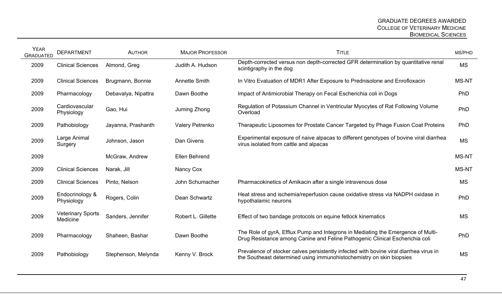| <b>YEAR</b><br><b>GRADUATED</b> | <b>DEPARTMENT</b>                    | <b>AUTHOR</b>       | <b>MAJOR PROFESSOR</b> | <b>TITLE</b>                                                                                                                                                     | MS/PHD       |
|---------------------------------|--------------------------------------|---------------------|------------------------|------------------------------------------------------------------------------------------------------------------------------------------------------------------|--------------|
| 2009                            | <b>Clinical Sciences</b>             | Almond, Greg        | Judith A. Hudson       | Depth-corrected versus non depth-corrected GFR determination by quantitative renal<br>scintigraphy in the dog                                                    | <b>MS</b>    |
| 2009                            | <b>Clinical Sciences</b>             | Brugmann, Bonnie    | <b>Annette Smith</b>   | In Vitro Evaluation of MDR1 After Exposure to Prednisolone and Enrofloxacin                                                                                      | <b>MS-NT</b> |
| 2009                            | Pharmacology                         | Debavalya, Nipattra | Dawn Boothe            | Impact of Antimicrobial Therapy on Fecal Escherichia coli in Dogs                                                                                                | PhD          |
| 2009                            | Cardiovascular<br>Physiology         | Gao, Hui            | Juming Zhong           | Regulation of Potassium Channel in Ventricular Myocytes of Rat Following Volume<br>Overload                                                                      | PhD          |
| 2009                            | Pathobiology                         | Jayanna, Prashanth  | Valery Petrenko        | Therapeutic Liposomes for Prostate Cancer Targeted by Phage Fusion Coat Proteins                                                                                 | <b>PhD</b>   |
| 2009                            | Large Animal<br>Surgery              | Johnson, Jason      | Dan Givens             | Experimental exposure of naive alpacas to different genotypes of bovine viral diarrhea<br>virus isolated from cattle and alpacas                                 | <b>MS</b>    |
| 2009                            |                                      | McGraw, Andrew      | Ellen Behrend          |                                                                                                                                                                  | <b>MS-NT</b> |
| 2009                            | <b>Clinical Sciences</b>             | Narak, Jill         | Nancy Cox              |                                                                                                                                                                  | <b>MS-NT</b> |
| 2009                            | <b>Clinical Sciences</b>             | Pinto, Nelson       | John Schumacher        | Pharmacokinetics of Amikacin after a single intravenous dose                                                                                                     | <b>MS</b>    |
| 2009                            | Endocrinology &<br>Physiology        | Rogers, Colin       | Dean Schwartz          | Heat stress and ischemia/reperfusion cause oxidative stress via NADPH oxidase in<br>hypothalamic neurons                                                         | PhD          |
| 2009                            | <b>Veterinary Sports</b><br>Medicine | Sanders, Jennifer   | Robert L. Gillette     | Effect of two bandage protocols on equine fetlock kinematics                                                                                                     | <b>MS</b>    |
| 2009                            | Pharmacology                         | Shaheen, Bashar     | Dawn Boothe            | The Role of gyrA, Efflux Pump and Integrons in Mediating the Emergence of Multi-<br>Drug Resistance among Canine and Feline Pathogenic Clinical Escherichia coli | PhD          |
| 2009                            | Pathobiology                         | Stephenson, Melynda | Kenny V. Brock         | Prevalence of stocker calves persistently infected with bovine viral diarrhea virus in<br>the Southeast determined using immunohistochemistry on skin biopsies   | <b>MS</b>    |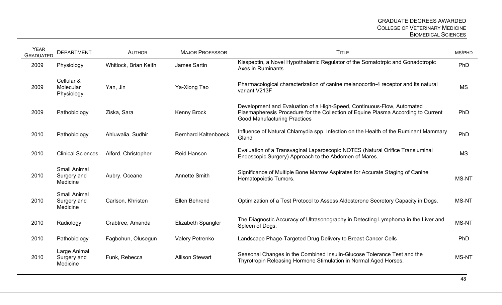| <b>YEAR</b><br><b>GRADUATED</b> | <b>DEPARTMENT</b>                              | <b>AUTHOR</b>         | <b>MAJOR PROFESSOR</b>      | <b>TITLE</b>                                                                                                                                                                                       | MS/PHD       |
|---------------------------------|------------------------------------------------|-----------------------|-----------------------------|----------------------------------------------------------------------------------------------------------------------------------------------------------------------------------------------------|--------------|
| 2009                            | Physiology                                     | Whitlock, Brian Keith | <b>James Sartin</b>         | Kisspeptin, a Novel Hypothalamic Regulator of the Somatotrpic and Gonadotropic<br><b>Axes in Ruminants</b>                                                                                         | PhD          |
| 2009                            | Cellular &<br>Molecular<br>Physiology          | Yan, Jin              | Ya-Xiong Tao                | Pharmacological characterization of canine melanocortin-4 receptor and its natural<br>variant V213F                                                                                                | <b>MS</b>    |
| 2009                            | Pathobiology                                   | Ziska, Sara           | <b>Kenny Brock</b>          | Development and Evaluation of a High-Speed, Continuous-Flow, Automated<br>Plasmapheresis Procedure for the Collection of Equine Plasma According to Current<br><b>Good Manufacturing Practices</b> | PhD          |
| 2010                            | Pathobiology                                   | Ahluwalia, Sudhir     | <b>Bernhard Kaltenboeck</b> | Influence of Natural Chlamydia spp. Infection on the Health of the Ruminant Mammary<br>Gland                                                                                                       | PhD          |
| 2010                            | <b>Clinical Sciences</b>                       | Alford, Christopher   | <b>Reid Hanson</b>          | Evaluation of a Transvaginal Laparoscopic NOTES (Natural Orifice Transluminal<br>Endoscopic Surgery) Approach to the Abdomen of Mares.                                                             | <b>MS</b>    |
| 2010                            | <b>Small Animal</b><br>Surgery and<br>Medicine | Aubry, Oceane         | <b>Annette Smith</b>        | Significance of Multiple Bone Marrow Aspirates for Accurate Staging of Canine<br>Hematopoietic Tumors.                                                                                             | <b>MS-NT</b> |
| 2010                            | <b>Small Animal</b><br>Surgery and<br>Medicine | Carlson, Khristen     | Ellen Behrend               | Optimization of a Test Protocol to Assess Aldosterone Secretory Capacity in Dogs.                                                                                                                  | <b>MS-NT</b> |
| 2010                            | Radiology                                      | Crabtree, Amanda      | <b>Elizabeth Spangler</b>   | The Diagnostic Accuracy of Ultrasonography in Detecting Lymphoma in the Liver and<br>Spleen of Dogs.                                                                                               | <b>MS-NT</b> |
| 2010                            | Pathobiology                                   | Fagbohun, Olusegun    | Valery Petrenko             | Landscape Phage-Targeted Drug Delivery to Breast Cancer Cells                                                                                                                                      | PhD          |
| 2010                            | Large Animal<br>Surgery and<br>Medicine        | Funk, Rebecca         | <b>Allison Stewart</b>      | Seasonal Changes in the Combined Insulin-Glucose Tolerance Test and the<br>Thyrotropin Releasing Hormone Stimulation in Normal Aged Horses.                                                        | <b>MS-NT</b> |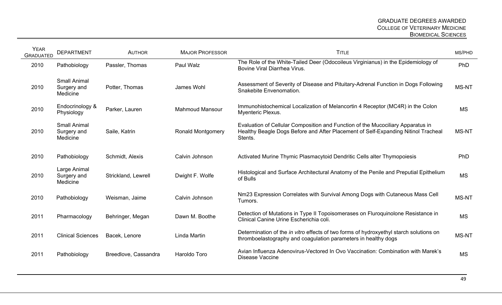| <b>YEAR</b><br><b>GRADUATED</b> | <b>DEPARTMENT</b>                              | <b>AUTHOR</b>        | <b>MAJOR PROFESSOR</b>   | <b>TITLE</b>                                                                                                                                                                    | MS/PHD       |
|---------------------------------|------------------------------------------------|----------------------|--------------------------|---------------------------------------------------------------------------------------------------------------------------------------------------------------------------------|--------------|
| 2010                            | Pathobiology                                   | Passler, Thomas      | Paul Walz                | The Role of the White-Tailed Deer (Odocoileus Virginianus) in the Epidemiology of<br>Bovine Viral Diarrhea Virus.                                                               | PhD          |
| 2010                            | <b>Small Animal</b><br>Surgery and<br>Medicine | Potter, Thomas       | James Wohl               | Assessment of Severity of Disease and Pituitary-Adrenal Function in Dogs Following<br>Snakebite Envenomation.                                                                   | <b>MS-NT</b> |
| 2010                            | Endocrinology &<br>Physiology                  | Parker, Lauren       | <b>Mahmoud Mansour</b>   | Immunohistochemical Localization of Melancortin 4 Receptor (MC4R) in the Colon<br>Myenteric Plexus.                                                                             | <b>MS</b>    |
| 2010                            | <b>Small Animal</b><br>Surgery and<br>Medicine | Saile, Katrin        | <b>Ronald Montgomery</b> | Evaluation of Cellular Composition and Function of the Mucociliary Apparatus in<br>Healthy Beagle Dogs Before and After Placement of Self-Expanding Nitinol Tracheal<br>Stents. | <b>MS-NT</b> |
| 2010                            | Pathobiology                                   | Schmidt, Alexis      | Calvin Johnson           | Activated Murine Thymic Plasmacytoid Dendritic Cells alter Thymopoiesis                                                                                                         | PhD          |
| 2010                            | Large Animal<br>Surgery and<br>Medicine        | Strickland, Lewrell  | Dwight F. Wolfe          | Histological and Surface Architectural Anatomy of the Penile and Preputial Epithelium<br>of Bulls                                                                               | <b>MS</b>    |
| 2010                            | Pathobiology                                   | Weisman, Jaime       | Calvin Johnson           | Nm23 Expression Correlates with Survival Among Dogs with Cutaneous Mass Cell<br>Tumors.                                                                                         | <b>MS-NT</b> |
| 2011                            | Pharmacology                                   | Behringer, Megan     | Dawn M. Boothe           | Detection of Mutations in Type II Topoisomerases on Fluroquinolone Resistance in<br>Clinical Canine Urine Escherichia coli.                                                     | <b>MS</b>    |
| 2011                            | <b>Clinical Sciences</b>                       | Bacek, Lenore        | Linda Martin             | Determination of the <i>in vitro</i> effects of two forms of hydroxyethyl starch solutions on<br>thromboelastography and coagulation parameters in healthy dogs                 | <b>MS-NT</b> |
| 2011                            | Pathobiology                                   | Breedlove, Cassandra | Haroldo Toro             | Avian Influenza Adenovirus-Vectored In Ovo Vaccination: Combination with Marek's<br><b>Disease Vaccine</b>                                                                      | <b>MS</b>    |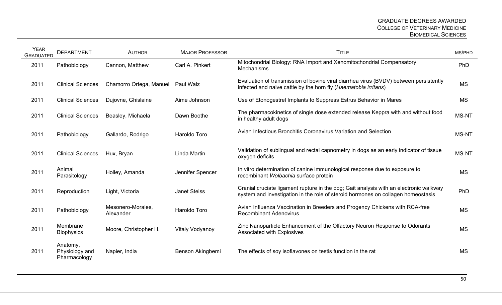| <b>YEAR</b><br><b>GRADUATED</b> | <b>DEPARTMENT</b>                          | <b>AUTHOR</b>                  | <b>MAJOR PROFESSOR</b> | <b>TITLE</b>                                                                                                                                                               | MS/PHD       |
|---------------------------------|--------------------------------------------|--------------------------------|------------------------|----------------------------------------------------------------------------------------------------------------------------------------------------------------------------|--------------|
| 2011                            | Pathobiology                               | Cannon, Matthew                | Carl A. Pinkert        | Mitochondrial Biology: RNA Import and Xenomitochondrial Compensatory<br>Mechanisms                                                                                         | PhD          |
| 2011                            | <b>Clinical Sciences</b>                   | Chamorro Ortega, Manuel        | Paul Walz              | Evaluation of transmission of bovine viral diarrhea virus (BVDV) between persistently<br>infected and naive cattle by the horn fly (Haematobia irritans)                   | <b>MS</b>    |
| 2011                            | <b>Clinical Sciences</b>                   | Dujovne, Ghislaine             | Aime Johnson           | Use of Etonogestrel Implants to Suppress Estrus Behavior in Mares                                                                                                          | <b>MS</b>    |
| 2011                            | <b>Clinical Sciences</b>                   | Beasley, Michaela              | Dawn Boothe            | The pharmacokinetics of single dose extended release Keppra with and without food<br>in healthy adult dogs                                                                 | <b>MS-NT</b> |
| 2011                            | Pathobiology                               | Gallardo, Rodrigo              | Haroldo Toro           | Avian Infectious Bronchitis Coronavirus Variation and Selection                                                                                                            | <b>MS-NT</b> |
| 2011                            | <b>Clinical Sciences</b>                   | Hux, Bryan                     | Linda Martin           | Validation of sublingual and rectal capnometry in dogs as an early indicator of tissue<br>oxygen deficits                                                                  | <b>MS-NT</b> |
| 2011                            | Animal<br>Parasitology                     | Holley, Amanda                 | Jennifer Spencer       | In vitro determination of canine immunological response due to exposure to<br>recombinant Wolbachia surface protein                                                        | <b>MS</b>    |
| 2011                            | Reproduction                               | Light, Victoria                | <b>Janet Steiss</b>    | Cranial cruciate ligament rupture in the dog; Gait analysis with an electronic walkway<br>system and investigation in the role of steroid hormones on collagen homeostasis | PhD          |
| 2011                            | Pathobiology                               | Mesonero-Morales,<br>Alexander | Haroldo Toro           | Avian Influenza Vaccination in Breeders and Progency Chickens with RCA-free<br><b>Recombinant Adenovirus</b>                                                               | <b>MS</b>    |
| 2011                            | Membrane<br><b>Biophysics</b>              | Moore, Christopher H.          | <b>Vitaly Vodyanoy</b> | Zinc Nanoparticle Enhancement of the Olfactory Neuron Response to Odorants<br>Associated with Explosives                                                                   | <b>MS</b>    |
| 2011                            | Anatomy,<br>Physiology and<br>Pharmacology | Napier, India                  | Benson Akingbemi       | The effects of soy isoflavones on testis function in the rat                                                                                                               | <b>MS</b>    |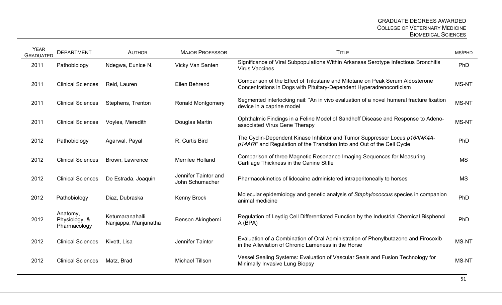| <b>YEAR</b><br><b>GRADUATED</b> | <b>DEPARTMENT</b>                         | <b>AUTHOR</b>                           | <b>MAJOR PROFESSOR</b>                  | <b>TITLE</b>                                                                                                                                          | MS/PHD       |
|---------------------------------|-------------------------------------------|-----------------------------------------|-----------------------------------------|-------------------------------------------------------------------------------------------------------------------------------------------------------|--------------|
| 2011                            | Pathobiology                              | Ndegwa, Eunice N.                       | Vicky Van Santen                        | Significance of Viral Subpopulations Within Arkansas Serotype Infectious Bronchitis<br><b>Virus Vaccines</b>                                          | PhD          |
| 2011                            | <b>Clinical Sciences</b>                  | Reid, Lauren                            | Ellen Behrend                           | Comparison of the Effect of Trilostane and Mitotane on Peak Serum Aldosterone<br>Concentrations in Dogs with Pituitary-Dependent Hyperadrenocorticism | <b>MS-NT</b> |
| 2011                            | <b>Clinical Sciences</b>                  | Stephens, Trenton                       | <b>Ronald Montgomery</b>                | Segmented interlocking nail: "An in vivo evaluation of a novel humeral fracture fixation<br>device in a caprine model                                 | MS-NT        |
| 2011                            | <b>Clinical Sciences</b>                  | Voyles, Meredith                        | Douglas Martin                          | Ophthalmic Findings in a Feline Model of Sandhoff Disease and Response to Adeno-<br>associated Virus Gene Therapy                                     | <b>MS-NT</b> |
| 2012                            | Pathobiology                              | Agarwal, Payal                          | R. Curtis Bird                          | The Cyclin-Dependent Kinase Inhibitor and Tumor Suppressor Locus p16/INK4A-<br>p14ARF and Regulation of the Transition Into and Out of the Cell Cycle | PhD          |
| 2012                            | <b>Clinical Sciences</b>                  | Brown, Lawrence                         | Merrilee Holland                        | Comparison of three Magnetic Resonance Imaging Sequences for Measuring<br>Cartilage Thickness in the Canine Stifle                                    | <b>MS</b>    |
| 2012                            | <b>Clinical Sciences</b>                  | De Estrada, Joaquin                     | Jennifer Taintor and<br>John Schumacher | Pharmacokinetics of lidocaine administered intraperitoneally to horses                                                                                | MS           |
| 2012                            | Pathobiology                              | Diaz, Dubraska                          | <b>Kenny Brock</b>                      | Molecular epidemiology and genetic analysis of Staphylococcus species in companion<br>animal medicine                                                 | PhD          |
| 2012                            | Anatomy,<br>Physiology, &<br>Pharmacology | Ketumaranahalli<br>Nanjappa, Manjunatha | Benson Akingbemi                        | Regulation of Leydig Cell Differentiated Function by the Industrial Chemical Bisphenol<br>A (BPA)                                                     | PhD          |
| 2012                            | <b>Clinical Sciences</b>                  | Kivett, Lisa                            | Jennifer Taintor                        | Evaluation of a Combination of Oral Administration of Phenylbutazone and Firocoxib<br>in the Alleviation of Chronic Lameness in the Horse             | <b>MS-NT</b> |
| 2012                            | <b>Clinical Sciences</b>                  | Matz, Brad                              | <b>Michael Tillson</b>                  | Vessel Sealing Systems: Evaluation of Vascular Seals and Fusion Technology for<br>Minimally Invasive Lung Biopsy                                      | <b>MS-NT</b> |
|                                 |                                           |                                         |                                         |                                                                                                                                                       |              |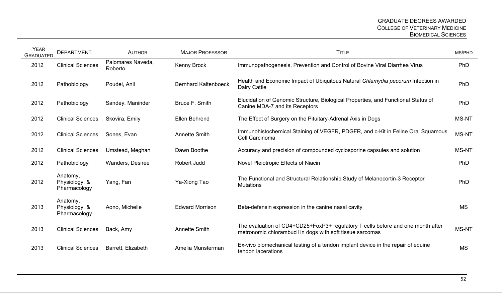| <b>YEAR</b><br><b>GRADUATED</b> | <b>DEPARTMENT</b>                         | <b>AUTHOR</b>                | <b>MAJOR PROFESSOR</b>      | <b>TITLE</b>                                                                                                                                 | MS/PHD       |
|---------------------------------|-------------------------------------------|------------------------------|-----------------------------|----------------------------------------------------------------------------------------------------------------------------------------------|--------------|
| 2012                            | <b>Clinical Sciences</b>                  | Palomares Naveda,<br>Roberto | <b>Kenny Brock</b>          | Immunopathogenesis, Prevention and Control of Bovine Viral Diarrhea Virus                                                                    | PhD          |
| 2012                            | Pathobiology                              | Poudel, Anil                 | <b>Bernhard Kaltenboeck</b> | Health and Economic Impact of Ubiquitous Natural Chlamydia pecorum Infection in<br>Dairy Cattle                                              | PhD          |
| 2012                            | Pathobiology                              | Sandey, Maninder             | Bruce F. Smith              | Elucidation of Genomic Structure, Biological Properties, and Functional Status of<br>Canine MDA-7 and its Receptors                          | PhD          |
| 2012                            | <b>Clinical Sciences</b>                  | Skovira, Emily               | Ellen Behrend               | The Effect of Surgery on the Pituitary-Adrenal Axis in Dogs                                                                                  | <b>MS-NT</b> |
| 2012                            | <b>Clinical Sciences</b>                  | Sones, Evan                  | <b>Annette Smith</b>        | Immunohistochemical Staining of VEGFR, PDGFR, and c-Kit in Feline Oral Squamous<br>Cell Carcinoma                                            | <b>MS-NT</b> |
| 2012                            | <b>Clinical Sciences</b>                  | Umstead, Meghan              | Dawn Boothe                 | Accuracy and precision of compounded cyclosporine capsules and solution                                                                      | <b>MS-NT</b> |
| 2012                            | Pathobiology                              | <b>Wanders, Desiree</b>      | Robert Judd                 | Novel Pleiotropic Effects of Niacin                                                                                                          | PhD          |
| 2012                            | Anatomy,<br>Physiology, &<br>Pharmacology | Yang, Fan                    | Ya-Xiong Tao                | The Functional and Structural Relationship Study of Melanocortin-3 Receptor<br><b>Mutations</b>                                              | PhD          |
| 2013                            | Anatomy,<br>Physiology, &<br>Pharmacology | Aono, Michelle               | <b>Edward Morrison</b>      | Beta-defensin expression in the canine nasal cavity                                                                                          | <b>MS</b>    |
| 2013                            | <b>Clinical Sciences</b>                  | Back, Amy                    | <b>Annette Smith</b>        | The evaluation of CD4+CD25+FoxP3+ regulatory T cells before and one month after<br>metronomic chlorambucil in dogs with soft tissue sarcomas | MS-NT        |
| 2013                            | <b>Clinical Sciences</b>                  | Barrett, Elizabeth           | Amelia Munsterman           | Ex-vivo biomechanical testing of a tendon implant device in the repair of equine<br>tendon lacerations                                       | <b>MS</b>    |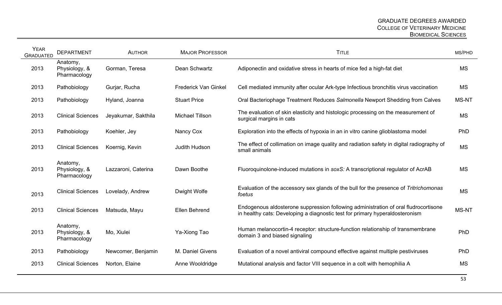| <b>YEAR</b><br><b>GRADUATED</b> | <b>DEPARTMENT</b>                         | <b>AUTHOR</b>       | <b>MAJOR PROFESSOR</b>      | <b>TITLE</b>                                                                                                                                                        | MS/PHD       |
|---------------------------------|-------------------------------------------|---------------------|-----------------------------|---------------------------------------------------------------------------------------------------------------------------------------------------------------------|--------------|
| 2013                            | Anatomy,<br>Physiology, &<br>Pharmacology | Gorman, Teresa      | Dean Schwartz               | Adiponectin and oxidative stress in hearts of mice fed a high-fat diet                                                                                              | <b>MS</b>    |
| 2013                            | Pathobiology                              | Gurjar, Rucha       | <b>Frederick Van Ginkel</b> | Cell mediated immunity after ocular Ark-type Infectious bronchitis virus vaccination                                                                                | MS           |
| 2013                            | Pathobiology                              | Hyland, Joanna      | <b>Stuart Price</b>         | Oral Bacteriophage Treatment Reduces Salmonella Newport Shedding from Calves                                                                                        | <b>MS-NT</b> |
| 2013                            | <b>Clinical Sciences</b>                  | Jeyakumar, Sakthila | <b>Michael Tillson</b>      | The evaluation of skin elasticity and histologic processing on the measurement of<br>surgical margins in cats                                                       | <b>MS</b>    |
| 2013                            | Pathobiology                              | Koehler, Jey        | Nancy Cox                   | Exploration into the effects of hypoxia in an in vitro canine glioblastoma model                                                                                    | PhD          |
| 2013                            | <b>Clinical Sciences</b>                  | Koernig, Kevin      | Judith Hudson               | The effect of collimation on image quality and radiation safety in digital radiography of<br>small animals                                                          | <b>MS</b>    |
| 2013                            | Anatomy,<br>Physiology, &<br>Pharmacology | Lazzaroni, Caterina | Dawn Boothe                 | Fluoroquinolone-induced mutations in soxS: A transcriptional regulator of AcrAB                                                                                     | <b>MS</b>    |
| 2013                            | <b>Clinical Sciences</b>                  | Lovelady, Andrew    | Dwight Wolfe                | Evaluation of the accessory sex glands of the bull for the presence of Tritrichomonas<br>foetus                                                                     | <b>MS</b>    |
| 2013                            | <b>Clinical Sciences</b>                  | Matsuda, Mayu       | <b>Ellen Behrend</b>        | Endogenous aldosterone suppression following administration of oral fludrocortisone<br>in healthy cats: Developing a diagnostic test for primary hyperaldosteronism | <b>MS-NT</b> |
| 2013                            | Anatomy,<br>Physiology, &<br>Pharmacology | Mo, Xiulei          | Ya-Xiong Tao                | Human melanocortin-4 receptor: structure-function relationship of transmembrane<br>domain 3 and biased signaling                                                    | PhD          |
| 2013                            | Pathobiology                              | Newcomer, Benjamin  | M. Daniel Givens            | Evaluation of a novel antiviral compound effective against multiple pestiviruses                                                                                    | PhD          |
| 2013                            | <b>Clinical Sciences</b>                  | Norton, Elaine      | Anne Wooldridge             | Mutational analysis and factor VIII sequence in a colt with hemophilia A                                                                                            | <b>MS</b>    |
|                                 |                                           |                     |                             |                                                                                                                                                                     |              |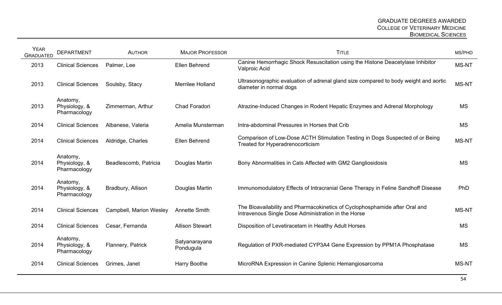| <b>YEAR</b><br><b>GRADUATED</b> | <b>DEPARTMENT</b>                         | <b>AUTHOR</b>           | <b>MAJOR PROFESSOR</b>     | <b>TITLE</b>                                                                                                                       | MS/PHD       |
|---------------------------------|-------------------------------------------|-------------------------|----------------------------|------------------------------------------------------------------------------------------------------------------------------------|--------------|
| 2013                            | <b>Clinical Sciences</b>                  | Palmer, Lee             | Ellen Behrend              | Canine Hemorrhagic Shock Resuscitation using the Histone Deacetylase Inhibitor<br>Valproic Acid                                    | MS-NT        |
| 2013                            | <b>Clinical Sciences</b>                  | Soulsby, Stacy          | Merrilee Holland           | Ultrasonographic evaluation of adrenal gland size compared to body weight and aortic<br>diameter in normal dogs                    | <b>MS-NT</b> |
| 2013                            | Anatomy,<br>Physiology, &<br>Pharmacology | Zimmerman, Arthur       | Chad Foradori              | Atrazine-Induced Changes in Rodent Hepatic Enzymes and Adrenal Morphology                                                          | <b>MS</b>    |
| 2014                            | <b>Clinical Sciences</b>                  | Albanese, Valeria       | Amelia Munsterman          | Intra-abdominal Pressures in Horses that Crib                                                                                      | <b>MS</b>    |
| 2014                            | <b>Clinical Sciences</b>                  | Aldridge, Charles       | Ellen Behrend              | Comparison of Low-Dose ACTH Stimulation Testing in Dogs Suspected of or Being<br><b>Treated for Hyperadrenocorticism</b>           | MS-NT        |
| 2014                            | Anatomy,<br>Physiology, &<br>Pharmacology | Beadlescomb, Patricia   | Douglas Martin             | Bony Abnormalities in Cats Affected with GM2 Gangliosidosis                                                                        | <b>MS</b>    |
| 2014                            | Anatomy,<br>Physiology, &<br>Pharmacology | Bradbury, Allison       | Douglas Martin             | Immunomodulatory Effects of Intracranial Gene Therapy in Feline Sandhoff Disease                                                   | PhD          |
| 2014                            | <b>Clinical Sciences</b>                  | Campbell, Marion Wesley | <b>Annette Smith</b>       | The Bioavailability and Pharmacokinetics of Cyclophosphamide after Oral and<br>Intravenous Single Dose Administration in the Horse | MS-NT        |
| 2014                            | <b>Clinical Sciences</b>                  | Cesar, Fernanda         | <b>Allison Stewart</b>     | Disposition of Levetiracetam in Healthy Adult Horses                                                                               | <b>MS</b>    |
| 2014                            | Anatomy,<br>Physiology, &<br>Pharmacology | Flannery, Patrick       | Satyanarayana<br>Pondugula | Regulation of PXR-mediated CYP3A4 Gene Expression by PPM1A Phosphatase                                                             | <b>MS</b>    |
| 2014                            | <b>Clinical Sciences</b>                  | Grimes, Janet           | Harry Boothe               | MicroRNA Expression in Canine Splenic Hemangiosarcoma                                                                              | MS-NT        |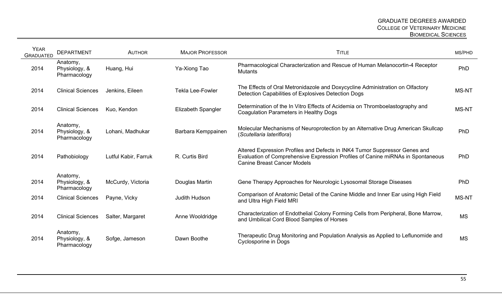| <b>YEAR</b><br><b>GRADUATED</b> | <b>DEPARTMENT</b>                         | <b>AUTHOR</b>        | <b>MAJOR PROFESSOR</b>  | <b>TITLE</b>                                                                                                                                                                                        | MS/PHD       |
|---------------------------------|-------------------------------------------|----------------------|-------------------------|-----------------------------------------------------------------------------------------------------------------------------------------------------------------------------------------------------|--------------|
| 2014                            | Anatomy,<br>Physiology, &<br>Pharmacology | Huang, Hui           | Ya-Xiong Tao            | Pharmacological Characterization and Rescue of Human Melanocortin-4 Receptor<br><b>Mutants</b>                                                                                                      | PhD          |
| 2014                            | <b>Clinical Sciences</b>                  | Jenkins, Eileen      | <b>Tekla Lee-Fowler</b> | The Effects of Oral Metronidazole and Doxycycline Administration on Olfactory<br>Detection Capabilities of Explosives Detection Dogs                                                                | <b>MS-NT</b> |
| 2014                            | <b>Clinical Sciences</b>                  | Kuo, Kendon          | Elizabeth Spangler      | Determination of the In Vitro Effects of Acidemia on Thromboelastography and<br>Coagulation Parameters in Healthy Dogs                                                                              | MS-NT        |
| 2014                            | Anatomy,<br>Physiology, &<br>Pharmacology | Lohani, Madhukar     | Barbara Kemppainen      | Molecular Mechanisms of Neuroprotection by an Alternative Drug American Skullcap<br>(Scutellaria lateriflora)                                                                                       | PhD          |
| 2014                            | Pathobiology                              | Lutful Kabir, Farruk | R. Curtis Bird          | Altered Expression Profiles and Defects in INK4 Tumor Suppressor Genes and<br>Evaluation of Comprehensive Expression Profiles of Canine miRNAs in Spontaneous<br><b>Canine Breast Cancer Models</b> | <b>PhD</b>   |
| 2014                            | Anatomy,<br>Physiology, &<br>Pharmacology | McCurdy, Victoria    | Douglas Martin          | Gene Therapy Approaches for Neurologic Lysosomal Storage Diseases                                                                                                                                   | PhD          |
| 2014                            | <b>Clinical Sciences</b>                  | Payne, Vicky         | Judith Hudson           | Comparison of Anatomic Detail of the Canine Middle and Inner Ear using High Field<br>and Ultra High Field MRI                                                                                       | <b>MS-NT</b> |
| 2014                            | <b>Clinical Sciences</b>                  | Salter, Margaret     | Anne Wooldridge         | Characterization of Endothelial Colony Forming Cells from Peripheral, Bone Marrow,<br>and Umbilical Cord Blood Samples of Horses                                                                    | <b>MS</b>    |
| 2014                            | Anatomy,<br>Physiology, &<br>Pharmacology | Sofge, Jameson       | Dawn Boothe             | Therapeutic Drug Monitoring and Population Analysis as Applied to Leflunomide and<br>Cyclosporine in Dogs                                                                                           | <b>MS</b>    |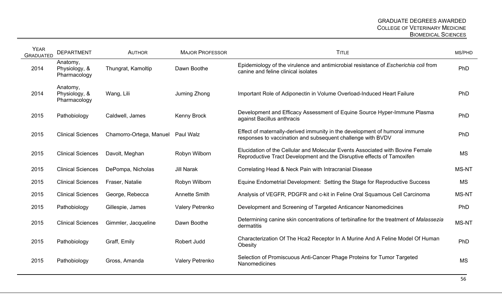| <b>YEAR</b><br><b>GRADUATED</b> | <b>DEPARTMENT</b>                         | <b>AUTHOR</b>           | <b>MAJOR PROFESSOR</b> | <b>TITLE</b>                                                                                                                                             | MS/PHD       |
|---------------------------------|-------------------------------------------|-------------------------|------------------------|----------------------------------------------------------------------------------------------------------------------------------------------------------|--------------|
| 2014                            | Anatomy,<br>Physiology, &<br>Pharmacology | Thungrat, Kamoltip      | Dawn Boothe            | Epidemiology of the virulence and antimicrobial resistance of Escherichia coli from<br>canine and feline clinical isolates                               | PhD          |
| 2014                            | Anatomy,<br>Physiology, &<br>Pharmacology | Wang, Lili              | Juming Zhong           | Important Role of Adiponectin in Volume Overload-Induced Heart Failure                                                                                   | PhD          |
| 2015                            | Pathobiology                              | Caldwell, James         | <b>Kenny Brock</b>     | Development and Efficacy Assessment of Equine Source Hyper-Immune Plasma<br>against Bacillus anthracis                                                   | PhD          |
| 2015                            | <b>Clinical Sciences</b>                  | Chamorro-Ortega, Manuel | Paul Walz              | Effect of maternally-derived immunity in the development of humoral immune<br>responses to vaccination and subsequent challenge with BVDV                | PhD          |
| 2015                            | <b>Clinical Sciences</b>                  | Davolt, Meghan          | Robyn Wilborn          | Elucidation of the Cellular and Molecular Events Associated with Bovine Female<br>Reproductive Tract Development and the Disruptive effects of Tamoxifen | <b>MS</b>    |
| 2015                            | <b>Clinical Sciences</b>                  | DePompa, Nicholas       | <b>Jill Narak</b>      | Correlating Head & Neck Pain with Intracranial Disease                                                                                                   | <b>MS-NT</b> |
| 2015                            | <b>Clinical Sciences</b>                  | Fraser, Natalie         | Robyn Wilborn          | Equine Endometrial Development: Setting the Stage for Reproductive Success                                                                               | <b>MS</b>    |
| 2015                            | <b>Clinical Sciences</b>                  | George, Rebecca         | <b>Annette Smith</b>   | Analysis of VEGFR, PDGFR and c-kit in Feline Oral Squamous Cell Carcinoma                                                                                | <b>MS-NT</b> |
| 2015                            | Pathobiology                              | Gillespie, James        | <b>Valery Petrenko</b> | Development and Screening of Targeted Anticancer Nanomedicines                                                                                           | PhD          |
| 2015                            | <b>Clinical Sciences</b>                  | Gimmler, Jacqueline     | Dawn Boothe            | Determining canine skin concentrations of terbinafine for the treatment of Malassezia<br>dermatitis                                                      | <b>MS-NT</b> |
| 2015                            | Pathobiology                              | Graff, Emily            | Robert Judd            | Characterization Of The Hca2 Receptor In A Murine And A Feline Model Of Human<br>Obesity                                                                 | PhD          |
| 2015                            | Pathobiology                              | Gross, Amanda           | <b>Valery Petrenko</b> | Selection of Promiscuous Anti-Cancer Phage Proteins for Tumor Targeted<br>Nanomedicines                                                                  | <b>MS</b>    |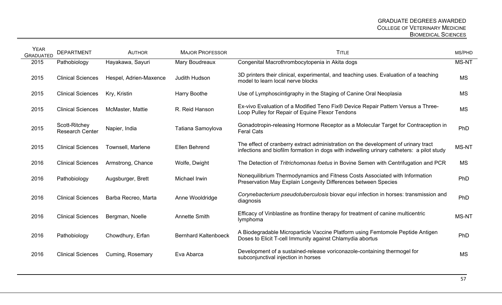| <b>YEAR</b><br><b>GRADUATED</b> | <b>DEPARTMENT</b>                       | <b>AUTHOR</b>            | <b>MAJOR PROFESSOR</b>      | <b>TITLE</b>                                                                                                                                                                    | MS/PHD       |
|---------------------------------|-----------------------------------------|--------------------------|-----------------------------|---------------------------------------------------------------------------------------------------------------------------------------------------------------------------------|--------------|
| 2015                            | Pathobiology                            | Hayakawa, Sayuri         | Mary Boudreaux              | Congenital Macrothrombocytopenia in Akita dogs                                                                                                                                  | <b>MS-NT</b> |
| 2015                            | <b>Clinical Sciences</b>                | Hespel, Adrien-Maxence   | Judith Hudson               | 3D printers their clinical, experimental, and teaching uses. Evaluation of a teaching<br>model to learn local nerve blocks                                                      | <b>MS</b>    |
| 2015                            | <b>Clinical Sciences</b>                | Kry, Kristin             | Harry Boothe                | Use of Lymphoscintigraphy in the Staging of Canine Oral Neoplasia                                                                                                               | <b>MS</b>    |
| 2015                            | <b>Clinical Sciences</b>                | <b>McMaster, Mattie</b>  | R. Reid Hanson              | Ex-vivo Evaluation of a Modified Teno Fix® Device Repair Pattern Versus a Three-<br>Loop Pulley for Repair of Equine Flexor Tendons                                             | <b>MS</b>    |
| 2015                            | Scott-Ritchey<br><b>Research Center</b> | Napier, India            | Tatiana Samoylova           | Gonadotropin-releasing Hormone Receptor as a Molecular Target for Contraception in<br><b>Feral Cats</b>                                                                         | PhD          |
| 2015                            | <b>Clinical Sciences</b>                | <b>Townsell, Marlene</b> | Ellen Behrend               | The effect of cranberry extract administration on the development of urinary tract<br>infections and biofilm formation in dogs with indwelling urinary catheters: a pilot study | <b>MS-NT</b> |
| 2016                            | <b>Clinical Sciences</b>                | Armstrong, Chance        | Wolfe, Dwight               | The Detection of Tritrichomonas foetus in Bovine Semen with Centrifugation and PCR                                                                                              | <b>MS</b>    |
| 2016                            | Pathobiology                            | Augsburger, Brett        | Michael Irwin               | Nonequilibrium Thermodynamics and Fitness Costs Associated with Information<br>Preservation May Explain Longevity Differences between Species                                   | PhD          |
| 2016                            | <b>Clinical Sciences</b>                | Barba Recreo, Marta      | Anne Wooldridge             | Corynebacterium pseudotuberculosis biovar equi infection in horses: transmission and<br>diagnosis                                                                               | PhD          |
| 2016                            | <b>Clinical Sciences</b>                | Bergman, Noelle          | <b>Annette Smith</b>        | Efficacy of Vinblastine as frontline therapy for treatment of canine multicentric<br>lymphoma                                                                                   | <b>MS-NT</b> |
| 2016                            | Pathobiology                            | Chowdhury, Erfan         | <b>Bernhard Kaltenboeck</b> | A Biodegradable Microparticle Vaccine Platform using Femtomole Peptide Antigen<br>Doses to Elicit T-cell Immunity against Chlamydia abortus                                     | PhD          |
| 2016                            | <b>Clinical Sciences</b>                | Cuming, Rosemary         | Eva Abarca                  | Development of a sustained-release voriconazole-containing thermogel for<br>subconjunctival injection in horses                                                                 | <b>MS</b>    |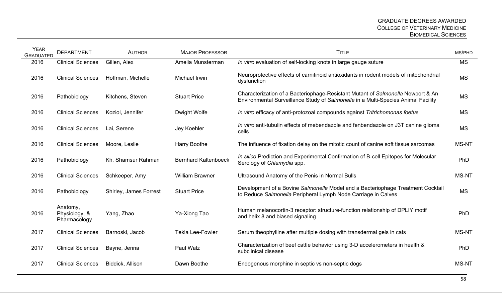| <b>YEAR</b><br><b>GRADUATED</b> | <b>DEPARTMENT</b>                         | <b>AUTHOR</b>                 | <b>MAJOR PROFESSOR</b>      | <b>TITLE</b>                                                                                                                                                         | MS/PHD                 |
|---------------------------------|-------------------------------------------|-------------------------------|-----------------------------|----------------------------------------------------------------------------------------------------------------------------------------------------------------------|------------------------|
| 2016                            | <b>Clinical Sciences</b>                  | Gillen, Alex                  | Amelia Munsterman           | In vitro evaluation of self-locking knots in large gauge suture                                                                                                      | $\overline{\text{MS}}$ |
| 2016                            | <b>Clinical Sciences</b>                  | Hoffman, Michelle             | Michael Irwin               | Neuroprotective effects of carnitinoid antioxidants in rodent models of mitochondrial<br>dysfunction                                                                 | <b>MS</b>              |
| 2016                            | Pathobiology                              | Kitchens, Steven              | <b>Stuart Price</b>         | Characterization of a Bacteriophage-Resistant Mutant of Salmonella Newport & An<br>Environmental Surveillance Study of Salmonella in a Multi-Species Animal Facility | <b>MS</b>              |
| 2016                            | <b>Clinical Sciences</b>                  | Koziol, Jennifer              | Dwight Wolfe                | In vitro efficacy of anti-protozoal compounds against Tritrichomonas foetus                                                                                          | <b>MS</b>              |
| 2016                            | <b>Clinical Sciences</b>                  | Lai, Serene                   | Jey Koehler                 | In vitro anti-tubulin effects of mebendazole and fenbendazole on J3T canine glioma<br>cells                                                                          | <b>MS</b>              |
| 2016                            | <b>Clinical Sciences</b>                  | Moore, Leslie                 | Harry Boothe                | The influence of fixation delay on the mitotic count of canine soft tissue sarcomas                                                                                  | <b>MS-NT</b>           |
| 2016                            | Pathobiology                              | Kh. Shamsur Rahman            | <b>Bernhard Kaltenboeck</b> | In silico Prediction and Experimental Confirmation of B-cell Epitopes for Molecular<br>Serology of Chlamydia spp.                                                    | PhD                    |
| 2016                            | <b>Clinical Sciences</b>                  | Schkeeper, Amy                | <b>William Brawner</b>      | Ultrasound Anatomy of the Penis in Normal Bulls                                                                                                                      | <b>MS-NT</b>           |
| 2016                            | Pathobiology                              | <b>Shirley, James Forrest</b> | <b>Stuart Price</b>         | Development of a Bovine Salmonella Model and a Bacteriophage Treatment Cocktail<br>to Reduce Salmonella Peripheral Lymph Node Carriage in Calves                     | <b>MS</b>              |
| 2016                            | Anatomy,<br>Physiology, &<br>Pharmacology | Yang, Zhao                    | Ya-Xiong Tao                | Human melanocortin-3 receptor: structure-function relationship of DPLIY motif<br>and helix 8 and biased signaling                                                    | PhD                    |
| 2017                            | <b>Clinical Sciences</b>                  | Barnoski, Jacob               | <b>Tekla Lee-Fowler</b>     | Serum theophylline after multiple dosing with transdermal gels in cats                                                                                               | <b>MS-NT</b>           |
| 2017                            | <b>Clinical Sciences</b>                  | Bayne, Jenna                  | Paul Walz                   | Characterization of beef cattle behavior using 3-D accelerometers in health &<br>subclinical disease                                                                 | PhD                    |
| 2017                            | <b>Clinical Sciences</b>                  | Biddick, Allison              | Dawn Boothe                 | Endogenous morphine in septic vs non-septic dogs                                                                                                                     | <b>MS-NT</b>           |
|                                 |                                           |                               |                             |                                                                                                                                                                      |                        |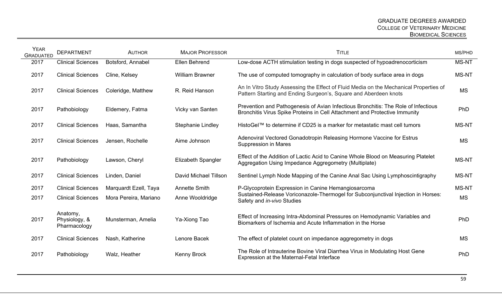| <b>YEAR</b><br><b>GRADUATED</b> | <b>DEPARTMENT</b>                         | <b>AUTHOR</b>         | <b>MAJOR PROFESSOR</b>    | <b>TITLE</b>                                                                                                                                                     | MS/PHD       |
|---------------------------------|-------------------------------------------|-----------------------|---------------------------|------------------------------------------------------------------------------------------------------------------------------------------------------------------|--------------|
| 2017                            | <b>Clinical Sciences</b>                  | Botsford, Annabel     | Ellen Behrend             | Low-dose ACTH stimulation testing in dogs suspected of hypoadrenocorticism                                                                                       | <b>MS-NT</b> |
| 2017                            | <b>Clinical Sciences</b>                  | Cline, Kelsey         | <b>William Brawner</b>    | The use of computed tomography in calculation of body surface area in dogs                                                                                       | <b>MS-NT</b> |
| 2017                            | <b>Clinical Sciences</b>                  | Coleridge, Matthew    | R. Reid Hanson            | An In Vitro Study Assessing the Effect of Fluid Media on the Mechanical Properties of<br>Pattern Starting and Ending Surgeon's, Square and Aberdeen knots        | <b>MS</b>    |
| 2017                            | Pathobiology                              | Eldemery, Fatma       | Vicky van Santen          | Prevention and Pathogenesis of Avian Infectious Bronchitis: The Role of Infectious<br>Bronchitis Virus Spike Proteins in Cell Attachment and Protective Immunity | PhD          |
| 2017                            | <b>Clinical Sciences</b>                  | Haas, Samantha        | <b>Stephanie Lindley</b>  | HistoGel™ to determine if CD25 is a marker for metastatic mast cell tumors                                                                                       | <b>MS-NT</b> |
| 2017                            | <b>Clinical Sciences</b>                  | Jensen, Rochelle      | Aime Johnson              | Adenoviral Vectored Gonadotropin Releasing Hormone Vaccine for Estrus<br><b>Suppression in Mares</b>                                                             | <b>MS</b>    |
| 2017                            | Pathobiology                              | Lawson, Cheryl        | <b>Elizabeth Spangler</b> | Effect of the Addition of Lactic Acid to Canine Whole Blood on Measuring Platelet<br>Aggregation Using Impedance Aggregometry (Multiplate)                       | <b>MS-NT</b> |
| 2017                            | <b>Clinical Sciences</b>                  | Linden, Daniel        | David Michael Tillson     | Sentinel Lymph Node Mapping of the Canine Anal Sac Using Lymphoscintigraphy                                                                                      | <b>MS-NT</b> |
| 2017                            | <b>Clinical Sciences</b>                  | Marquardt Ezell, Taya | <b>Annette Smith</b>      | P-Glycoprotein Expression in Canine Hemangiosarcoma                                                                                                              | <b>MS-NT</b> |
| 2017                            | <b>Clinical Sciences</b>                  | Mora Pereira, Mariano | Anne Wooldridge           | Sustained-Release Voriconazole-Thermogel for Subconjunctival Injection in Horses:<br>Safety and in-vivo Studies                                                  | <b>MS</b>    |
| 2017                            | Anatomy,<br>Physiology, &<br>Pharmacology | Munsterman, Amelia    | Ya-Xiong Tao              | Effect of Increasing Intra-Abdominal Pressures on Hemodynamic Variables and<br>Biomarkers of Ischemia and Acute Inflammation in the Horse                        | PhD          |
| 2017                            | <b>Clinical Sciences</b>                  | Nash, Katherine       | Lenore Bacek              | The effect of platelet count on impedance aggregometry in dogs                                                                                                   | <b>MS</b>    |
| 2017                            | Pathobiology                              | Walz, Heather         | Kenny Brock               | The Role of Intrauterine Bovine Viral Diarrhea Virus in Modulating Host Gene<br>Expression at the Maternal-Fetal Interface                                       | PhD          |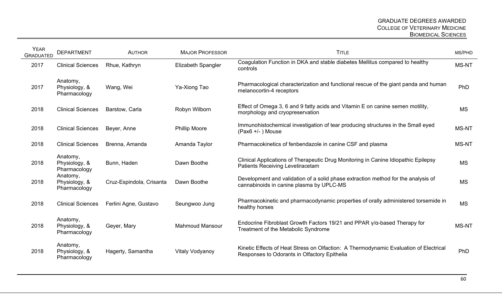| <b>YEAR</b><br><b>GRADUATED</b> | <b>DEPARTMENT</b>                         | <b>AUTHOR</b>            | <b>MAJOR PROFESSOR</b>    | <b>TITLE</b>                                                                                                                          | MS/PHD       |
|---------------------------------|-------------------------------------------|--------------------------|---------------------------|---------------------------------------------------------------------------------------------------------------------------------------|--------------|
| 2017                            | <b>Clinical Sciences</b>                  | Rhue, Kathryn            | <b>Elizabeth Spangler</b> | Coagulation Function in DKA and stable diabetes Mellitus compared to healthy<br>controls                                              | <b>MS-NT</b> |
| 2017                            | Anatomy,<br>Physiology, &<br>Pharmacology | Wang, Wei                | Ya-Xiong Tao              | Pharmacological characterization and functional rescue of the giant panda and human<br>melanocortin-4 receptors                       | PhD          |
| 2018                            | <b>Clinical Sciences</b>                  | Barstow, Carla           | Robyn Wilborn             | Effect of Omega 3, 6 and 9 fatty acids and Vitamin E on canine semen motility,<br>morphology and cryopreservation                     | <b>MS</b>    |
| 2018                            | <b>Clinical Sciences</b>                  | Beyer, Anne              | <b>Phillip Moore</b>      | Immunohistochemical investigation of tear producing structures in the Small eyed<br>$(Pax6 +/-)$ Mouse                                | <b>MS-NT</b> |
| 2018                            | <b>Clinical Sciences</b>                  | Brenna, Amanda           | Amanda Taylor             | Pharmacokinetics of fenbendazole in canine CSF and plasma                                                                             | <b>MS-NT</b> |
| 2018                            | Anatomy,<br>Physiology, &<br>Pharmacology | Bunn, Haden              | Dawn Boothe               | Clinical Applications of Therapeutic Drug Monitoring in Canine Idiopathic Epilepsy<br>Patients Receiving Levetiracetam                | <b>MS</b>    |
| 2018                            | Anatomy,<br>Physiology, &<br>Pharmacology | Cruz-Espindola, Crisanta | Dawn Boothe               | Development and validation of a solid phase extraction method for the analysis of<br>cannabinoids in canine plasma by UPLC-MS         | <b>MS</b>    |
| 2018                            | <b>Clinical Sciences</b>                  | Ferlini Agne, Gustavo    | Seungwoo Jung             | Pharmacokinetic and pharmacodynamic properties of orally administered torsemide in<br>healthy horses                                  | <b>MS</b>    |
| 2018                            | Anatomy,<br>Physiology, &<br>Pharmacology | Geyer, Mary              | <b>Mahmoud Mansour</b>    | Endocrine Fibroblast Growth Factors 19/21 and PPAR $\gamma/\alpha$ -based Therapy for<br><b>Treatment of the Metabolic Syndrome</b>   | <b>MS-NT</b> |
| 2018                            | Anatomy,<br>Physiology, &<br>Pharmacology | Hagerty, Samantha        | Vitaly Vodyanoy           | Kinetic Effects of Heat Stress on Olfaction: A Thermodynamic Evaluation of Electrical<br>Responses to Odorants in Olfactory Epithelia | PhD          |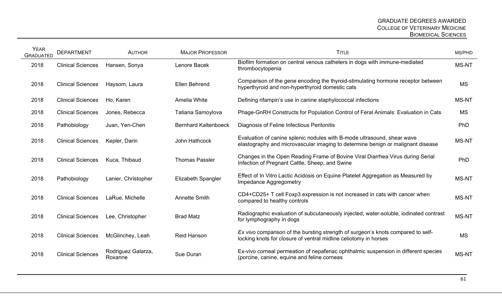| <b>YEAR</b><br><b>GRADUATED</b> | <b>DEPARTMENT</b>        | <b>AUTHOR</b>                 | <b>MAJOR PROFESSOR</b>      | <b>TITLE</b>                                                                                                                                               | MS/PHD       |
|---------------------------------|--------------------------|-------------------------------|-----------------------------|------------------------------------------------------------------------------------------------------------------------------------------------------------|--------------|
| 2018                            | <b>Clinical Sciences</b> | Hansen, Sonya                 | Lenore Bacek                | Biofilm formation on central venous catheters in dogs with immune-mediated<br>thrombocytopenia                                                             | MS-NT        |
| 2018                            | <b>Clinical Sciences</b> | Haysom, Laura                 | Ellen Behrend               | Comparison of the gene encoding the thyroid-stimulating hormone receptor between<br>hyperthyroid and non-hyperthyroid domestic cats                        | <b>MS</b>    |
| 2018                            | <b>Clinical Sciences</b> | Ho, Karen                     | Amelia White                | Defining rifampin's use in canine staphylococcal infections                                                                                                | <b>MS-NT</b> |
| 2018                            | <b>Clinical Sciences</b> | Jones, Rebecca                | Tatiana Samoylova           | Phage-GnRH Constructs for Population Control of Feral Animals: Evaluation in Cats                                                                          | <b>MS</b>    |
| 2018                            | Pathobiology             | Juan, Yen-Chen                | <b>Bernhard Kaltenboeck</b> | Diagnosis of Feline Infectious Peritonitis                                                                                                                 | PhD          |
| 2018                            | <b>Clinical Sciences</b> | Kepler, Darin                 | John Hathcock               | Evaluation of canine splenic nodules with B-mode ultrasound, shear wave<br>elastography and microvascular imaging to determine benign or malignant disease | MS-NT        |
| 2018                            | <b>Clinical Sciences</b> | Kuca, Thibaud                 | <b>Thomas Passler</b>       | Changes in the Open Reading Frame of Bovine Viral Diarrhea Virus during Serial<br>Infection of Pregnant Cattle, Sheep, and Swine                           | PhD          |
| 2018                            | Pathobiology             | Lanier, Christopher           | <b>Elizabeth Spangler</b>   | Effect of In Vitro Lactic Acidosis on Equine Platelet Aggregation as Measured by<br>Impedance Aggregometry                                                 | <b>MS-NT</b> |
| 2018                            | <b>Clinical Sciences</b> | LaRue, Michelle               | <b>Annette Smith</b>        | CD4+CD25+ T cell Foxp3 expression is not increased in cats with cancer when<br>compared to healthy controls                                                | MS-NT        |
| 2018                            | <b>Clinical Sciences</b> | Lee, Christopher              | <b>Brad Matz</b>            | Radiographic evaluation of subcutaneously injected, water-soluble, iodinated contrast<br>for lymphography in dogs                                          | <b>MS-NT</b> |
| 2018                            | <b>Clinical Sciences</b> | McGlinchey, Leah              | <b>Reid Hanson</b>          | Ex vivo comparison of the bursting strength of surgeon's knots compared to self-<br>locking knots for closure of ventral midline celiotomy in horses       | <b>MS</b>    |
| 2018                            | <b>Clinical Sciences</b> | Rodriguez Galarza,<br>Roxanne | Sue Duran                   | Ex-vivo corneal permeation of nepafenac ophthalmic suspension in different species<br>(porcine, canine, equine and feline corneas                          | MS-NT        |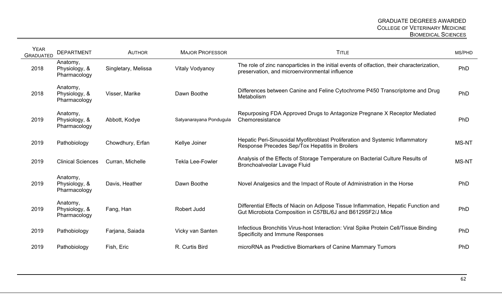| <b>YEAR</b><br><b>GRADUATED</b> | <b>DEPARTMENT</b>                         | <b>AUTHOR</b>       | <b>MAJOR PROFESSOR</b>  | <b>TITLE</b>                                                                                                                                      | MS/PHD |
|---------------------------------|-------------------------------------------|---------------------|-------------------------|---------------------------------------------------------------------------------------------------------------------------------------------------|--------|
| 2018                            | Anatomy,<br>Physiology, &<br>Pharmacology | Singletary, Melissa | Vitaly Vodyanoy         | The role of zinc nanoparticles in the initial events of olfaction, their characterization,<br>preservation, and microenvironmental influence      | PhD    |
| 2018                            | Anatomy,<br>Physiology, &<br>Pharmacology | Visser, Marike      | Dawn Boothe             | Differences between Canine and Feline Cytochrome P450 Transcriptome and Drug<br>Metabolism                                                        | PhD    |
| 2019                            | Anatomy,<br>Physiology, &<br>Pharmacology | Abbott, Kodye       | Satyanarayana Pondugula | Repurposing FDA Approved Drugs to Antagonize Pregnane X Receptor Mediated<br>Chemoresistance                                                      | PhD    |
| 2019                            | Pathobiology                              | Chowdhury, Erfan    | Kellye Joiner           | Hepatic Peri-Sinusoidal Myofibroblast Proliferation and Systemic Inflammatory<br>Response Precedes Sep/Tox Hepatitis in Broilers                  | MS-NT  |
| 2019                            | <b>Clinical Sciences</b>                  | Curran, Michelle    | <b>Tekla Lee-Fowler</b> | Analysis of the Effects of Storage Temperature on Bacterial Culture Results of<br>Bronchoalveolar Lavage Fluid                                    | MS-NT  |
| 2019                            | Anatomy,<br>Physiology, &<br>Pharmacology | Davis, Heather      | Dawn Boothe             | Novel Analgesics and the Impact of Route of Administration in the Horse                                                                           | PhD    |
| 2019                            | Anatomy,<br>Physiology, &<br>Pharmacology | Fang, Han           | Robert Judd             | Differential Effects of Niacin on Adipose Tissue Inflammation, Hepatic Function and<br>Gut Microbiota Composition in C57BL/6J and B6129SF2/J Mice | PhD    |
| 2019                            | Pathobiology                              | Farjana, Saiada     | Vicky van Santen        | Infectious Bronchitis Virus-host Interaction: Viral Spike Protein Cell/Tissue Binding<br>Specificity and Immune Responses                         | PhD    |
| 2019                            | Pathobiology                              | Fish, Eric          | R. Curtis Bird          | microRNA as Predictive Biomarkers of Canine Mammary Tumors                                                                                        | PhD    |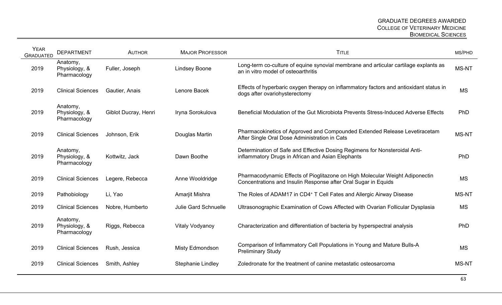| <b>YEAR</b><br><b>GRADUATED</b> | <b>DEPARTMENT</b>                         | <b>AUTHOR</b>        | <b>MAJOR PROFESSOR</b>      | <b>TITLE</b>                                                                                                                                   | MS/PHD       |
|---------------------------------|-------------------------------------------|----------------------|-----------------------------|------------------------------------------------------------------------------------------------------------------------------------------------|--------------|
| 2019                            | Anatomy,<br>Physiology, &<br>Pharmacology | Fuller, Joseph       | <b>Lindsey Boone</b>        | Long-term co-culture of equine synovial membrane and articular cartilage explants as<br>an in vitro model of osteoarthritis                    | <b>MS-NT</b> |
| 2019                            | <b>Clinical Sciences</b>                  | Gautier, Anais       | Lenore Bacek                | Effects of hyperbaric oxygen therapy on inflammatory factors and antioxidant status in<br>dogs after ovariohysterectomy                        | <b>MS</b>    |
| 2019                            | Anatomy,<br>Physiology, &<br>Pharmacology | Giblot Ducray, Henri | Iryna Sorokulova            | Beneficial Modulation of the Gut Microbiota Prevents Stress-Induced Adverse Effects                                                            | PhD          |
| 2019                            | <b>Clinical Sciences</b>                  | Johnson, Erik        | Douglas Martin              | Pharmacokinetics of Approved and Compounded Extended Release Levetiracetam<br>After Single Oral Dose Administration in Cats                    | <b>MS-NT</b> |
| 2019                            | Anatomy,<br>Physiology, &<br>Pharmacology | Kottwitz, Jack       | Dawn Boothe                 | Determination of Safe and Effective Dosing Regimens for Nonsteroidal Anti-<br>inflammatory Drugs in African and Asian Elephants                | PhD          |
| 2019                            | <b>Clinical Sciences</b>                  | Legere, Rebecca      | Anne Wooldridge             | Pharmacodynamic Effects of Pioglitazone on High Molecular Weight Adiponectin<br>Concentrations and Insulin Response after Oral Sugar in Equids | <b>MS</b>    |
| 2019                            | Pathobiology                              | Li, Yao              | Amarjit Mishra              | The Roles of ADAM17 in CD4 <sup>+</sup> T Cell Fates and Allergic Airway Disease                                                               | MS-NT        |
| 2019                            | <b>Clinical Sciences</b>                  | Nobre, Humberto      | <b>Julie Gard Schnuelle</b> | Ultrasonographic Examination of Cows Affected with Ovarian Follicular Dysplasia                                                                | <b>MS</b>    |
| 2019                            | Anatomy,<br>Physiology, &<br>Pharmacology | Riggs, Rebecca       | <b>Vitaly Vodyanoy</b>      | Characterization and differentiation of bacteria by hyperspectral analysis                                                                     | PhD          |
| 2019                            | <b>Clinical Sciences</b>                  | Rush, Jessica        | Misty Edmondson             | Comparison of Inflammatory Cell Populations in Young and Mature Bulls-A<br><b>Preliminary Study</b>                                            | <b>MS</b>    |
| 2019                            | <b>Clinical Sciences</b>                  | Smith, Ashley        | <b>Stephanie Lindley</b>    | Zoledronate for the treatment of canine metastatic osteosarcoma                                                                                | <b>MS-NT</b> |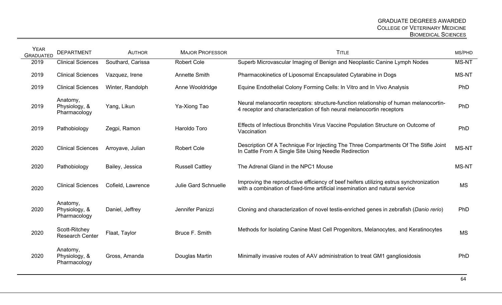| <b>YEAR</b><br><b>GRADUATED</b> | <b>DEPARTMENT</b>                         | <b>AUTHOR</b>     | <b>MAJOR PROFESSOR</b>      | <b>TITLE</b>                                                                                                                                                           | MS/PHD       |
|---------------------------------|-------------------------------------------|-------------------|-----------------------------|------------------------------------------------------------------------------------------------------------------------------------------------------------------------|--------------|
| 2019                            | <b>Clinical Sciences</b>                  | Southard, Carissa | <b>Robert Cole</b>          | Superb Microvascular Imaging of Benign and Neoplastic Canine Lymph Nodes                                                                                               | MS-NT        |
| 2019                            | <b>Clinical Sciences</b>                  | Vazquez, Irene    | <b>Annette Smith</b>        | Pharmacokinetics of Liposomal Encapsulated Cytarabine in Dogs                                                                                                          | <b>MS-NT</b> |
| 2019                            | <b>Clinical Sciences</b>                  | Winter, Randolph  | Anne Wooldridge             | Equine Endothelial Colony Forming Cells: In Vitro and In Vivo Analysis                                                                                                 | PhD          |
| 2019                            | Anatomy,<br>Physiology, &<br>Pharmacology | Yang, Likun       | Ya-Xiong Tao                | Neural melanocortin receptors: structure-function relationship of human melanocortin-<br>4 receptor and characterization of fish neural melanocortin receptors         | PhD          |
| 2019                            | Pathobiology                              | Zegpi, Ramon      | Haroldo Toro                | Effects of Infectious Bronchitis Virus Vaccine Population Structure on Outcome of<br>Vaccination                                                                       | PhD          |
| 2020                            | <b>Clinical Sciences</b>                  | Arroyave, Julian  | <b>Robert Cole</b>          | Description Of A Technique For Injecting The Three Compartments Of The Stifle Joint<br>In Cattle From A Single Site Using Needle Redirection                           | MS-NT        |
| 2020                            | Pathobiology                              | Bailey, Jessica   | <b>Russell Cattley</b>      | The Adrenal Gland in the NPC1 Mouse                                                                                                                                    | <b>MS-NT</b> |
| 2020                            | <b>Clinical Sciences</b>                  | Cofield, Lawrence | <b>Julie Gard Schnuelle</b> | Improving the reproductive efficiency of beef heifers utilizing estrus synchronization<br>with a combination of fixed-time artificial insemination and natural service | <b>MS</b>    |
| 2020                            | Anatomy,<br>Physiology, &<br>Pharmacology | Daniel, Jeffrey   | Jennifer Panizzi            | Cloning and characterization of novel testis-enriched genes in zebrafish (Danio rerio)                                                                                 | PhD          |
| 2020                            | Scott-Ritchey<br><b>Research Center</b>   | Flaat, Taylor     | Bruce F. Smith              | Methods for Isolating Canine Mast Cell Progenitors, Melanocytes, and Keratinocytes                                                                                     | <b>MS</b>    |
| 2020                            | Anatomy,<br>Physiology, &<br>Pharmacology | Gross, Amanda     | Douglas Martin              | Minimally invasive routes of AAV administration to treat GM1 gangliosidosis                                                                                            | PhD          |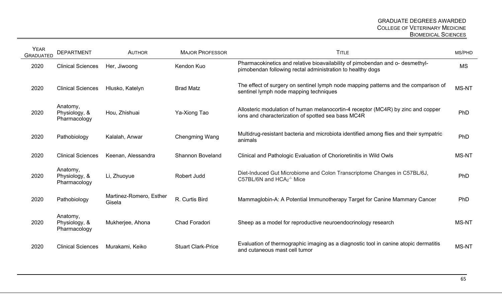| <b>YEAR</b><br><b>GRADUATED</b> | <b>DEPARTMENT</b>                         | <b>AUTHOR</b>                     | <b>MAJOR PROFESSOR</b>    | <b>TITLE</b>                                                                                                                                | MS/PHD       |
|---------------------------------|-------------------------------------------|-----------------------------------|---------------------------|---------------------------------------------------------------------------------------------------------------------------------------------|--------------|
| 2020                            | <b>Clinical Sciences</b>                  | Her, Jiwoong                      | Kendon Kuo                | Pharmacokinetics and relative bioavailability of pimobendan and o- desmethyl-<br>pimobendan following rectal administration to healthy dogs | <b>MS</b>    |
| 2020                            | <b>Clinical Sciences</b>                  | Hlusko, Katelyn                   | <b>Brad Matz</b>          | The effect of surgery on sentinel lymph node mapping patterns and the comparison of<br>sentinel lymph node mapping techniques               | <b>MS-NT</b> |
| 2020                            | Anatomy,<br>Physiology, &<br>Pharmacology | Hou, Zhishuai                     | Ya-Xiong Tao              | Allosteric modulation of human melanocortin-4 receptor (MC4R) by zinc and copper<br>ions and characterization of spotted sea bass MC4R      | PhD          |
| 2020                            | Pathobiology                              | Kalalah, Anwar                    | <b>Chengming Wang</b>     | Multidrug-resistant bacteria and microbiota identified among flies and their sympatric<br>animals                                           | PhD          |
| 2020                            | <b>Clinical Sciences</b>                  | Keenan, Alessandra                | <b>Shannon Boveland</b>   | Clinical and Pathologic Evaluation of Chorioretinitis in Wild Owls                                                                          | MS-NT        |
| 2020                            | Anatomy,<br>Physiology, &<br>Pharmacology | Li, Zhuoyue                       | Robert Judd               | Diet-Induced Gut Microbiome and Colon Transcriptome Changes in C57BL/6J,<br>C57BL/6N and $HCA2-/- Mice$                                     | PhD          |
| 2020                            | Pathobiology                              | Martinez-Romero, Esther<br>Gisela | R. Curtis Bird            | Mammaglobin-A: A Potential Immunotherapy Target for Canine Mammary Cancer                                                                   | <b>PhD</b>   |
| 2020                            | Anatomy,<br>Physiology, &<br>Pharmacology | Mukherjee, Ahona                  | Chad Foradori             | Sheep as a model for reproductive neuroendocrinology research                                                                               | <b>MS-NT</b> |
| 2020                            | <b>Clinical Sciences</b>                  | Murakami, Keiko                   | <b>Stuart Clark-Price</b> | Evaluation of thermographic imaging as a diagnostic tool in canine atopic dermatitis<br>and cutaneous mast cell tumor                       | <b>MS-NT</b> |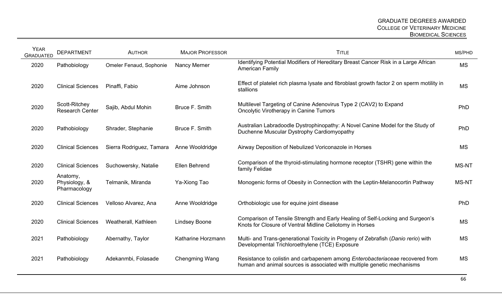| <b>YEAR</b><br><b>GRADUATED</b> | <b>DEPARTMENT</b>                         | <b>AUTHOR</b>            | <b>MAJOR PROFESSOR</b> | <b>TITLE</b>                                                                                                                                                    | MS/PHD       |
|---------------------------------|-------------------------------------------|--------------------------|------------------------|-----------------------------------------------------------------------------------------------------------------------------------------------------------------|--------------|
| 2020                            | Pathobiology                              | Omeler Fenaud, Sophonie  | Nancy Merner           | Identifying Potential Modifiers of Hereditary Breast Cancer Risk in a Large African<br><b>American Family</b>                                                   | <b>MS</b>    |
| 2020                            | <b>Clinical Sciences</b>                  | Pinaffi, Fabio           | Aime Johnson           | Effect of platelet rich plasma lysate and fibroblast growth factor 2 on sperm motility in<br>stallions                                                          | <b>MS</b>    |
| 2020                            | Scott-Ritchey<br><b>Research Center</b>   | Sajib, Abdul Mohin       | Bruce F. Smith         | Multilevel Targeting of Canine Adenovirus Type 2 (CAV2) to Expand<br><b>Oncolytic Virotherapy in Canine Tumors</b>                                              | PhD          |
| 2020                            | Pathobiology                              | Shrader, Stephanie       | Bruce F. Smith         | Australian Labradoodle Dystrophinopathy: A Novel Canine Model for the Study of<br>Duchenne Muscular Dystrophy Cardiomyopathy                                    | PhD          |
| 2020                            | <b>Clinical Sciences</b>                  | Sierra Rodriguez, Tamara | Anne Wooldridge        | Airway Deposition of Nebulized Voriconazole in Horses                                                                                                           | <b>MS</b>    |
| 2020                            | <b>Clinical Sciences</b>                  | Suchowersky, Natalie     | Ellen Behrend          | Comparison of the thyroid-stimulating hormone receptor (TSHR) gene within the<br>family Felidae                                                                 | <b>MS-NT</b> |
| 2020                            | Anatomy,<br>Physiology, &<br>Pharmacology | Telmanik, Miranda        | Ya-Xiong Tao           | Monogenic forms of Obesity in Connection with the Leptin-Melanocortin Pathway                                                                                   | <b>MS-NT</b> |
| 2020                            | <b>Clinical Sciences</b>                  | Velloso Alvarez, Ana     | Anne Wooldridge        | Orthobiologic use for equine joint disease                                                                                                                      | PhD          |
| 2020                            | <b>Clinical Sciences</b>                  | Weatherall, Kathleen     | <b>Lindsey Boone</b>   | Comparison of Tensile Strength and Early Healing of Self-Locking and Surgeon's<br>Knots for Closure of Ventral Midline Celiotomy in Horses                      | <b>MS</b>    |
| 2021                            | Pathobiology                              | Abernathy, Taylor        | Katharine Horzmann     | Multi- and Trans-generational Toxicity in Progeny of Zebrafish (Danio rerio) with<br>Developmental Trichloroethylene (TCE) Exposure                             | <b>MS</b>    |
| 2021                            | Pathobiology                              | Adekanmbi, Folasade      | <b>Chengming Wang</b>  | Resistance to colistin and carbapenem among <i>Enterobacteriaceae</i> recovered from<br>human and animal sources is associated with multiple genetic mechanisms | <b>MS</b>    |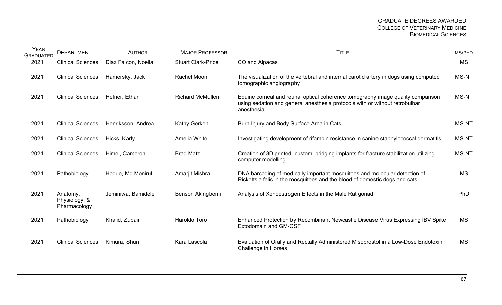| <b>YEAR</b><br><b>GRADUATED</b> | <b>DEPARTMENT</b>                         | <b>AUTHOR</b>       | <b>MAJOR PROFESSOR</b>    | <b>TITLE</b>                                                                                                                                                                  | MS/PHD       |
|---------------------------------|-------------------------------------------|---------------------|---------------------------|-------------------------------------------------------------------------------------------------------------------------------------------------------------------------------|--------------|
| 2021                            | <b>Clinical Sciences</b>                  | Diaz Falcon, Noelia | <b>Stuart Clark-Price</b> | CO and Alpacas                                                                                                                                                                | <b>MS</b>    |
| 2021                            | <b>Clinical Sciences</b>                  | Hamersky, Jack      | Rachel Moon               | The visualization of the vertebral and internal carotid artery in dogs using computed<br>tomographic angiography                                                              | <b>MS-NT</b> |
| 2021                            | <b>Clinical Sciences</b>                  | Hefner, Ethan       | <b>Richard McMullen</b>   | Equine corneal and retinal optical coherence tomography image quality comparison<br>using sedation and general anesthesia protocols with or without retrobulbar<br>anesthesia | <b>MS-NT</b> |
| 2021                            | <b>Clinical Sciences</b>                  | Henriksson, Andrea  | Kathy Gerken              | Burn Injury and Body Surface Area in Cats                                                                                                                                     | <b>MS-NT</b> |
| 2021                            | <b>Clinical Sciences</b>                  | Hicks, Karly        | Amelia White              | Investigating development of rifampin resistance in canine staphylococcal dermatitis                                                                                          | <b>MS-NT</b> |
| 2021                            | <b>Clinical Sciences</b>                  | Himel, Cameron      | <b>Brad Matz</b>          | Creation of 3D printed, custom, bridging implants for fracture stabilization utilizing<br>computer modelling                                                                  | <b>MS-NT</b> |
| 2021                            | Pathobiology                              | Hoque, Md Monirul   | Amarjit Mishra            | DNA barcoding of medically important mosquitoes and molecular detection of<br>Rickettsia felis in the mosquitoes and the blood of domestic dogs and cats                      | <b>MS</b>    |
| 2021                            | Anatomy,<br>Physiology, &<br>Pharmacology | Jeminiwa, Bamidele  | Benson Akingbemi          | Analysis of Xenoestrogen Effects in the Male Rat gonad                                                                                                                        | PhD          |
| 2021                            | Pathobiology                              | Khalid, Zubair      | Haroldo Toro              | Enhanced Protection by Recombinant Newcastle Disease Virus Expressing IBV Spike<br><b>Extodomain and GM-CSF</b>                                                               | <b>MS</b>    |
| 2021                            | <b>Clinical Sciences</b>                  | Kimura, Shun        | Kara Lascola              | Evaluation of Orally and Rectally Administered Misoprostol in a Low-Dose Endotoxin<br><b>Challenge in Horses</b>                                                              | <b>MS</b>    |